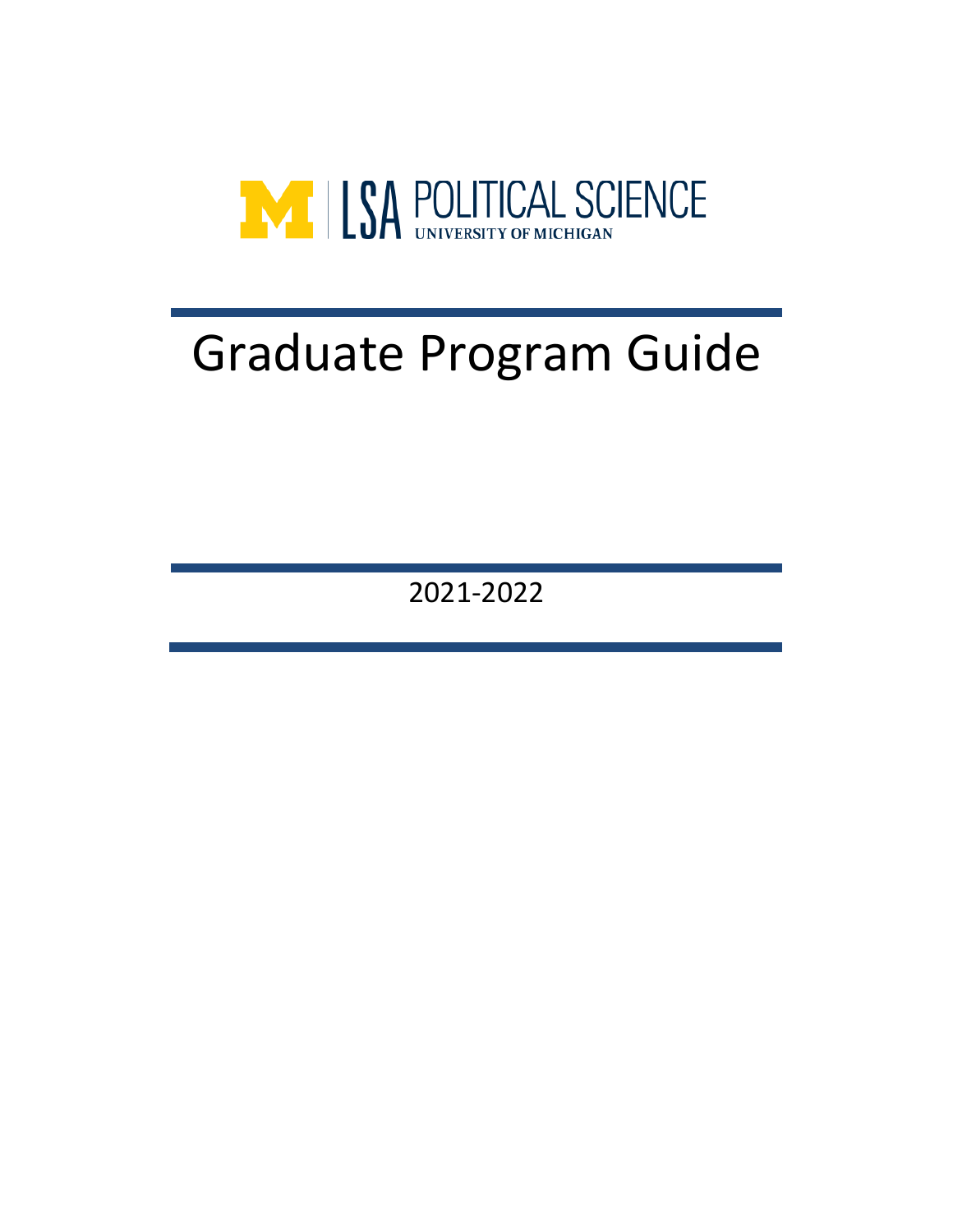

# Graduate Program Guide

2021-2022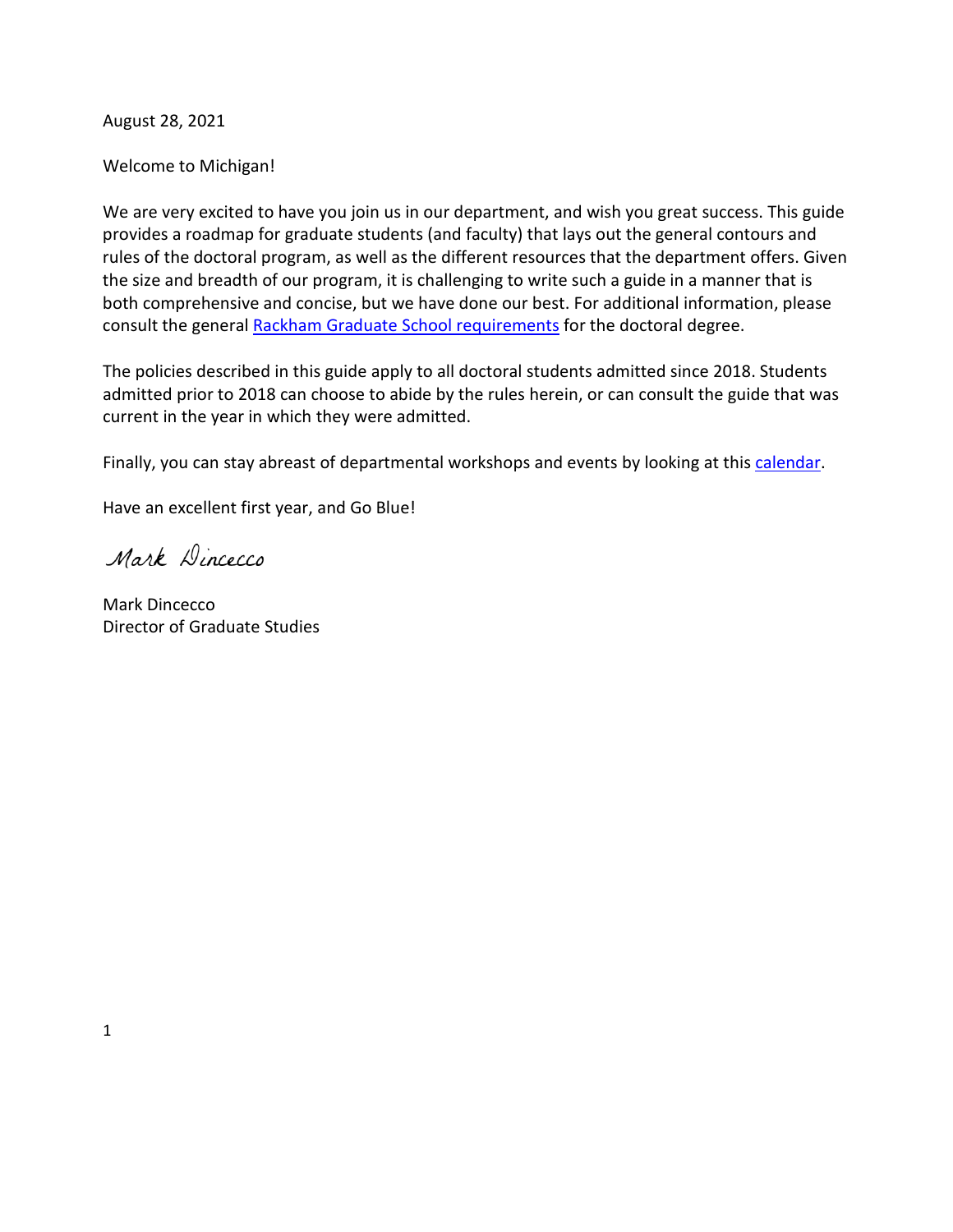August 28, 2021

Welcome to Michigan!

We are very excited to have you join us in our department, and wish you great success. This guide provides a roadmap for graduate students (and faculty) that lays out the general contours and rules of the doctoral program, as well as the different resources that the department offers. Given the size and breadth of our program, it is challenging to write such a guide in a manner that is both comprehensive and concise, but we have done our best. For additional information, please consult the general [Rackham Graduate School requirements](https://rackham.umich.edu/academic-policies/section4/) for the doctoral degree.

The policies described in this guide apply to all doctoral students admitted since 2018. Students admitted prior to 2018 can choose to abide by the rules herein, or can consult the guide that was current in the year in which they were admitted.

Finally, you can stay abreast of departmental workshops and events by looking at this [calendar.](https://lsa.umich.edu/polisci/news-events.html)

Have an excellent first year, and Go Blue!

Mark Dincecco

Mark Dincecco Director of Graduate Studies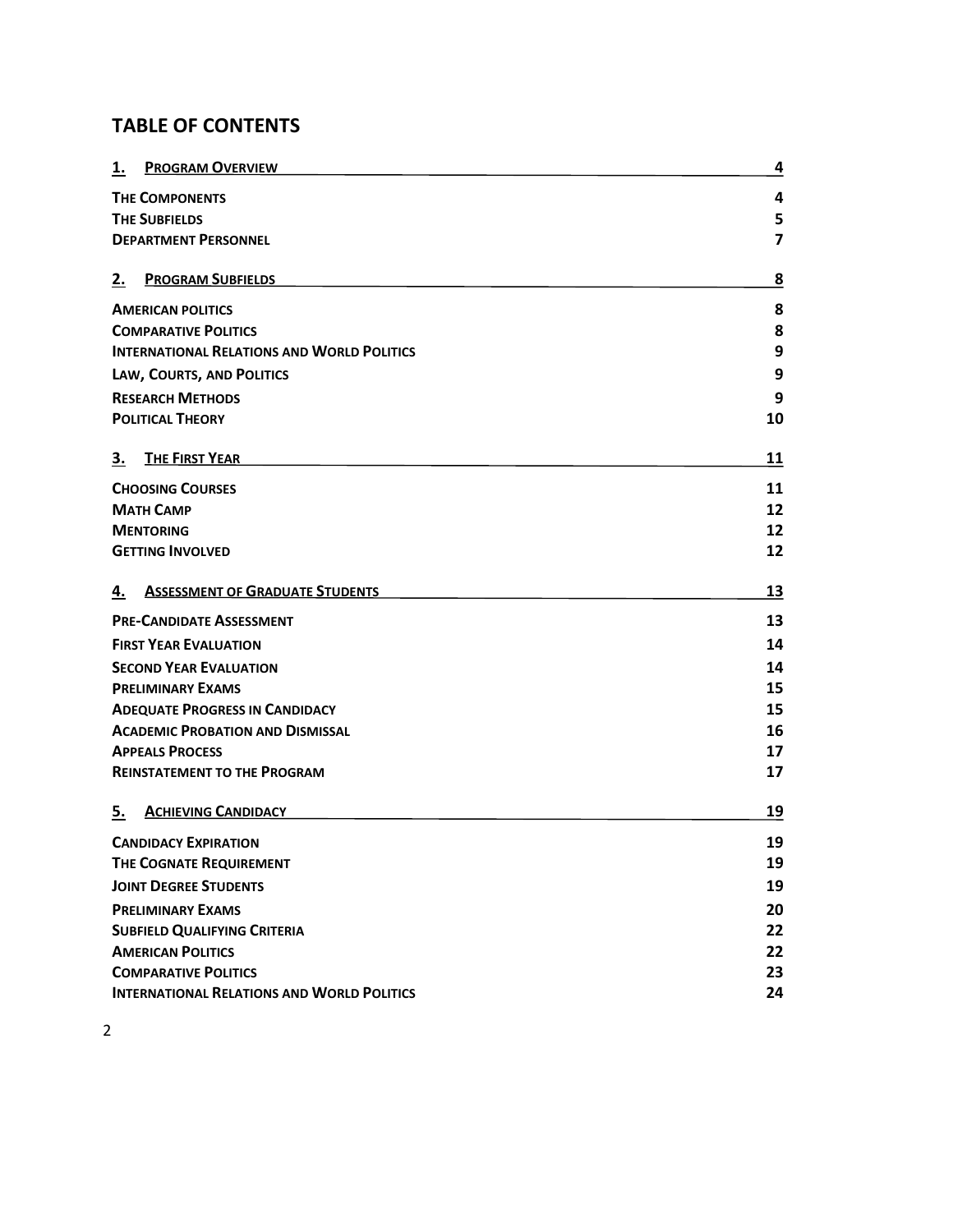# **TABLE OF CONTENTS**

| 1.                                                | <b>PROGRAM OVERVIEW</b>                           | 4                       |
|---------------------------------------------------|---------------------------------------------------|-------------------------|
| <b>THE COMPONENTS</b>                             |                                                   | 4                       |
| <b>THE SUBFIELDS</b>                              |                                                   | 5                       |
|                                                   | <b>DEPARTMENT PERSONNEL</b>                       | $\overline{\mathbf{z}}$ |
| 2.                                                | <b>PROGRAM SUBFIELDS</b>                          | 8                       |
| <b>AMERICAN POLITICS</b>                          |                                                   | 8                       |
| <b>COMPARATIVE POLITICS</b>                       |                                                   | 8                       |
| <b>INTERNATIONAL RELATIONS AND WORLD POLITICS</b> |                                                   | 9                       |
|                                                   | LAW, COURTS, AND POLITICS                         | 9                       |
| <b>RESEARCH METHODS</b>                           |                                                   | 9                       |
| <b>POLITICAL THEORY</b>                           |                                                   | 10                      |
| З.                                                | <b>THE FIRST YEAR</b>                             | 11                      |
|                                                   | <b>CHOOSING COURSES</b>                           | 11                      |
| МАТН САМР                                         |                                                   | 12                      |
| <b>MENTORING</b>                                  |                                                   | 12                      |
|                                                   | <b>GETTING INVOLVED</b>                           | 12                      |
| 4.                                                | <b>ASSESSMENT OF GRADUATE STUDENTS</b>            | 13                      |
| <b>PRE-CANDIDATE ASSESSMENT</b>                   |                                                   | 13                      |
| <b>FIRST YEAR EVALUATION</b>                      |                                                   | 14                      |
| <b>SECOND YEAR EVALUATION</b>                     |                                                   | 14                      |
| <b>PRELIMINARY EXAMS</b>                          |                                                   | 15                      |
| <b>ADEQUATE PROGRESS IN CANDIDACY</b>             |                                                   | 15                      |
| <b>ACADEMIC PROBATION AND DISMISSAL</b>           |                                                   | 16                      |
| <b>APPEALS PROCESS</b>                            |                                                   | 17                      |
|                                                   | <b>REINSTATEMENT TO THE PROGRAM</b>               | 17                      |
| 5.                                                | <b>ACHIEVING CANDIDACY</b>                        | 19                      |
| <b>CANDIDACY EXPIRATION</b>                       |                                                   | 19                      |
| THE COGNATE REQUIREMENT                           |                                                   | 19                      |
| <b>JOINT DEGREE STUDENTS</b>                      |                                                   | 19                      |
| <b>PRELIMINARY EXAMS</b>                          |                                                   | 20                      |
|                                                   | <b>SUBFIELD QUALIFYING CRITERIA</b>               |                         |
|                                                   | <b>AMERICAN POLITICS</b>                          |                         |
|                                                   | <b>COMPARATIVE POLITICS</b>                       |                         |
|                                                   | <b>INTERNATIONAL RELATIONS AND WORLD POLITICS</b> |                         |

2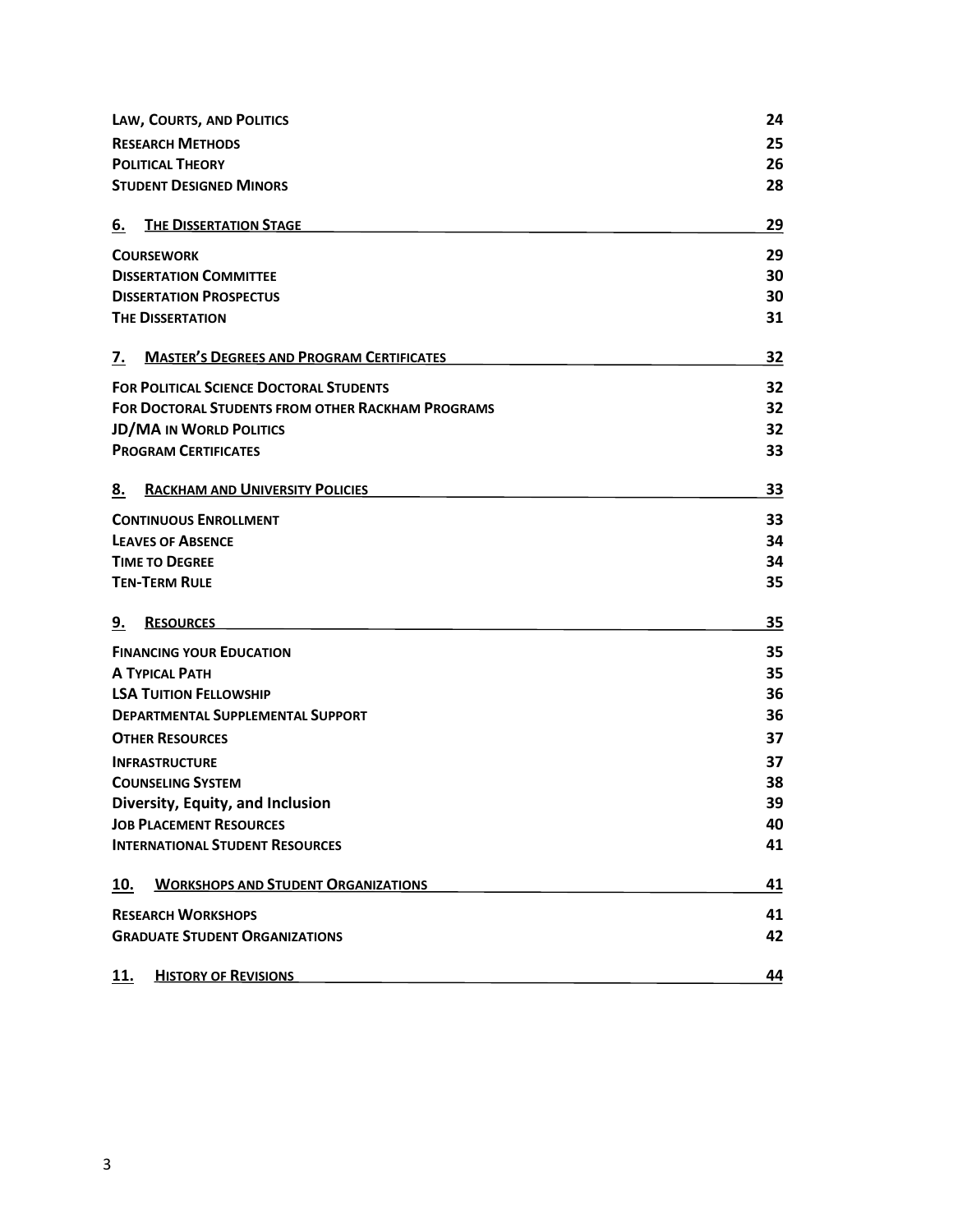| LAW, COURTS, AND POLITICS                                |                                                  | 24 |
|----------------------------------------------------------|--------------------------------------------------|----|
| <b>RESEARCH METHODS</b>                                  |                                                  | 25 |
| <b>POLITICAL THEORY</b>                                  |                                                  | 26 |
|                                                          | <b>STUDENT DESIGNED MINORS</b>                   | 28 |
| 6.                                                       | <b>THE DISSERTATION STAGE</b>                    | 29 |
| <b>COURSEWORK</b>                                        |                                                  | 29 |
| <b>DISSERTATION COMMITTEE</b>                            |                                                  | 30 |
| <b>DISSERTATION PROSPECTUS</b>                           |                                                  | 30 |
|                                                          | <b>THE DISSERTATION</b>                          | 31 |
| 7.                                                       | <b>MASTER'S DEGREES AND PROGRAM CERTIFICATES</b> | 32 |
|                                                          | <b>FOR POLITICAL SCIENCE DOCTORAL STUDENTS</b>   | 32 |
| <b>FOR DOCTORAL STUDENTS FROM OTHER RACKHAM PROGRAMS</b> |                                                  | 32 |
| <b>JD/MA IN WORLD POLITICS</b>                           |                                                  | 32 |
|                                                          | <b>PROGRAM CERTIFICATES</b>                      | 33 |
| 8.                                                       | <b>RACKHAM AND UNIVERSITY POLICIES</b>           | 33 |
| <b>CONTINUOUS ENROLLMENT</b>                             |                                                  | 33 |
| <b>LEAVES OF ABSENCE</b>                                 |                                                  | 34 |
| <b>TIME TO DEGREE</b>                                    |                                                  | 34 |
|                                                          | <b>TEN-TERM RULE</b>                             | 35 |
| <u>9.</u>                                                | <b>RESOURCES</b>                                 | 35 |
| <b>FINANCING YOUR EDUCATION</b>                          |                                                  | 35 |
| <b>A TYPICAL PATH</b>                                    |                                                  | 35 |
| <b>LSA TUITION FELLOWSHIP</b>                            |                                                  | 36 |
| <b>DEPARTMENTAL SUPPLEMENTAL SUPPORT</b>                 |                                                  | 36 |
| <b>OTHER RESOURCES</b>                                   |                                                  | 37 |
| <b>INFRASTRUCTURE</b>                                    |                                                  | 37 |
| <b>COUNSELING SYSTEM</b>                                 |                                                  | 38 |
| Diversity, Equity, and Inclusion                         |                                                  | 39 |
| <b>JOB PLACEMENT RESOURCES</b>                           |                                                  | 40 |
|                                                          | <b>INTERNATIONAL STUDENT RESOURCES</b>           | 41 |
| 10.                                                      | <b>WORKSHOPS AND STUDENT ORGANIZATIONS</b>       | 41 |
| <b>RESEARCH WORKSHOPS</b>                                |                                                  |    |
|                                                          | <b>GRADUATE STUDENT ORGANIZATIONS</b>            | 42 |
| 11.                                                      | <b>HISTORY OF REVISIONS</b>                      | 44 |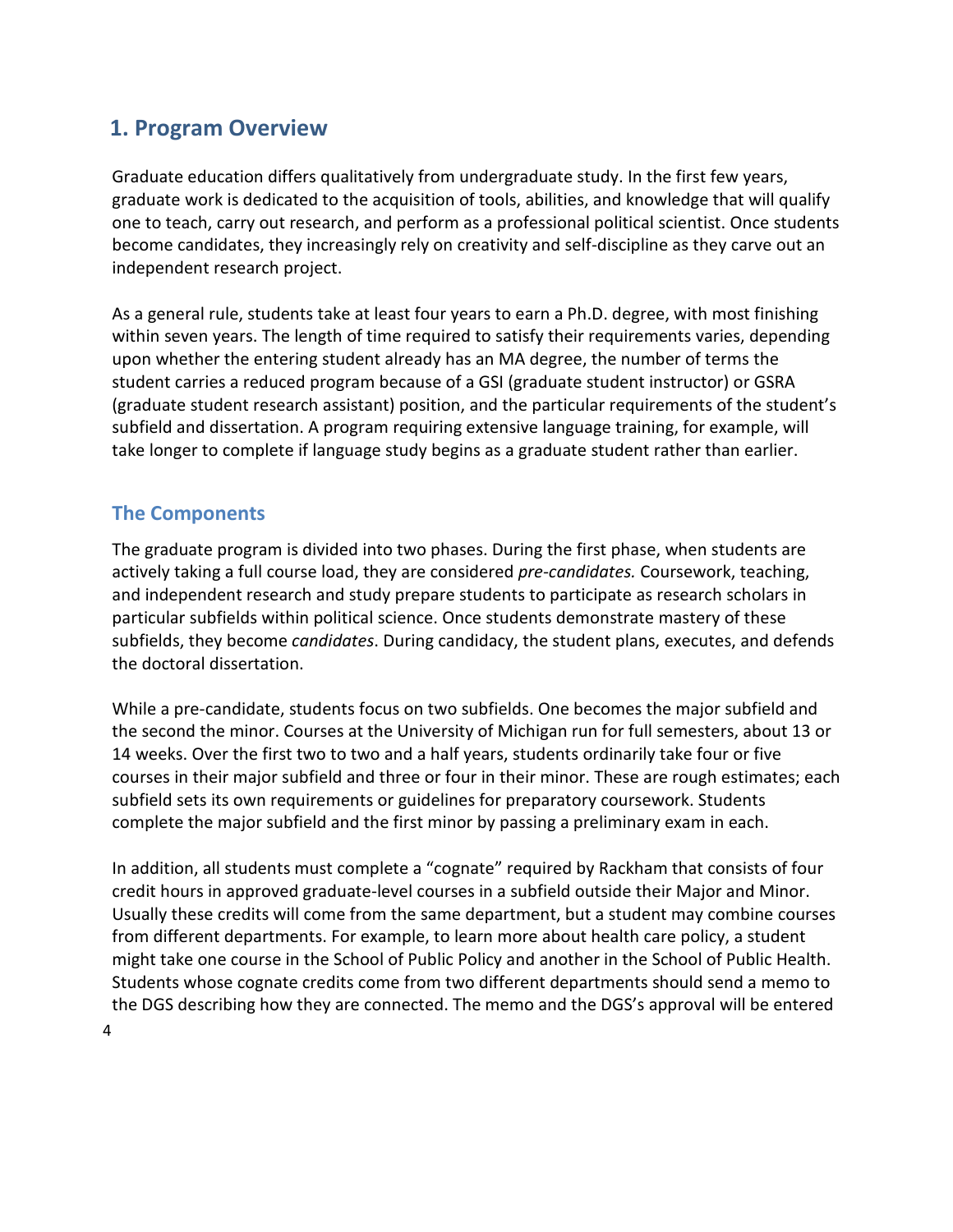# <span id="page-4-0"></span>**1. Program Overview**

Graduate education differs qualitatively from undergraduate study. In the first few years, graduate work is dedicated to the acquisition of tools, abilities, and knowledge that will qualify one to teach, carry out research, and perform as a professional political scientist. Once students become candidates, they increasingly rely on creativity and self-discipline as they carve out an independent research project.

As a general rule, students take at least four years to earn a Ph.D. degree, with most finishing within seven years. The length of time required to satisfy their requirements varies, depending upon whether the entering student already has an MA degree, the number of terms the student carries a reduced program because of a GSI (graduate student instructor) or GSRA (graduate student research assistant) position, and the particular requirements of the student's subfield and dissertation. A program requiring extensive language training, for example, will take longer to complete if language study begins as a graduate student rather than earlier.

# <span id="page-4-1"></span>**The Components**

The graduate program is divided into two phases. During the first phase, when students are actively taking a full course load, they are considered *pre-candidates.* Coursework, teaching, and independent research and study prepare students to participate as research scholars in particular subfields within political science. Once students demonstrate mastery of these subfields, they become *candidates*. During candidacy, the student plans, executes, and defends the doctoral dissertation.

While a pre-candidate, students focus on two subfields. One becomes the major subfield and the second the minor. Courses at the University of Michigan run for full semesters, about 13 or 14 weeks. Over the first two to two and a half years, students ordinarily take four or five courses in their major subfield and three or four in their minor. These are rough estimates; each subfield sets its own requirements or guidelines for preparatory coursework. Students complete the major subfield and the first minor by passing a preliminary exam in each.

In addition, all students must complete a "cognate" required by Rackham that consists of four credit hours in approved graduate-level courses in a subfield outside their Major and Minor. Usually these credits will come from the same department, but a student may combine courses from different departments. For example, to learn more about health care policy, a student might take one course in the School of Public Policy and another in the School of Public Health. Students whose cognate credits come from two different departments should send a memo to the DGS describing how they are connected. The memo and the DGS's approval will be entered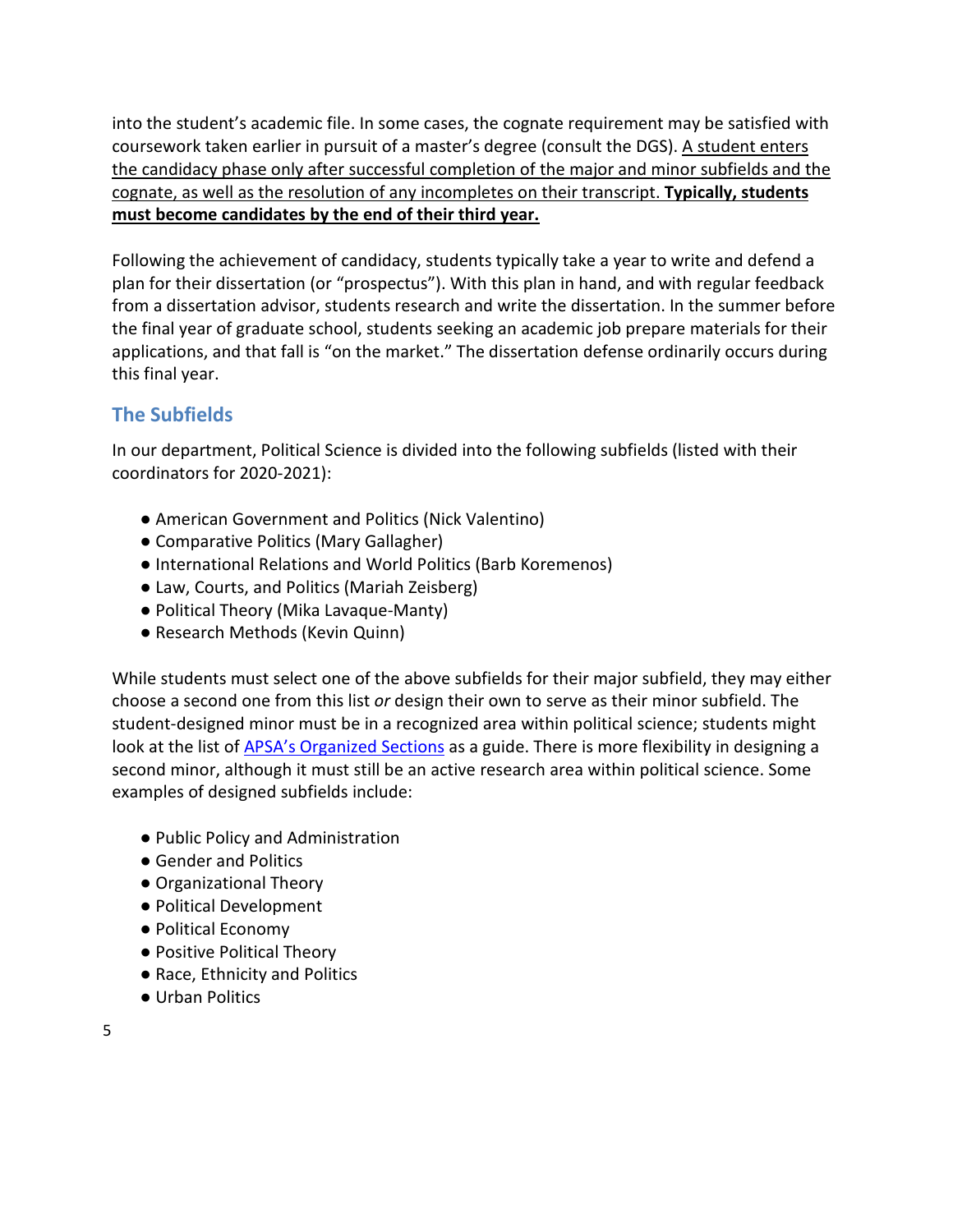into the student's academic file. In some cases, the cognate requirement may be satisfied with coursework taken earlier in pursuit of a master's degree (consult the DGS). A student enters the candidacy phase only after successful completion of the major and minor subfields and the cognate, as well as the resolution of any incompletes on their transcript. **Typically, students must become candidates by the end of their third year.**

Following the achievement of candidacy, students typically take a year to write and defend a plan for their dissertation (or "prospectus"). With this plan in hand, and with regular feedback from a dissertation advisor, students research and write the dissertation. In the summer before the final year of graduate school, students seeking an academic job prepare materials for their applications, and that fall is "on the market." The dissertation defense ordinarily occurs during this final year.

# <span id="page-5-0"></span>**The Subfields**

In our department, Political Science is divided into the following subfields (listed with their coordinators for 2020-2021):

- American Government and Politics (Nick Valentino)
- Comparative Politics (Mary Gallagher)
- International Relations and World Politics (Barb Koremenos)
- Law, Courts, and Politics (Mariah Zeisberg)
- Political Theory (Mika Lavaque-Manty)
- Research Methods (Kevin Quinn)

While students must select one of the above subfields for their major subfield, they may either choose a second one from this list *or* design their own to serve as their minor subfield. The student-designed minor must be in a recognized area within political science; students might look at the list o[f APSA's Organized Sections](https://www.apsanet.org/sections) as a guide. There is more flexibility in designing a second minor, although it must still be an active research area within political science. Some examples of designed subfields include:

- Public Policy and Administration
- Gender and Politics
- Organizational Theory
- Political Development
- Political Economy
- Positive Political Theory
- Race, Ethnicity and Politics
- Urban Politics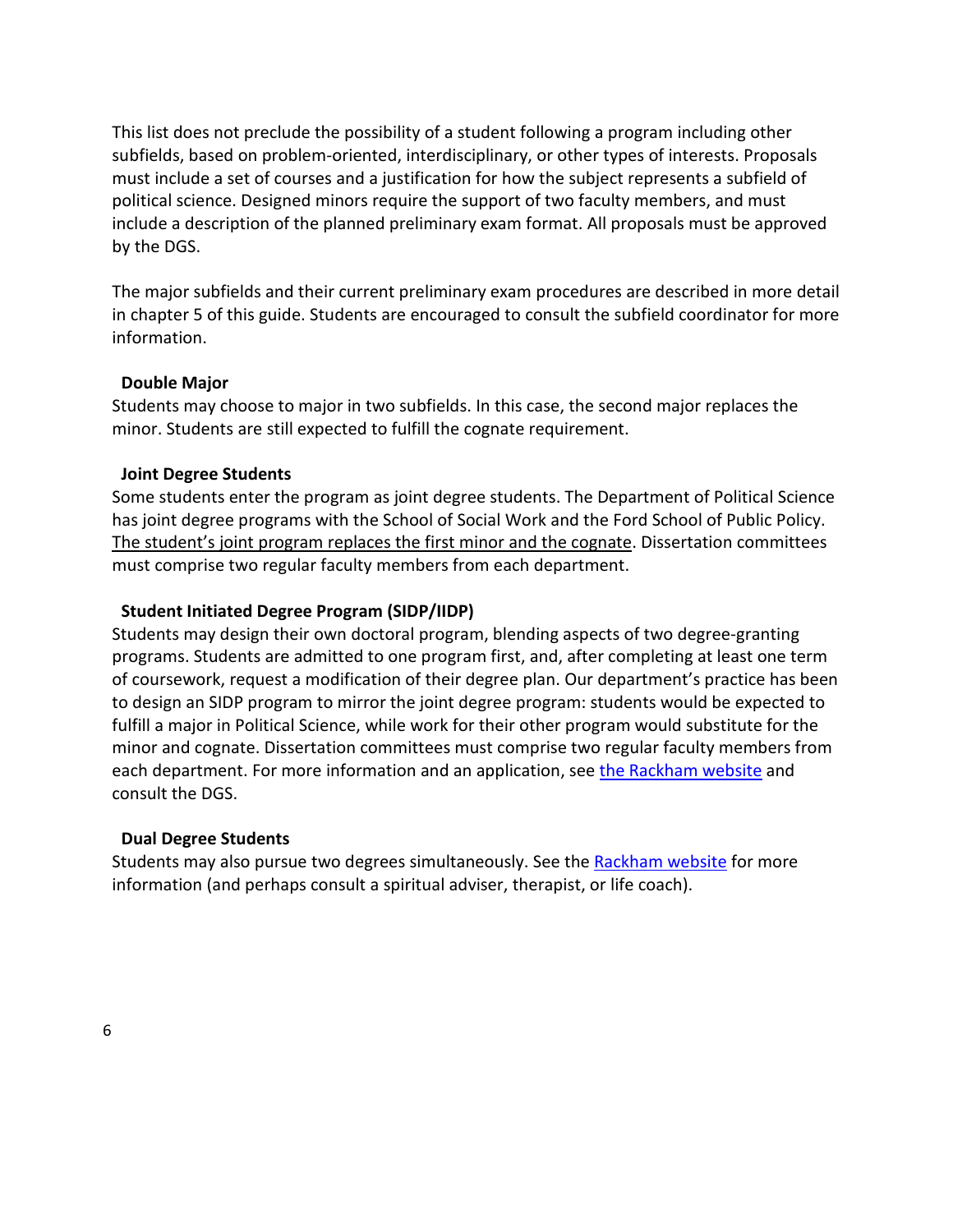This list does not preclude the possibility of a student following a program including other subfields, based on problem-oriented, interdisciplinary, or other types of interests. Proposals must include a set of courses and a justification for how the subject represents a subfield of political science. Designed minors require the support of two faculty members, and must include a description of the planned preliminary exam format. All proposals must be approved by the DGS.

The major subfields and their current preliminary exam procedures are described in more detail in chapter 5 of this guide. Students are encouraged to consult the subfield coordinator for more information.

#### **Double Major**

Students may choose to major in two subfields. In this case, the second major replaces the minor. Students are still expected to fulfill the cognate requirement.

#### **Joint Degree Students**

Some students enter the program as joint degree students. The Department of Political Science has joint degree programs with the School of Social Work and the Ford School of Public Policy. The student's joint program replaces the first minor and the cognate. Dissertation committees must comprise two regular faculty members from each department.

#### **Student Initiated Degree Program (SIDP/IIDP)**

Students may design their own doctoral program, blending aspects of two degree-granting programs. Students are admitted to one program first, and, after completing at least one term of coursework, request a modification of their degree plan. Our department's practice has been to design an SIDP program to mirror the joint degree program: students would be expected to fulfill a major in Political Science, while work for their other program would substitute for the minor and cognate. Dissertation committees must comprise two regular faculty members from each department. For more information and an application, see [the Rackham website](https://rackham.umich.edu/academic-policies/section4/) and consult the DGS.

#### **Dual Degree Students**

Students may also pursue two degrees simultaneously. See th[e Rackham website](https://rackham.umich.edu/academic-policies/section6/) for more information (and perhaps consult a spiritual adviser, therapist, or life coach).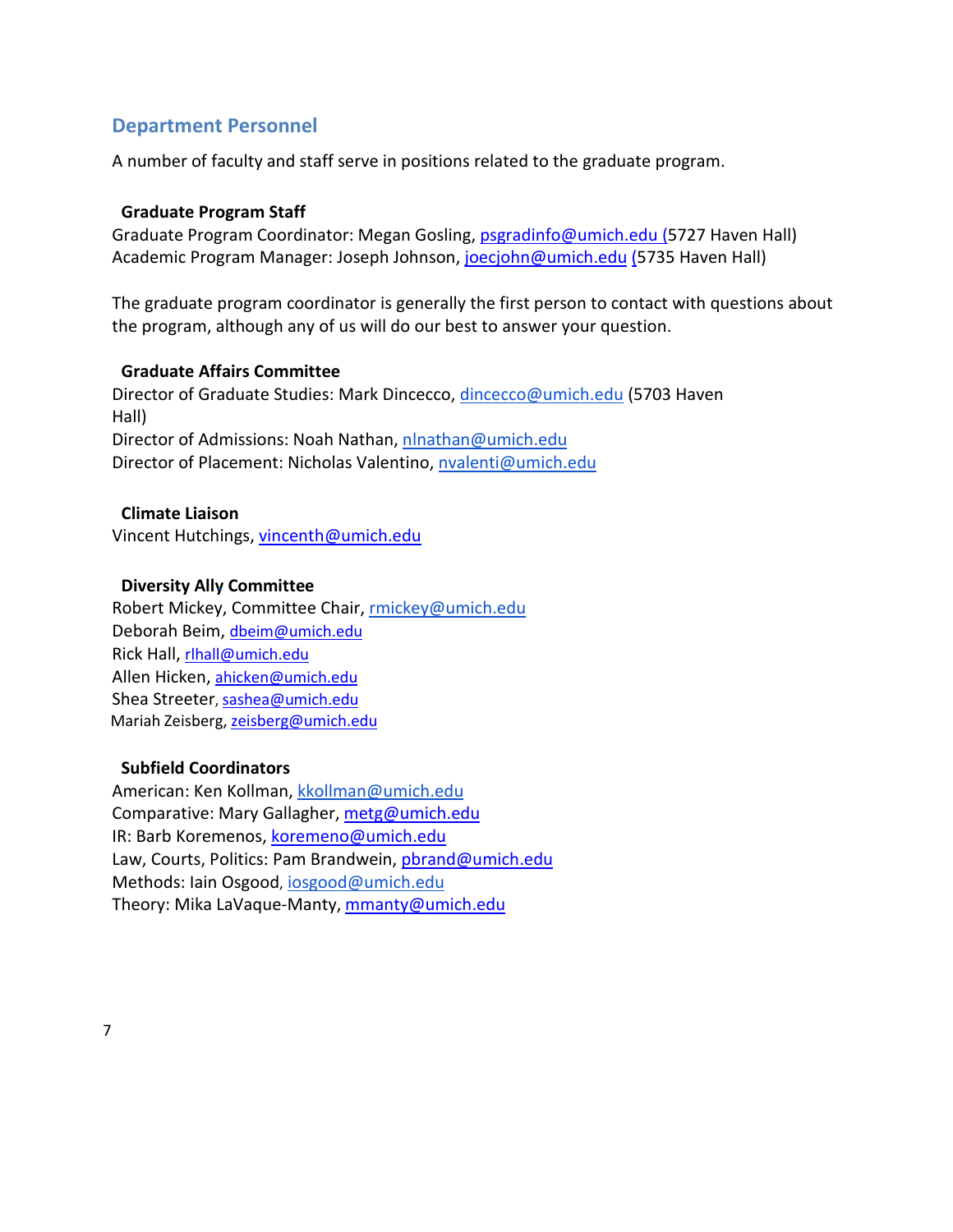# <span id="page-7-0"></span>**Department Personnel**

A number of faculty and staff serve in positions related to the graduate program.

#### **Graduate Program Staff**

Graduate Program Coordinator: Megan Gosling, [psgradinfo@umich.edu \(](mailto:psgradinfo@umich.edu)5727 Haven Hall) Academic Program Manager: Joseph Johnson, [joecjohn@umich.edu](mailto:joecjohn@umich.edu) (5735 Haven Hall)

The graduate program coordinator is generally the first person to contact with questions about the program, although any of us will do our best to answer your question.

#### **Graduate Affairs Committee**

Director of Graduate Studies: Mark Dincecco, [dincecco@umich.edu](mailto:dincecco@umich.edu) (5703 Haven Hall) Director of Admissions: Noah Nathan[, nlnathan@umich.edu](mailto:nlnathan@umich.edu) Director of Placement: Nicholas Valentino[, nvalenti@umich.edu](mailto:nvalenti@umich.edu)

#### **Climate Liaison**

Vincent Hutchings, [vincenth@umich.edu](mailto:vincenth@umich.edu)

#### **Diversity Ally Committee**

Robert Mickey, Committee Chair, [rmickey@umich.edu](mailto:rmickey@umich.edu) Deborah Beim, [dbeim@umich.edu](mailto:dbeim@umich.edu) Rick Hall, [rlhall@umich.edu](mailto:rlhall@umich.edu) Allen Hicken, [ahicken@umich.edu](mailto:ahicken@umich.edu) Shea Streeter, [sashea@umich.edu](mailto:sashea@umich.edu) Mariah Zeisberg[, zeisberg@umich.edu](mailto:zeisberg@umich.edu)

#### **Subfield Coordinators**

American: Ken Kollman, [kkollman@umich.edu](mailto:kkollman@umich.edu)  Comparative: Mary Gallagher, [metg@umich.edu](mailto:metg@umich.edu) IR: Barb Koremenos, [koremeno@umich.edu](mailto:koremeno@umich.edu) Law, Courts, Politics: Pam Brandwein, [pbrand@umich.edu](mailto:pbrand@umich.edu) Methods: Iain Osgood, [iosgood@umich.edu](mailto:iosgood@umich.edu)  Theory: Mika LaVaque-Manty, [mmanty@umich.edu](mailto:mmanty@umich.edu)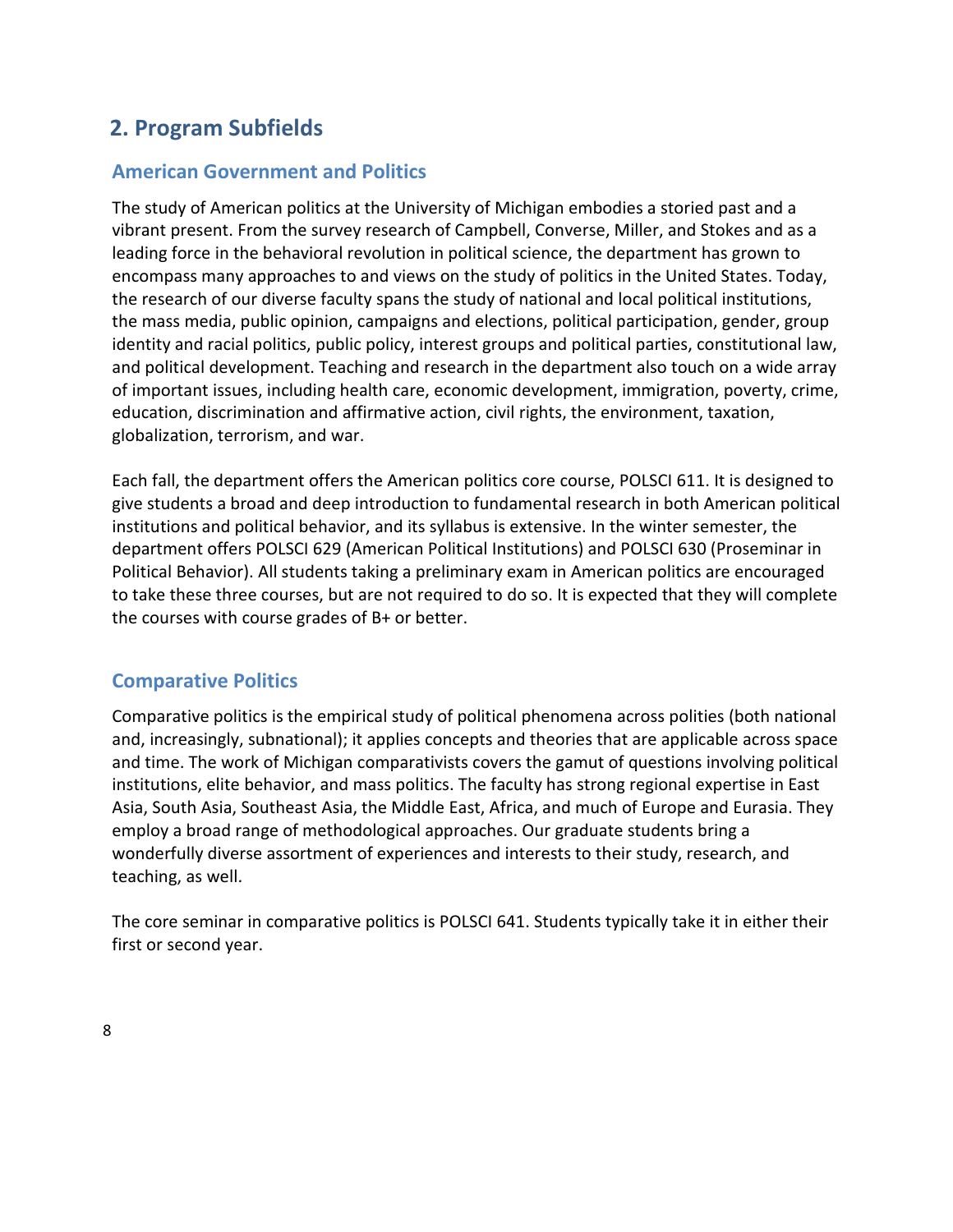# <span id="page-8-0"></span>**2. Program Subfields**

# **American Government and Politics**

The study of American politics at the University of Michigan embodies a storied past and a vibrant present. From the survey research of Campbell, Converse, Miller, and Stokes and as a leading force in the behavioral revolution in political science, the department has grown to encompass many approaches to and views on the study of politics in the United States. Today, the research of our diverse faculty spans the study of national and local political institutions, the mass media, public opinion, campaigns and elections, political participation, gender, group identity and racial politics, public policy, interest groups and political parties, constitutional law, and political development. Teaching and research in the department also touch on a wide array of important issues, including health care, economic development, immigration, poverty, crime, education, discrimination and affirmative action, civil rights, the environment, taxation, globalization, terrorism, and war.

Each fall, the department offers the American politics core course, POLSCI 611. It is designed to give students a broad and deep introduction to fundamental research in both American political institutions and political behavior, and its syllabus is extensive. In the winter semester, the department offers POLSCI 629 (American Political Institutions) and POLSCI 630 (Proseminar in Political Behavior). All students taking a preliminary exam in American politics are encouraged to take these three courses, but are not required to do so. It is expected that they will complete the courses with course grades of B+ or better.

# <span id="page-8-1"></span>**Comparative Politics**

Comparative politics is the empirical study of political phenomena across polities (both national and, increasingly, subnational); it applies concepts and theories that are applicable across space and time. The work of Michigan comparativists covers the gamut of questions involving political institutions, elite behavior, and mass politics. The faculty has strong regional expertise in East Asia, South Asia, Southeast Asia, the Middle East, Africa, and much of Europe and Eurasia. They employ a broad range of methodological approaches. Our graduate students bring a wonderfully diverse assortment of experiences and interests to their study, research, and teaching, as well.

The core seminar in comparative politics is POLSCI 641. Students typically take it in either their first or second year.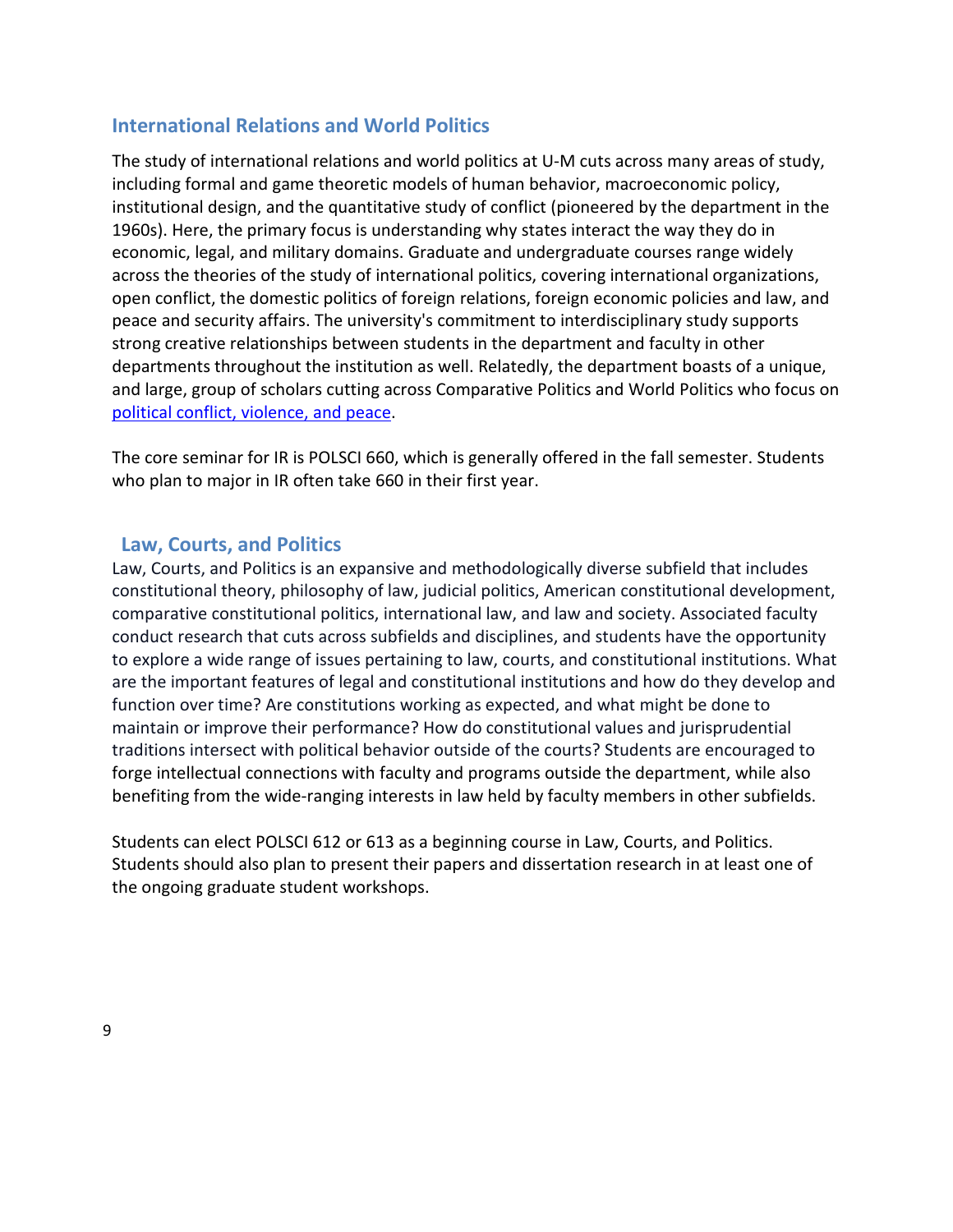# <span id="page-9-0"></span>**International Relations and World Politics**

The study of international relations and world politics at U-M cuts across many areas of study, including formal and game theoretic models of human behavior, macroeconomic policy, institutional design, and the quantitative study of conflict (pioneered by the department in the 1960s). Here, the primary focus is understanding why states interact the way they do in economic, legal, and military domains. Graduate and undergraduate courses range widely across the theories of the study of international politics, covering international organizations, open conflict, the domestic politics of foreign relations, foreign economic policies and law, and peace and security affairs. The university's commitment to interdisciplinary study supports strong creative relationships between students in the department and faculty in other departments throughout the institution as well. Relatedly, the department boasts of a unique, and large, group of scholars cutting across Comparative Politics and World Politics who focus on [political conflict, violence, and peace.](https://cprd.weebly.com/the-program-at-um.html)

The core seminar for IR is POLSCI 660, which is generally offered in the fall semester. Students who plan to major in IR often take 660 in their first year.

#### <span id="page-9-1"></span>**Law, Courts, and Politics**

Law, Courts, and Politics is an expansive and methodologically diverse subfield that includes constitutional theory, philosophy of law, judicial politics, American constitutional development, comparative constitutional politics, international law, and law and society. Associated faculty conduct research that cuts across subfields and disciplines, and students have the opportunity to explore a wide range of issues pertaining to law, courts, and constitutional institutions. What are the important features of legal and constitutional institutions and how do they develop and function over time? Are constitutions working as expected, and what might be done to maintain or improve their performance? How do constitutional values and jurisprudential traditions intersect with political behavior outside of the courts? Students are encouraged to forge intellectual connections with faculty and programs outside the department, while also benefiting from the wide-ranging interests in law held by faculty members in other subfields.

<span id="page-9-2"></span>Students can elect POLSCI 612 or 613 as a beginning course in Law, Courts, and Politics. Students should also plan to present their papers and dissertation research in at least one of the ongoing graduate student workshops.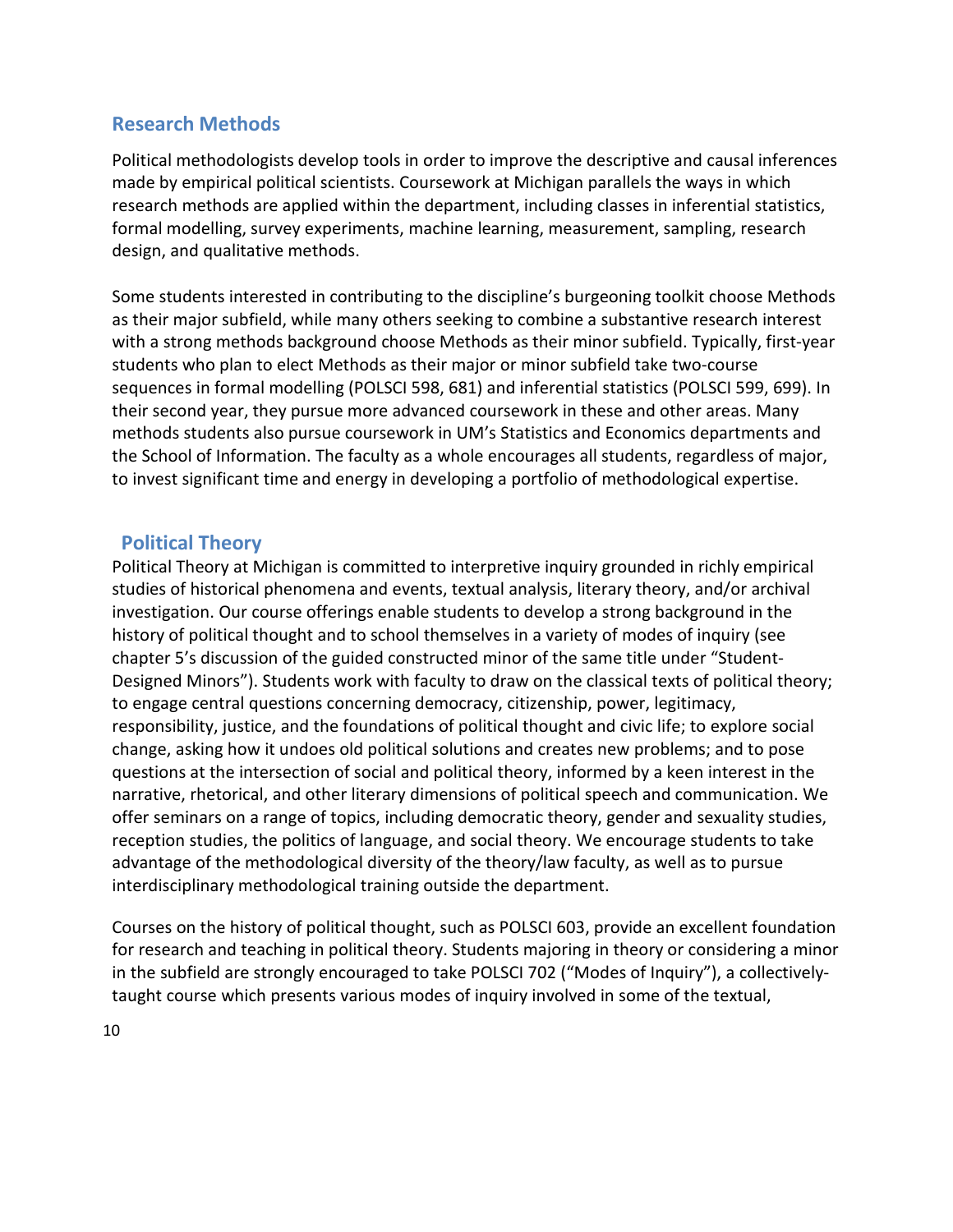## **Research Methods**

Political methodologists develop tools in order to improve the descriptive and causal inferences made by empirical political scientists. Coursework at Michigan parallels the ways in which research methods are applied within the department, including classes in inferential statistics, formal modelling, survey experiments, machine learning, measurement, sampling, research design, and qualitative methods.

Some students interested in contributing to the discipline's burgeoning toolkit choose Methods as their major subfield, while many others seeking to combine a substantive research interest with a strong methods background choose Methods as their minor subfield. Typically, first-year students who plan to elect Methods as their major or minor subfield take two-course sequences in formal modelling (POLSCI 598, 681) and inferential statistics (POLSCI 599, 699). In their second year, they pursue more advanced coursework in these and other areas. Many methods students also pursue coursework in UM's Statistics and Economics departments and the School of Information. The faculty as a whole encourages all students, regardless of major, to invest significant time and energy in developing a portfolio of methodological expertise.

## <span id="page-10-0"></span>**Political Theory**

Political Theory at Michigan is committed to interpretive inquiry grounded in richly empirical studies of historical phenomena and events, textual analysis, literary theory, and/or archival investigation. Our course offerings enable students to develop a strong background in the history of political thought and to school themselves in a variety of modes of inquiry (see chapter 5's discussion of the guided constructed minor of the same title under "Student-Designed Minors"). Students work with faculty to draw on the classical texts of political theory; to engage central questions concerning democracy, citizenship, power, legitimacy, responsibility, justice, and the foundations of political thought and civic life; to explore social change, asking how it undoes old political solutions and creates new problems; and to pose questions at the intersection of social and political theory, informed by a keen interest in the narrative, rhetorical, and other literary dimensions of political speech and communication. We offer seminars on a range of topics, including democratic theory, gender and sexuality studies, reception studies, the politics of language, and social theory. We encourage students to take advantage of the methodological diversity of the theory/law faculty, as well as to pursue interdisciplinary methodological training outside the department.

Courses on the history of political thought, such as POLSCI 603, provide an excellent foundation for research and teaching in political theory. Students majoring in theory or considering a minor in the subfield are strongly encouraged to take POLSCI 702 ("Modes of Inquiry"), a collectivelytaught course which presents various modes of inquiry involved in some of the textual,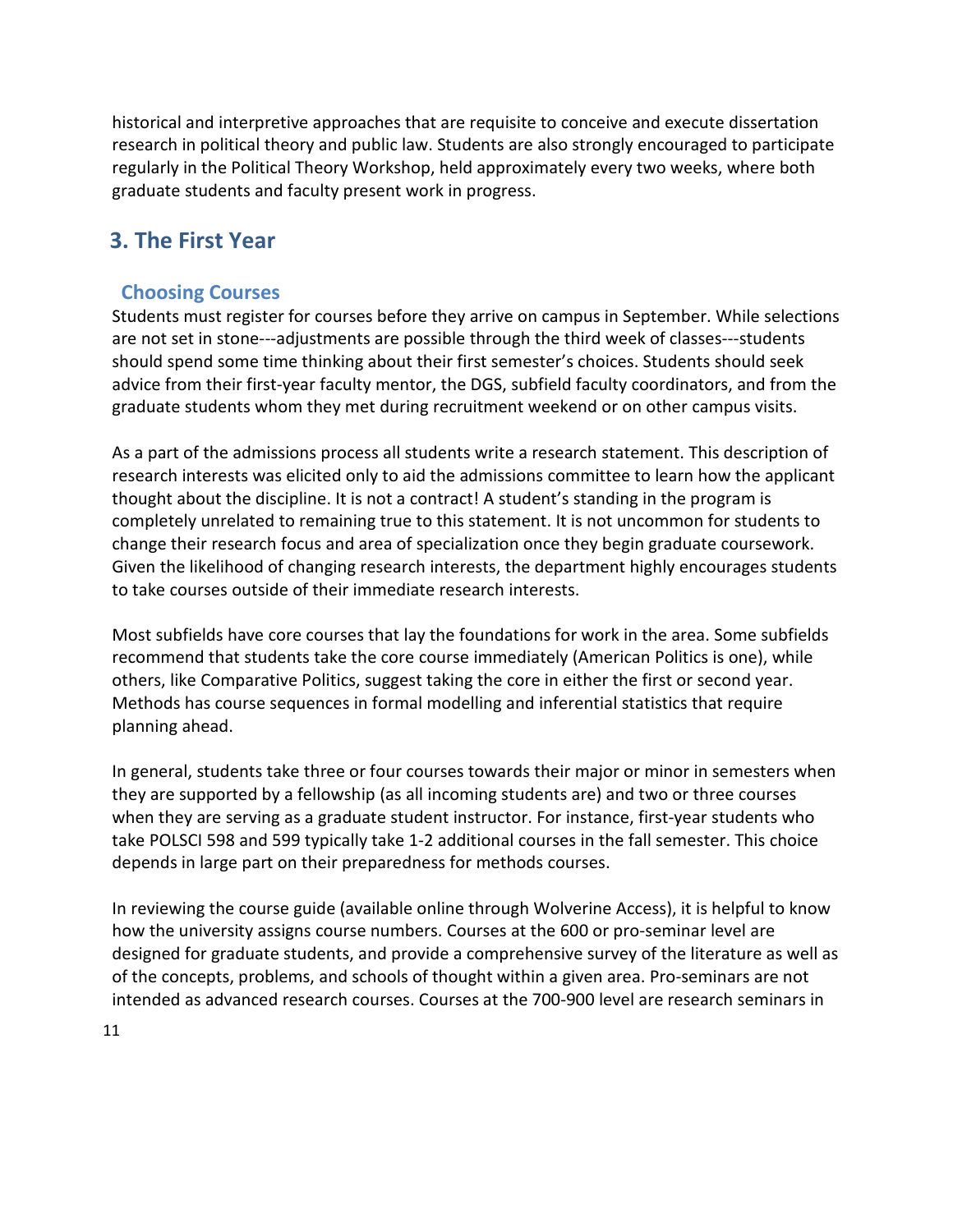historical and interpretive approaches that are requisite to conceive and execute dissertation research in political theory and public law. Students are also strongly encouraged to participate regularly in the Political Theory Workshop, held approximately every two weeks, where both graduate students and faculty present work in progress.

# **3. The First Year**

# <span id="page-11-0"></span>**Choosing Courses**

Students must register for courses before they arrive on campus in September. While selections are not set in stone---adjustments are possible through the third week of classes---students should spend some time thinking about their first semester's choices. Students should seek advice from their first-year faculty mentor, the DGS, subfield faculty coordinators, and from the graduate students whom they met during recruitment weekend or on other campus visits.

As a part of the admissions process all students write a research statement. This description of research interests was elicited only to aid the admissions committee to learn how the applicant thought about the discipline. It is not a contract! A student's standing in the program is completely unrelated to remaining true to this statement. It is not uncommon for students to change their research focus and area of specialization once they begin graduate coursework. Given the likelihood of changing research interests, the department highly encourages students to take courses outside of their immediate research interests.

Most subfields have core courses that lay the foundations for work in the area. Some subfields recommend that students take the core course immediately (American Politics is one), while others, like Comparative Politics, suggest taking the core in either the first or second year. Methods has course sequences in formal modelling and inferential statistics that require planning ahead.

In general, students take three or four courses towards their major or minor in semesters when they are supported by a fellowship (as all incoming students are) and two or three courses when they are serving as a graduate student instructor. For instance, first-year students who take POLSCI 598 and 599 typically take 1-2 additional courses in the fall semester. This choice depends in large part on their preparedness for methods courses.

In reviewing the course guide (available online through Wolverine Access), it is helpful to know how the university assigns course numbers. Courses at the 600 or pro-seminar level are designed for graduate students, and provide a comprehensive survey of the literature as well as of the concepts, problems, and schools of thought within a given area. Pro-seminars are not intended as advanced research courses. Courses at the 700-900 level are research seminars in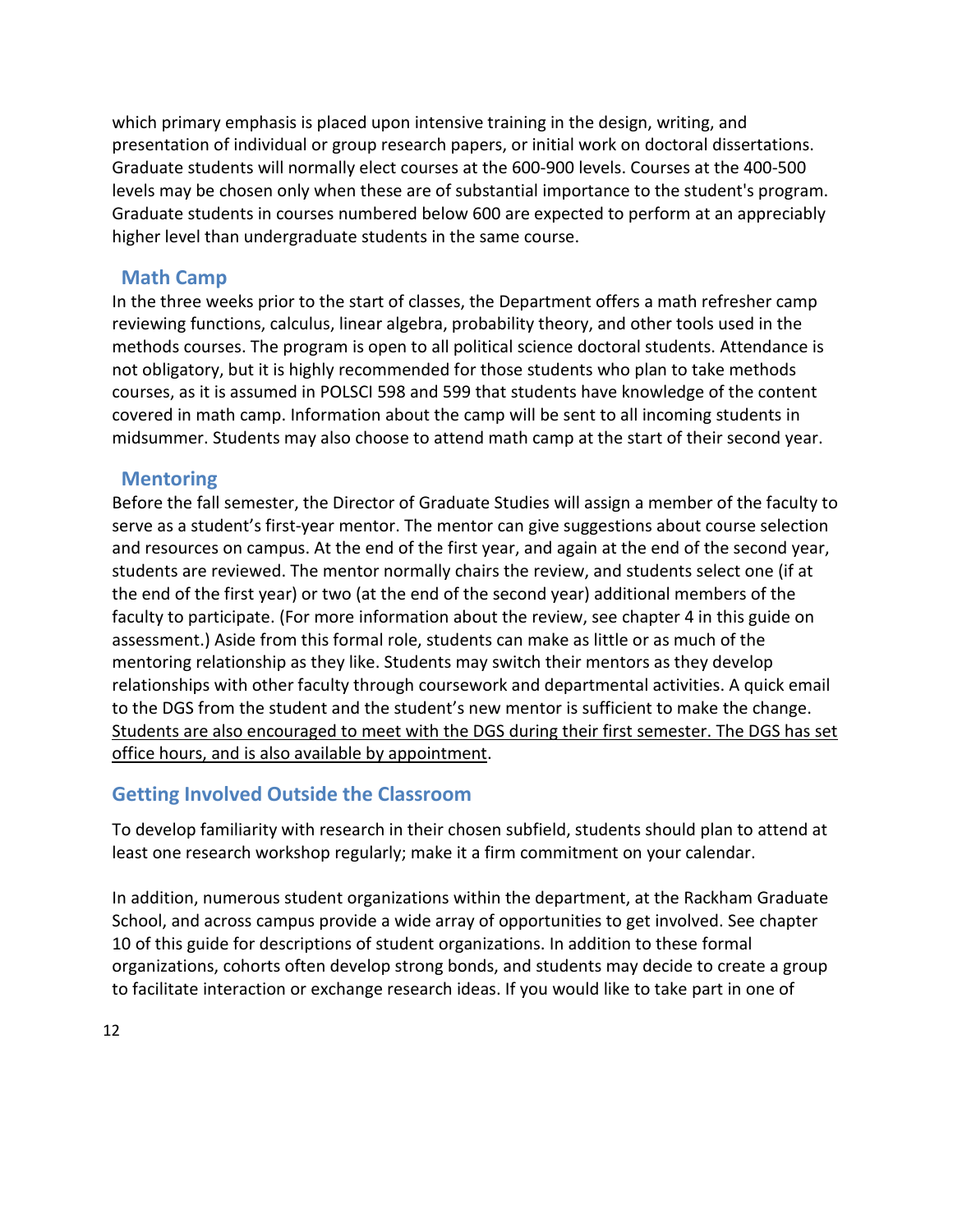which primary emphasis is placed upon intensive training in the design, writing, and presentation of individual or group research papers, or initial work on doctoral dissertations. Graduate students will normally elect courses at the 600-900 levels. Courses at the 400-500 levels may be chosen only when these are of substantial importance to the student's program. Graduate students in courses numbered below 600 are expected to perform at an appreciably higher level than undergraduate students in the same course.

## <span id="page-12-0"></span>**Math Camp**

In the three weeks prior to the start of classes, the Department offers a math refresher camp reviewing functions, calculus, linear algebra, probability theory, and other tools used in the methods courses. The program is open to all political science doctoral students. Attendance is not obligatory, but it is highly recommended for those students who plan to take methods courses, as it is assumed in POLSCI 598 and 599 that students have knowledge of the content covered in math camp. Information about the camp will be sent to all incoming students in midsummer. Students may also choose to attend math camp at the start of their second year.

#### <span id="page-12-1"></span>**Mentoring**

Before the fall semester, the Director of Graduate Studies will assign a member of the faculty to serve as a student's first-year mentor. The mentor can give suggestions about course selection and resources on campus. At the end of the first year, and again at the end of the second year, students are reviewed. The mentor normally chairs the review, and students select one (if at the end of the first year) or two (at the end of the second year) additional members of the faculty to participate. (For more information about the review, see chapter 4 in this guide on assessment.) Aside from this formal role, students can make as little or as much of the mentoring relationship as they like. Students may switch their mentors as they develop relationships with other faculty through coursework and departmental activities. A quick email to the DGS from the student and the student's new mentor is sufficient to make the change. Students are also encouraged to meet with the DGS during their first semester. The DGS has set [office hours,](https://docs.google.com/spreadsheets/d/1iisIxInNkL7cl-coTBxw0Mjy_O1Ha_qzsnOjODuzJqM/edit#gid%3D0) and is also available [by appointment.](mailto:rmickey@umich.edu)

# **Getting Involved Outside the Classroom**

To develop familiarity with research in their chosen subfield, students should plan to attend at least one research workshop regularly; make it a firm commitment on your calendar.

In addition, numerous student organizations within the department, at the Rackham Graduate School, and across campus provide a wide array of opportunities to get involved. See chapter 10 of this guide for descriptions of student organizations. In addition to these formal organizations, cohorts often develop strong bonds, and students may decide to create a group to facilitate interaction or exchange research ideas. If you would like to take part in one of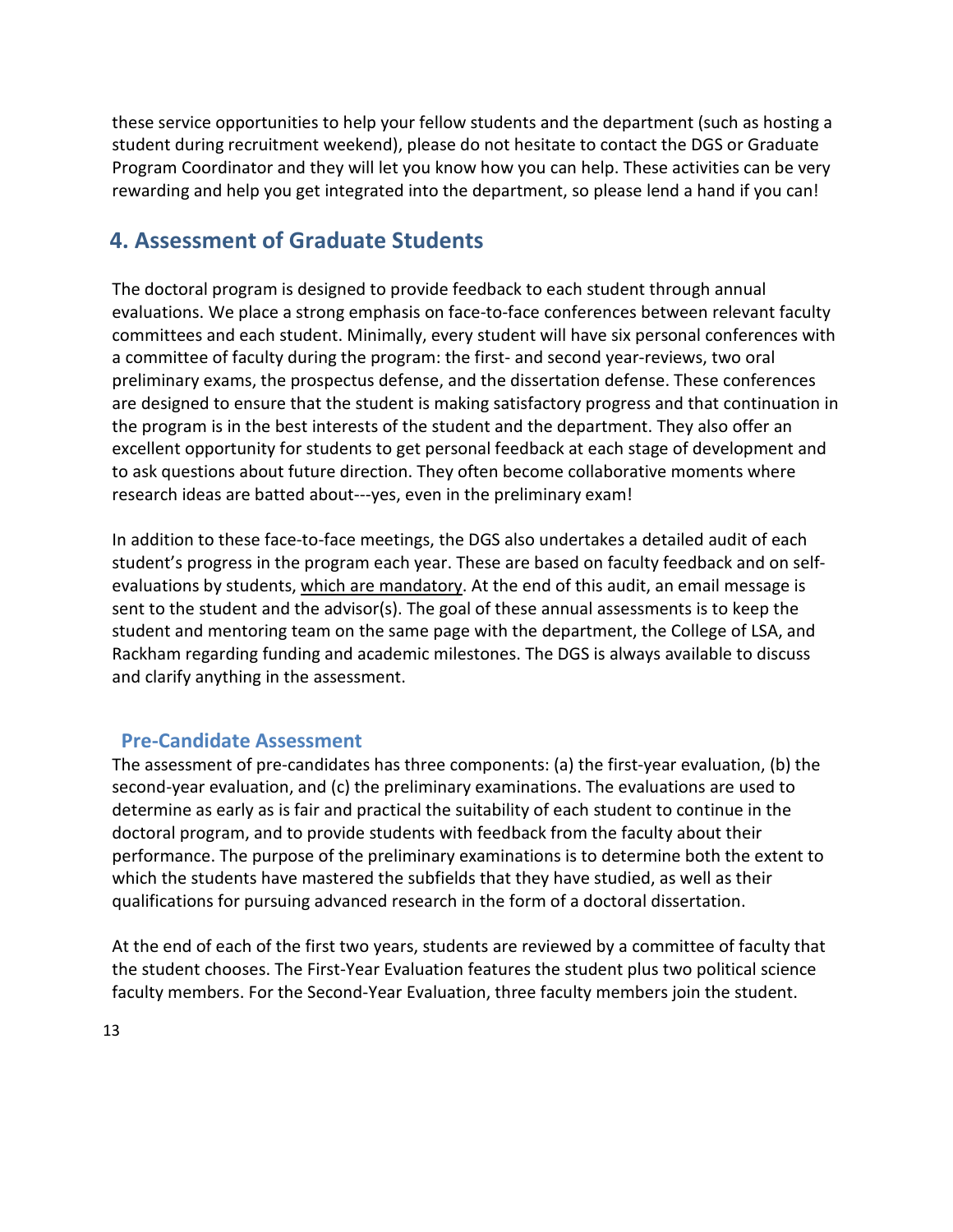these service opportunities to help your fellow students and the department (such as hosting a student during recruitment weekend), please do not hesitate to contact the DGS or Graduate Program Coordinator and they will let you know how you can help. These activities can be very rewarding and help you get integrated into the department, so please lend a hand if you can!

# **4. Assessment of Graduate Students**

The doctoral program is designed to provide feedback to each student through annual evaluations. We place a strong emphasis on face-to-face conferences between relevant faculty committees and each student. Minimally, every student will have six personal conferences with a committee of faculty during the program: the first- and second year-reviews, two oral preliminary exams, the prospectus defense, and the dissertation defense. These conferences are designed to ensure that the student is making satisfactory progress and that continuation in the program is in the best interests of the student and the department. They also offer an excellent opportunity for students to get personal feedback at each stage of development and to ask questions about future direction. They often become collaborative moments where research ideas are batted about---yes, even in the preliminary exam!

In addition to these face-to-face meetings, the DGS also undertakes a detailed audit of each student's progress in the program each year. These are based on faculty feedback and on selfevaluations by students, which are mandatory. At the end of this audit, an email message is sent to the student and the advisor(s). The goal of these annual assessments is to keep the student and mentoring team on the same page with the department, the College of LSA, and Rackham regarding funding and academic milestones. The DGS is always available to discuss and clarify anything in the assessment.

# <span id="page-13-0"></span>**Pre-Candidate Assessment**

The assessment of pre-candidates has three components: (a) the first-year evaluation, (b) the second-year evaluation, and (c) the preliminary examinations. The evaluations are used to determine as early as is fair and practical the suitability of each student to continue in the doctoral program, and to provide students with feedback from the faculty about their performance. The purpose of the preliminary examinations is to determine both the extent to which the students have mastered the subfields that they have studied, as well as their qualifications for pursuing advanced research in the form of a doctoral dissertation.

At the end of each of the first two years, students are reviewed by a committee of faculty that the student chooses. The First-Year Evaluation features the student plus two political science faculty members. For the Second-Year Evaluation, three faculty members join the student.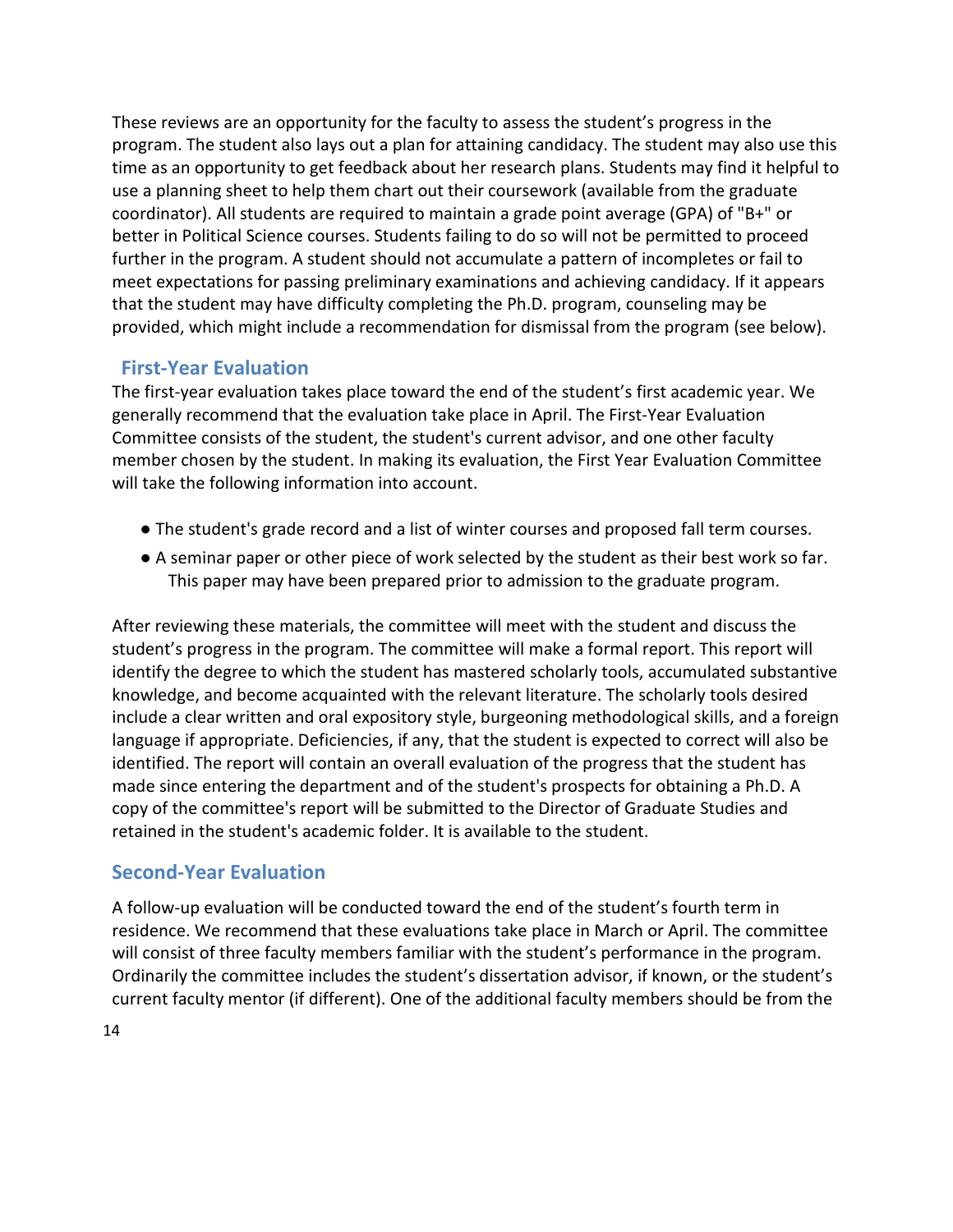These reviews are an opportunity for the faculty to assess the student's progress in the program. The student also lays out a plan for attaining candidacy. The student may also use this time as an opportunity to get feedback about her research plans. Students may find it helpful to use a planning sheet to help them chart out their coursework (available from the graduate coordinator). All students are required to maintain a grade point average (GPA) of "B+" or better in Political Science courses. Students failing to do so will not be permitted to proceed further in the program. A student should not accumulate a pattern of incompletes or fail to meet expectations for passing preliminary examinations and achieving candidacy. If it appears that the student may have difficulty completing the Ph.D. program, counseling may be provided, which might include a recommendation for dismissal from the program (see below).

# <span id="page-14-0"></span>**First-Year Evaluation**

The first-year evaluation takes place toward the end of the student's first academic year. We generally recommend that the evaluation take place in April. The First-Year Evaluation Committee consists of the student, the student's current advisor, and one other faculty member chosen by the student. In making its evaluation, the First Year Evaluation Committee will take the following information into account.

- The student's grade record and a list of winter courses and proposed fall term courses.
- A seminar paper or other piece of work selected by the student as their best work so far. This paper may have been prepared prior to admission to the graduate program.

After reviewing these materials, the committee will meet with the student and discuss the student's progress in the program. The committee will make a formal report. This report will identify the degree to which the student has mastered scholarly tools, accumulated substantive knowledge, and become acquainted with the relevant literature. The scholarly tools desired include a clear written and oral expository style, burgeoning methodological skills, and a foreign language if appropriate. Deficiencies, if any, that the student is expected to correct will also be identified. The report will contain an overall evaluation of the progress that the student has made since entering the department and of the student's prospects for obtaining a Ph.D. A copy of the committee's report will be submitted to the Director of Graduate Studies and retained in the student's academic folder. It is available to the student.

# <span id="page-14-1"></span>**Second-Year Evaluation**

A follow-up evaluation will be conducted toward the end of the student's fourth term in residence. We recommend that these evaluations take place in March or April. The committee will consist of three faculty members familiar with the student's performance in the program. Ordinarily the committee includes the student's dissertation advisor, if known, or the student's current faculty mentor (if different). One of the additional faculty members should be from the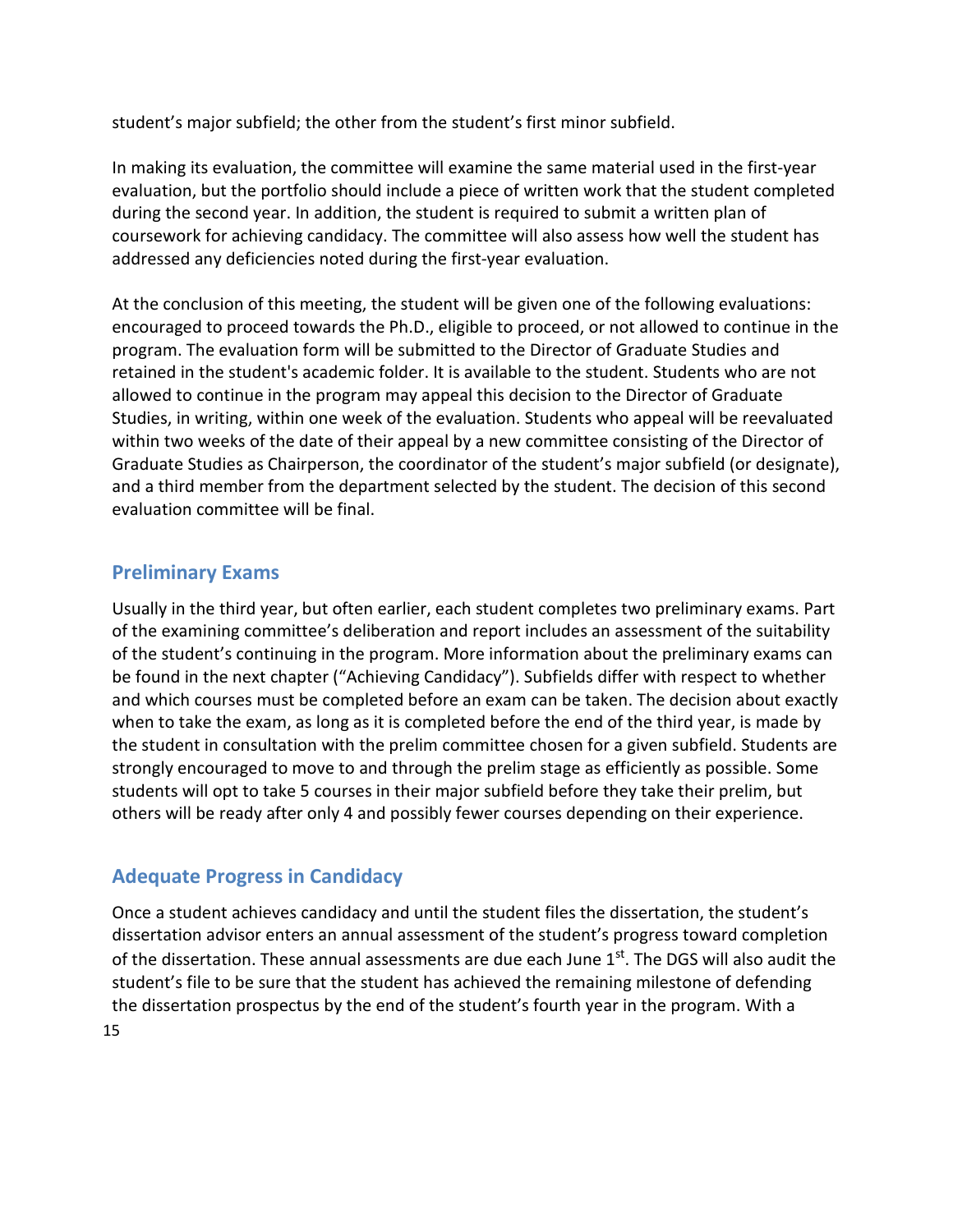student's major subfield; the other from the student's first minor subfield.

In making its evaluation, the committee will examine the same material used in the first-year evaluation, but the portfolio should include a piece of written work that the student completed during the second year. In addition, the student is required to submit a written plan of coursework for achieving candidacy. The committee will also assess how well the student has addressed any deficiencies noted during the first-year evaluation.

At the conclusion of this meeting, the student will be given one of the following evaluations: encouraged to proceed towards the Ph.D., eligible to proceed, or not allowed to continue in the program. The evaluation form will be submitted to the Director of Graduate Studies and retained in the student's academic folder. It is available to the student. Students who are not allowed to continue in the program may appeal this decision to the Director of Graduate Studies, in writing, within one week of the evaluation. Students who appeal will be reevaluated within two weeks of the date of their appeal by a new committee consisting of the Director of Graduate Studies as Chairperson, the coordinator of the student's major subfield (or designate), and a third member from the department selected by the student. The decision of this second evaluation committee will be final.

# <span id="page-15-0"></span>**Preliminary Exams**

Usually in the third year, but often earlier, each student completes two preliminary exams. Part of the examining committee's deliberation and report includes an assessment of the suitability of the student's continuing in the program. More information about the preliminary exams can be found in the next chapter ("Achieving Candidacy"). Subfields differ with respect to whether and which courses must be completed before an exam can be taken. The decision about exactly when to take the exam, as long as it is completed before the end of the third year, is made by the student in consultation with the prelim committee chosen for a given subfield. Students are strongly encouraged to move to and through the prelim stage as efficiently as possible. Some students will opt to take 5 courses in their major subfield before they take their prelim, but others will be ready after only 4 and possibly fewer courses depending on their experience.

# <span id="page-15-1"></span>**Adequate Progress in Candidacy**

Once a student achieves candidacy and until the student files the dissertation, the student's dissertation advisor enters an annual assessment of the student's progress toward completion of the dissertation. These annual assessments are due each June 1<sup>st</sup>. The DGS will also audit the student's file to be sure that the student has achieved the remaining milestone of defending the dissertation prospectus by the end of the student's fourth year in the program. With a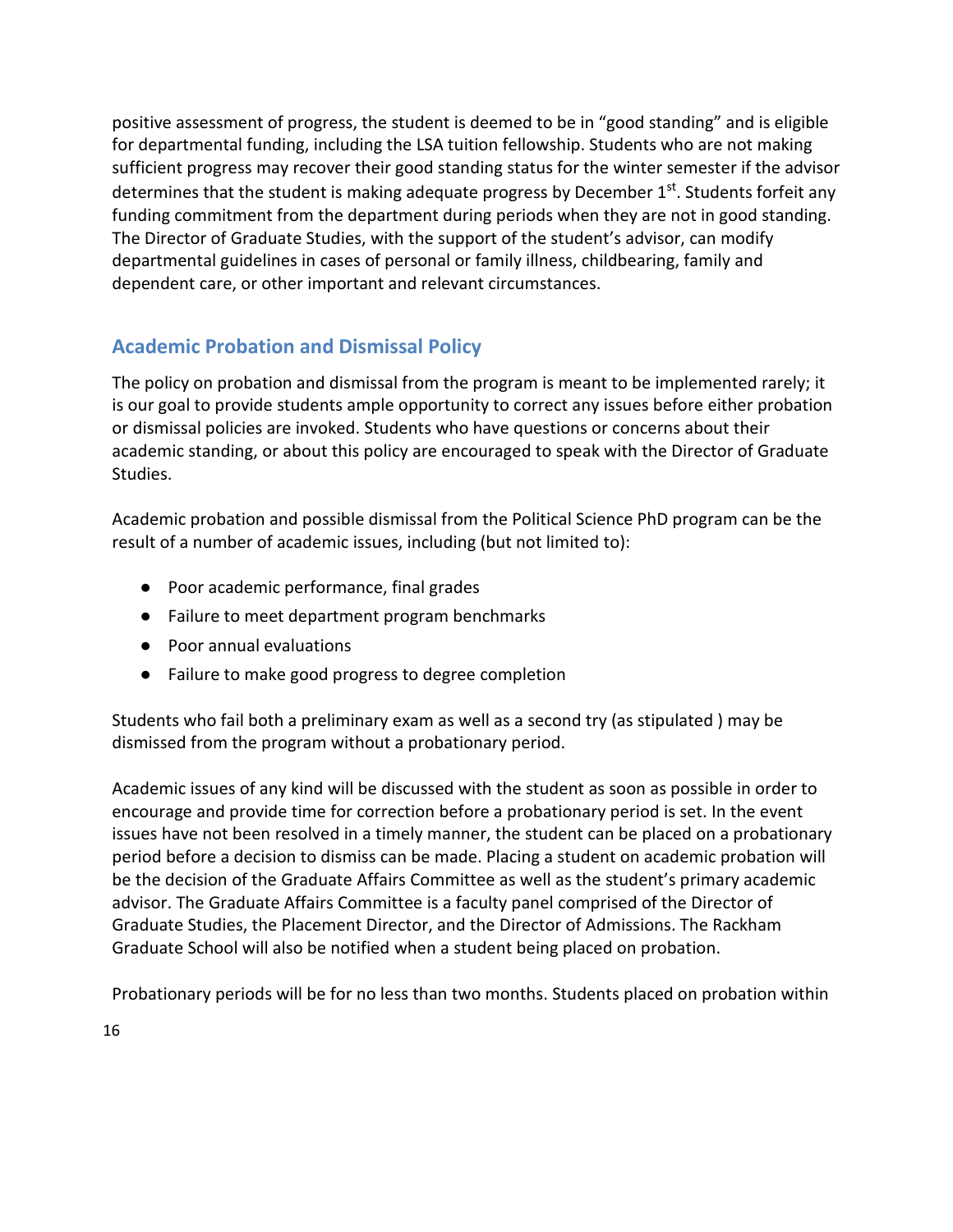positive assessment of progress, the student is deemed to be in "good standing" and is eligible for departmental funding, including the LSA tuition fellowship. Students who are not making sufficient progress may recover their good standing status for the winter semester if the advisor determines that the student is making adequate progress by December 1<sup>st</sup>. Students forfeit any funding commitment from the department during periods when they are not in good standing. The Director of Graduate Studies, with the support of the student's advisor, can modify departmental guidelines in cases of personal or family illness, childbearing, family and dependent care, or other important and relevant circumstances.

# **Academic Probation and Dismissal Policy**

The policy on probation and dismissal from the program is meant to be implemented rarely; it is our goal to provide students ample opportunity to correct any issues before either probation or dismissal policies are invoked. Students who have questions or concerns about their academic standing, or about this policy are encouraged to speak with the Director of Graduate Studies.

Academic probation and possible dismissal from the Political Science PhD program can be the result of a number of academic issues, including (but not limited to):

- Poor academic performance, final grades
- Failure to meet department program benchmarks
- Poor annual evaluations
- Failure to make good progress to degree completion

Students who fail both a preliminary exam as well as a second try (as stipulated ) may be dismissed from the program without a probationary period.

Academic issues of any kind will be discussed with the student as soon as possible in order to encourage and provide time for correction before a probationary period is set. In the event issues have not been resolved in a timely manner, the student can be placed on a probationary period before a decision to dismiss can be made. Placing a student on academic probation will be the decision of the Graduate Affairs Committee as well as the student's primary academic advisor. The Graduate Affairs Committee is a faculty panel comprised of the Director of Graduate Studies, the Placement Director, and the Director of Admissions. The Rackham Graduate School will also be notified when a student being placed on probation.

Probationary periods will be for no less than two months. Students placed on probation within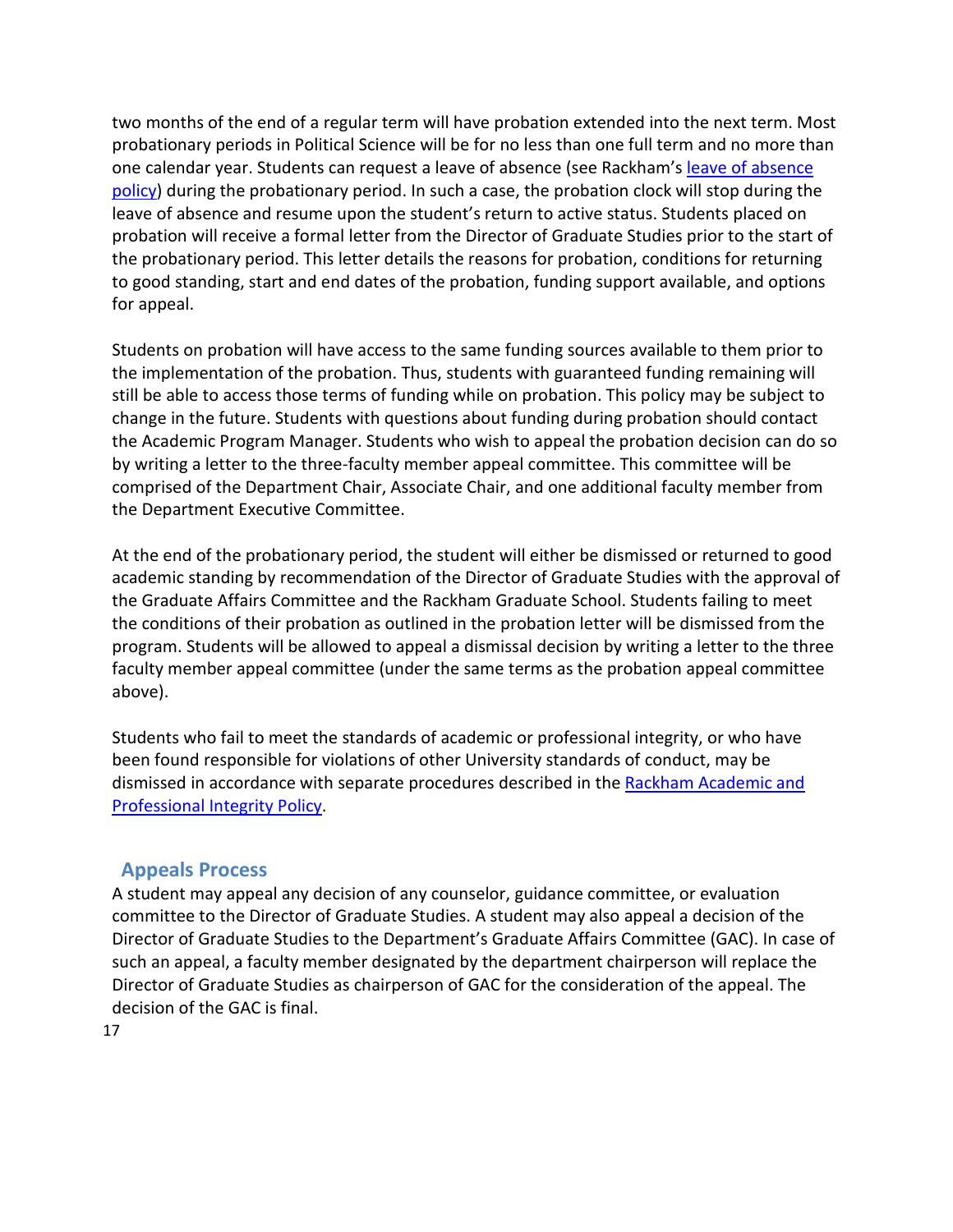two months of the end of a regular term will have probation extended into the next term. Most probationary periods in Political Science will be for no less than one full term and no more than one calendar year. Students can request a leave of absence (see Rackham's [leave of absence](https://rackham.umich.edu/navigating-your-degree/leave-of-absence/) [policy\)](https://rackham.umich.edu/navigating-your-degree/leave-of-absence/) during the probationary period. In such a case, the probation clock will stop during the leave of absence and resume upon the student's return to active status. Students placed on probation will receive a formal letter from the Director of Graduate Studies prior to the start of the probationary period. This letter details the reasons for probation, conditions for returning to good standing, start and end dates of the probation, funding support available, and options for appeal.

Students on probation will have access to the same funding sources available to them prior to the implementation of the probation. Thus, students with guaranteed funding remaining will still be able to access those terms of funding while on probation. This policy may be subject to change in the future. Students with questions about funding during probation should contact the Academic Program Manager. Students who wish to appeal the probation decision can do so by writing a letter to the three-faculty member appeal committee. This committee will be comprised of the Department Chair, Associate Chair, and one additional faculty member from the Department Executive Committee.

At the end of the probationary period, the student will either be dismissed or returned to good academic standing by recommendation of the Director of Graduate Studies with the approval of the Graduate Affairs Committee and the Rackham Graduate School. Students failing to meet the conditions of their probation as outlined in the probation letter will be dismissed from the program. Students will be allowed to appeal a dismissal decision by writing a letter to the three faculty member appeal committee (under the same terms as the probation appeal committee above).

Students who fail to meet the standards of academic or professional integrity, or who have been found responsible for violations of other University standards of conduct, may be dismissed in accordance with separate procedures described in the [Rackham Academic and](https://rackham.umich.edu/academic-policies/section8/) [Professional Integrity Policy.](https://rackham.umich.edu/academic-policies/section8/)

# <span id="page-17-0"></span>**Appeals Process**

A student may appeal any decision of any counselor, guidance committee, or evaluation committee to the Director of Graduate Studies. A student may also appeal a decision of the Director of Graduate Studies to the Department's Graduate Affairs Committee (GAC). In case of such an appeal, a faculty member designated by the department chairperson will replace the Director of Graduate Studies as chairperson of GAC for the consideration of the appeal. The decision of the GAC is final.

17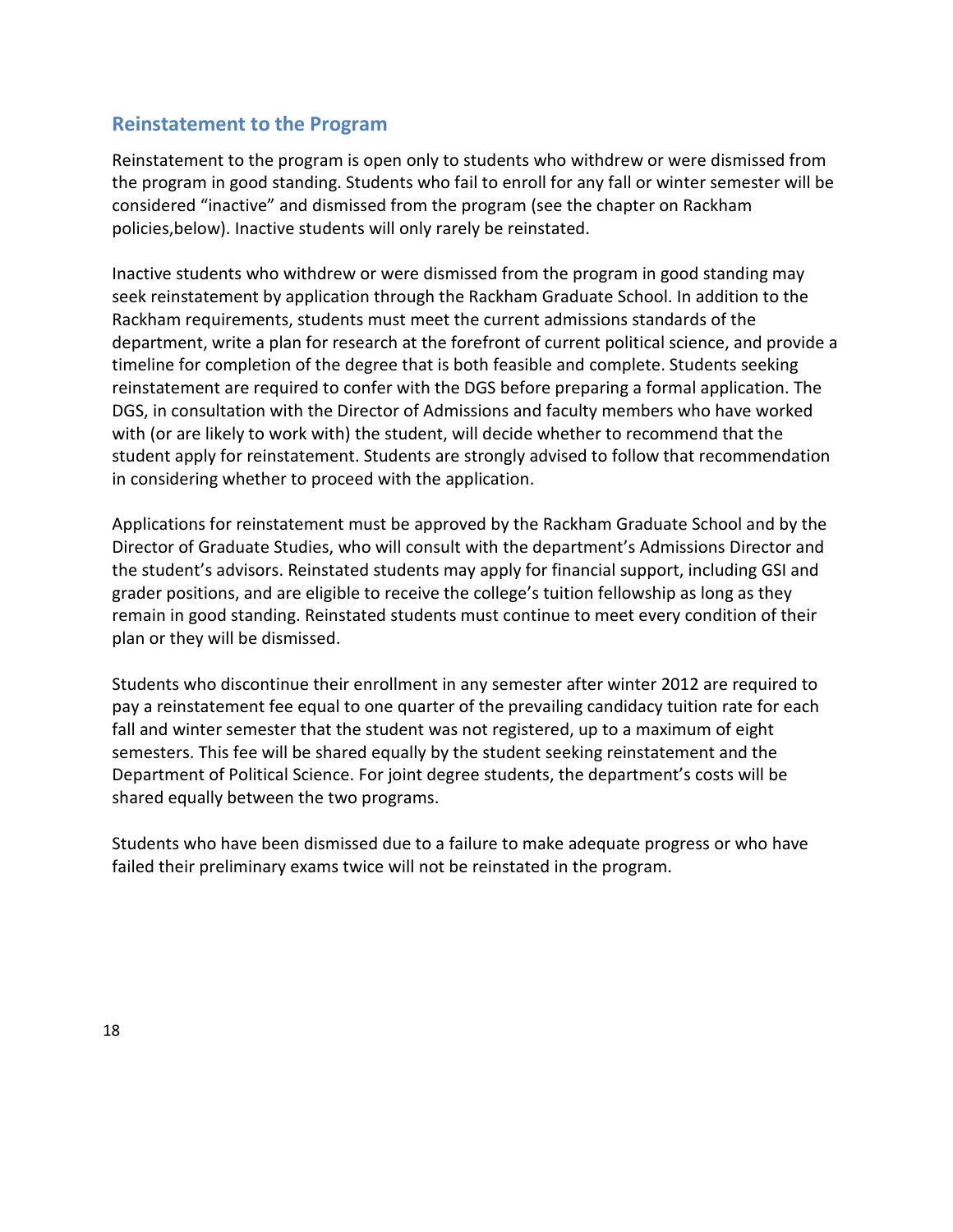## <span id="page-18-0"></span>**Reinstatement to the Program**

Reinstatement to the program is open only to students who withdrew or were dismissed from the program in good standing. Students who fail to enroll for any fall or winter semester will be considered "inactive" and dismissed from the program (see the chapter on Rackham policies,below). Inactive students will only rarely be reinstated.

Inactive students who withdrew or were dismissed from the program in good standing may seek reinstatement by application through the Rackham Graduate School. In addition to the Rackham requirements, students must meet the current admissions standards of the department, write a plan for research at the forefront of current political science, and provide a timeline for completion of the degree that is both feasible and complete. Students seeking reinstatement are required to confer with the DGS before preparing a formal application. The DGS, in consultation with the Director of Admissions and faculty members who have worked with (or are likely to work with) the student, will decide whether to recommend that the student apply for reinstatement. Students are strongly advised to follow that recommendation in considering whether to proceed with the application.

Applications for reinstatement must be approved by the Rackham Graduate School and by the Director of Graduate Studies, who will consult with the department's Admissions Director and the student's advisors. Reinstated students may apply for financial support, including GSI and grader positions, and are eligible to receive the college's tuition fellowship as long as they remain in good standing. Reinstated students must continue to meet every condition of their plan or they will be dismissed.

Students who discontinue their enrollment in any semester after winter 2012 are required to pay a reinstatement fee equal to one quarter of the prevailing candidacy tuition rate for each fall and winter semester that the student was not registered, up to a maximum of eight semesters. This fee will be shared equally by the student seeking reinstatement and the Department of Political Science. For joint degree students, the department's costs will be shared equally between the two programs.

Students who have been dismissed due to a failure to make adequate progress or who have failed their preliminary exams twice will not be reinstated in the program.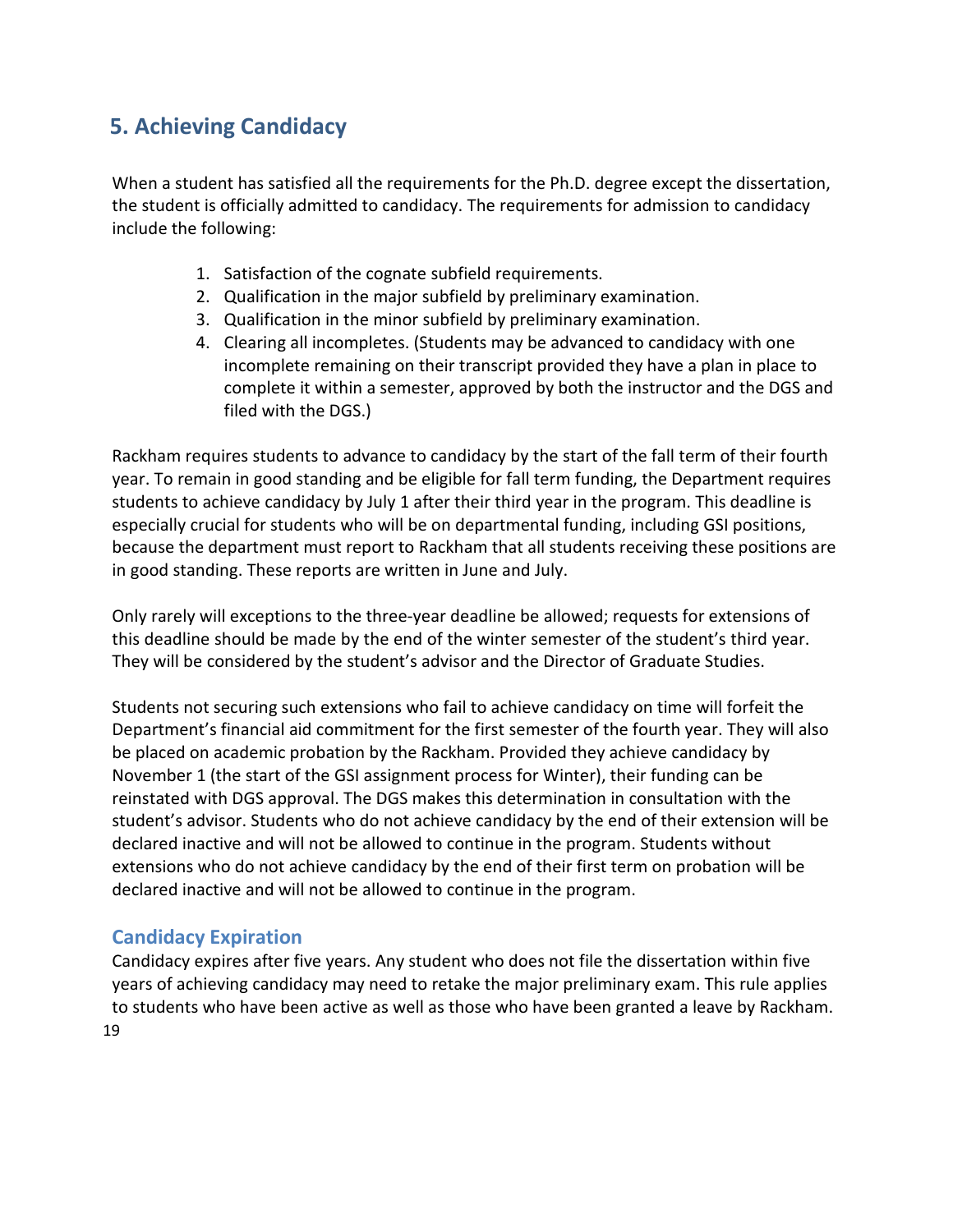# **5. Achieving Candidacy**

When a student has satisfied all the requirements for the Ph.D. degree except the dissertation, the student is officially admitted to candidacy. The requirements for admission to candidacy include the following:

- 1. Satisfaction of the cognate subfield requirements.
- 2. Qualification in the major subfield by preliminary examination.
- 3. Qualification in the minor subfield by preliminary examination.
- 4. Clearing all incompletes. (Students may be advanced to candidacy with one incomplete remaining on their transcript provided they have a plan in place to complete it within a semester, approved by both the instructor and the DGS and filed with the DGS.)

Rackham requires students to advance to candidacy by the start of the fall term of their fourth year. To remain in good standing and be eligible for fall term funding, the Department requires students to achieve candidacy by July 1 after their third year in the program. This deadline is especially crucial for students who will be on departmental funding, including GSI positions, because the department must report to Rackham that all students receiving these positions are in good standing. These reports are written in June and July.

Only rarely will exceptions to the three-year deadline be allowed; requests for extensions of this deadline should be made by the end of the winter semester of the student's third year. They will be considered by the student's advisor and the Director of Graduate Studies.

Students not securing such extensions who fail to achieve candidacy on time will forfeit the Department's financial aid commitment for the first semester of the fourth year. They will also be placed on academic probation by the Rackham. Provided they achieve candidacy by November 1 (the start of the GSI assignment process for Winter), their funding can be reinstated with DGS approval. The DGS makes this determination in consultation with the student's advisor. Students who do not achieve candidacy by the end of their extension will be declared inactive and will not be allowed to continue in the program. Students without extensions who do not achieve candidacy by the end of their first term on probation will be declared inactive and will not be allowed to continue in the program.

# **Candidacy Expiration**

19 Candidacy expires after five years. Any student who does not file the dissertation within five years of achieving candidacy may need to retake the major preliminary exam. This rule applies to students who have been active as well as those who have been granted a leave by Rackham.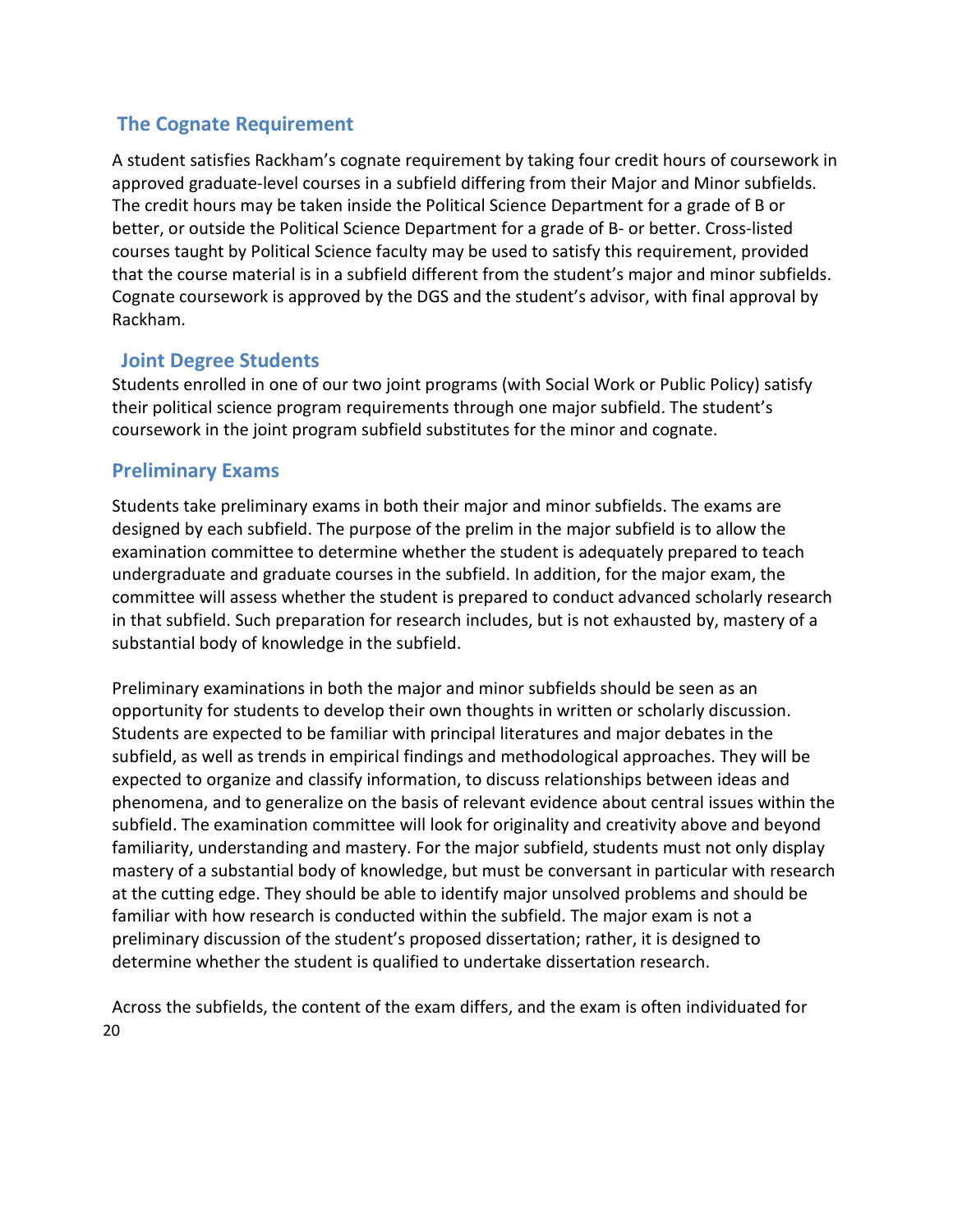# <span id="page-20-0"></span> **The Cognate Requirement**

A student satisfies Rackham's cognate requirement by taking four credit hours of coursework in approved graduate-level courses in a subfield differing from their Major and Minor subfields. The credit hours may be taken inside the Political Science Department for a grade of B or better, or outside the Political Science Department for a grade of B- or better. Cross-listed courses taught by Political Science faculty may be used to satisfy this requirement, provided that the course material is in a subfield different from the student's major and minor subfields. Cognate coursework is approved by the DGS and the student's advisor, with final approval by Rackham.

# <span id="page-20-1"></span>**Joint Degree Students**

Students enrolled in one of our two joint programs (with Social Work or Public Policy) satisfy their political science program requirements through one major subfield. The student's coursework in the joint program subfield substitutes for the minor and cognate.

# <span id="page-20-2"></span>**Preliminary Exams**

Students take preliminary exams in both their major and minor subfields. The exams are designed by each subfield. The purpose of the prelim in the major subfield is to allow the examination committee to determine whether the student is adequately prepared to teach undergraduate and graduate courses in the subfield. In addition, for the major exam, the committee will assess whether the student is prepared to conduct advanced scholarly research in that subfield. Such preparation for research includes, but is not exhausted by, mastery of a substantial body of knowledge in the subfield.

Preliminary examinations in both the major and minor subfields should be seen as an opportunity for students to develop their own thoughts in written or scholarly discussion. Students are expected to be familiar with principal literatures and major debates in the subfield, as well as trends in empirical findings and methodological approaches. They will be expected to organize and classify information, to discuss relationships between ideas and phenomena, and to generalize on the basis of relevant evidence about central issues within the subfield. The examination committee will look for originality and creativity above and beyond familiarity, understanding and mastery. For the major subfield, students must not only display mastery of a substantial body of knowledge, but must be conversant in particular with research at the cutting edge. They should be able to identify major unsolved problems and should be familiar with how research is conducted within the subfield. The major exam is not a preliminary discussion of the student's proposed dissertation; rather, it is designed to determine whether the student is qualified to undertake dissertation research.

20 Across the subfields, the content of the exam differs, and the exam is often individuated for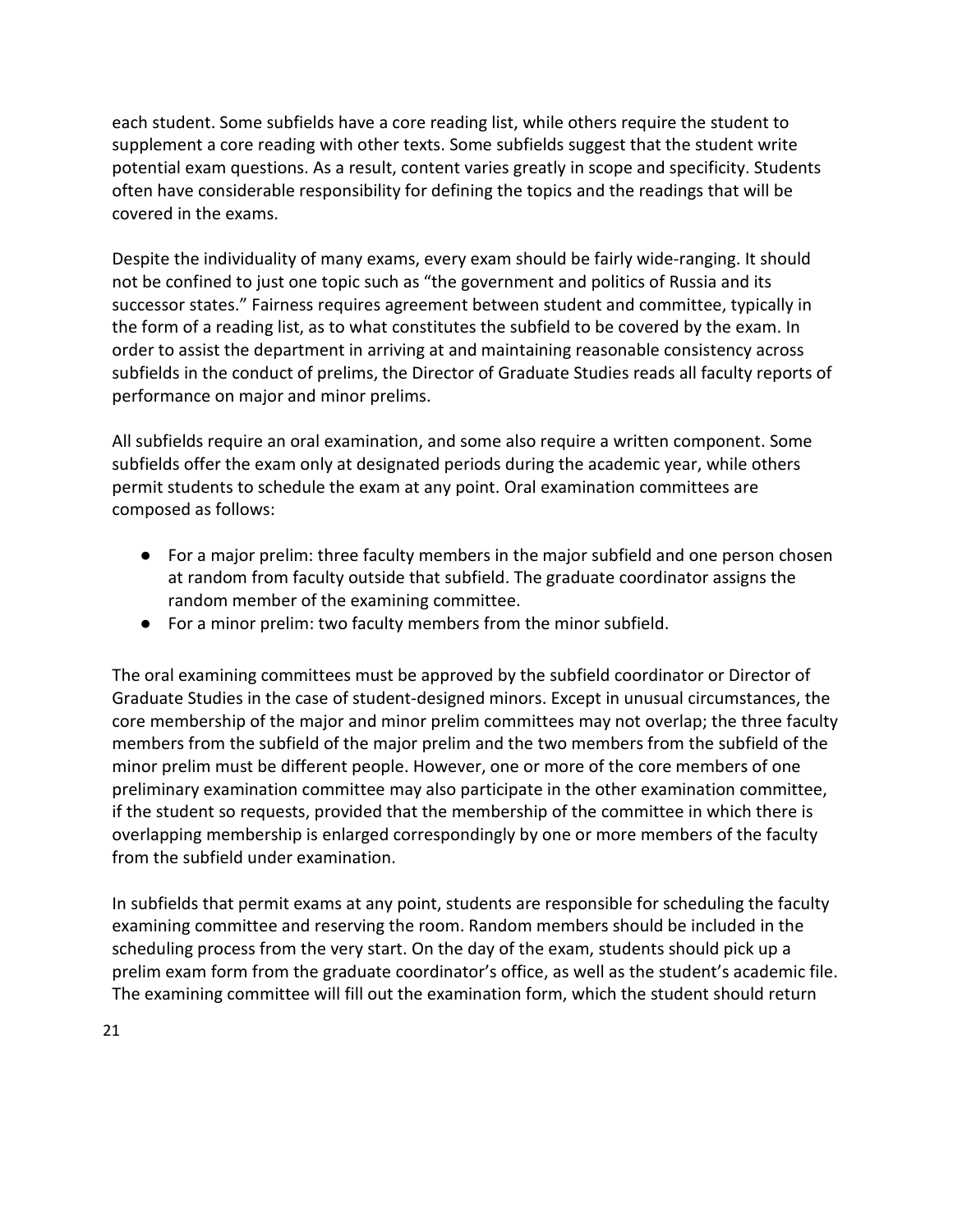each student. Some subfields have a core reading list, while others require the student to supplement a core reading with other texts. Some subfields suggest that the student write potential exam questions. As a result, content varies greatly in scope and specificity. Students often have considerable responsibility for defining the topics and the readings that will be covered in the exams.

Despite the individuality of many exams, every exam should be fairly wide-ranging. It should not be confined to just one topic such as "the government and politics of Russia and its successor states." Fairness requires agreement between student and committee, typically in the form of a reading list, as to what constitutes the subfield to be covered by the exam. In order to assist the department in arriving at and maintaining reasonable consistency across subfields in the conduct of prelims, the Director of Graduate Studies reads all faculty reports of performance on major and minor prelims.

All subfields require an oral examination, and some also require a written component. Some subfields offer the exam only at designated periods during the academic year, while others permit students to schedule the exam at any point. Oral examination committees are composed as follows:

- For a major prelim: three faculty members in the major subfield and one person chosen at random from faculty outside that subfield. The graduate coordinator assigns the random member of the examining committee.
- For a minor prelim: two faculty members from the minor subfield.

The oral examining committees must be approved by the subfield coordinator or Director of Graduate Studies in the case of student-designed minors. Except in unusual circumstances, the core membership of the major and minor prelim committees may not overlap; the three faculty members from the subfield of the major prelim and the two members from the subfield of the minor prelim must be different people. However, one or more of the core members of one preliminary examination committee may also participate in the other examination committee, if the student so requests, provided that the membership of the committee in which there is overlapping membership is enlarged correspondingly by one or more members of the faculty from the subfield under examination.

In subfields that permit exams at any point, students are responsible for scheduling the faculty examining committee and reserving the room. Random members should be included in the scheduling process from the very start. On the day of the exam, students should pick up a prelim exam form from the graduate coordinator's office, as well as the student's academic file. The examining committee will fill out the examination form, which the student should return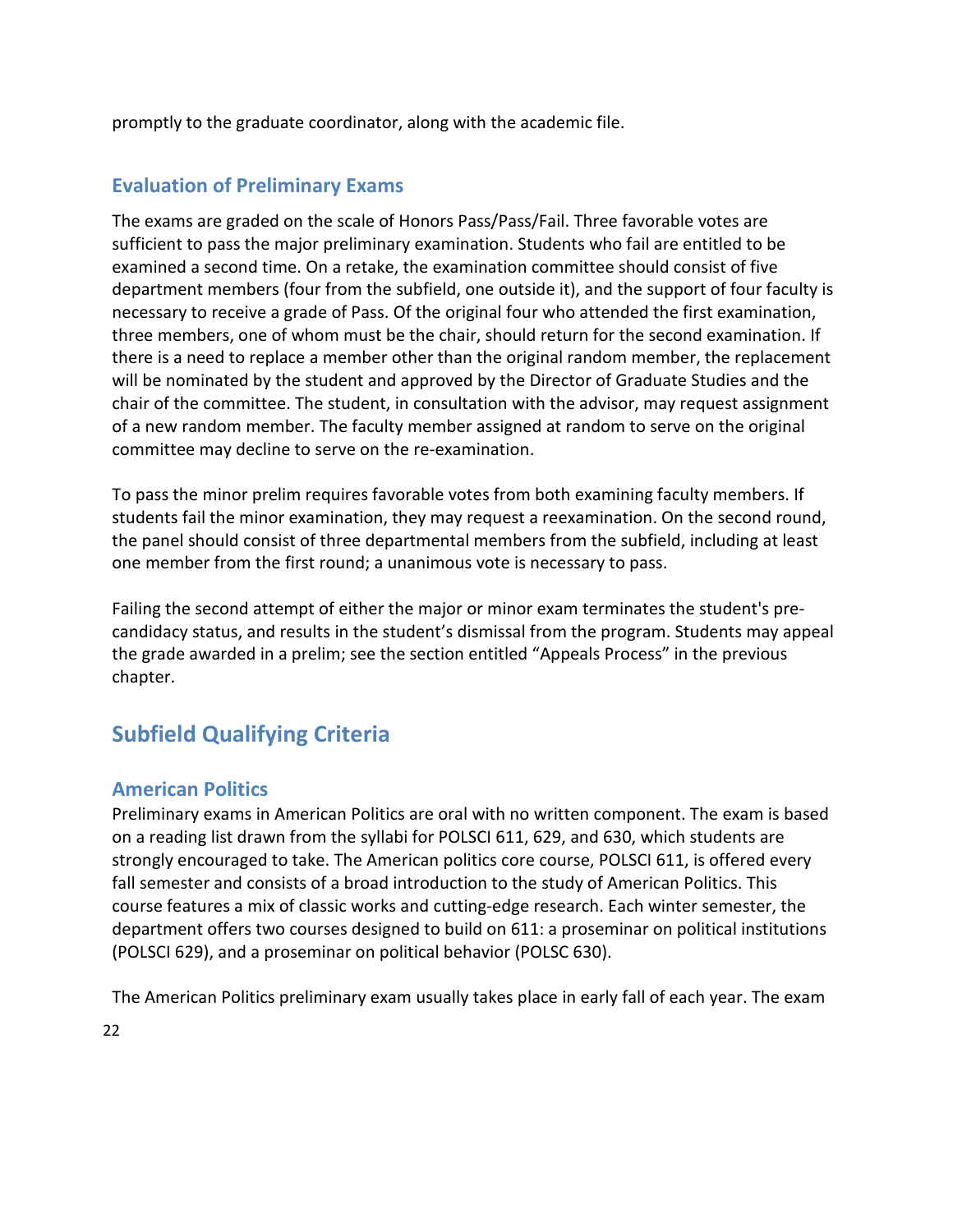promptly to the graduate coordinator, along with the academic file.

# **Evaluation of Preliminary Exams**

The exams are graded on the scale of Honors Pass/Pass/Fail. Three favorable votes are sufficient to pass the major preliminary examination. Students who fail are entitled to be examined a second time. On a retake, the examination committee should consist of five department members (four from the subfield, one outside it), and the support of four faculty is necessary to receive a grade of Pass. Of the original four who attended the first examination, three members, one of whom must be the chair, should return for the second examination. If there is a need to replace a member other than the original random member, the replacement will be nominated by the student and approved by the Director of Graduate Studies and the chair of the committee. The student, in consultation with the advisor, may request assignment of a new random member. The faculty member assigned at random to serve on the original committee may decline to serve on the re-examination.

To pass the minor prelim requires favorable votes from both examining faculty members. If students fail the minor examination, they may request a reexamination. On the second round, the panel should consist of three departmental members from the subfield, including at least one member from the first round; a unanimous vote is necessary to pass.

Failing the second attempt of either the major or minor exam terminates the student's precandidacy status, and results in the student's dismissal from the program. Students may appeal the grade awarded in a prelim; see the section entitled "Appeals Process" in the previous chapter.

# **Subfield Qualifying Criteria**

# **American Politics**

Preliminary exams in American Politics are oral with no written component. The exam is based on a reading list drawn from the syllabi for POLSCI 611, 629, and 630, which students are strongly encouraged to take. The American politics core course, POLSCI 611, is offered every fall semester and consists of a broad introduction to the study of American Politics. This course features a mix of classic works and cutting-edge research. Each winter semester, the department offers two courses designed to build on 611: a proseminar on political institutions (POLSCI 629), and a proseminar on political behavior (POLSC 630).

The American Politics preliminary exam usually takes place in early fall of each year. The exam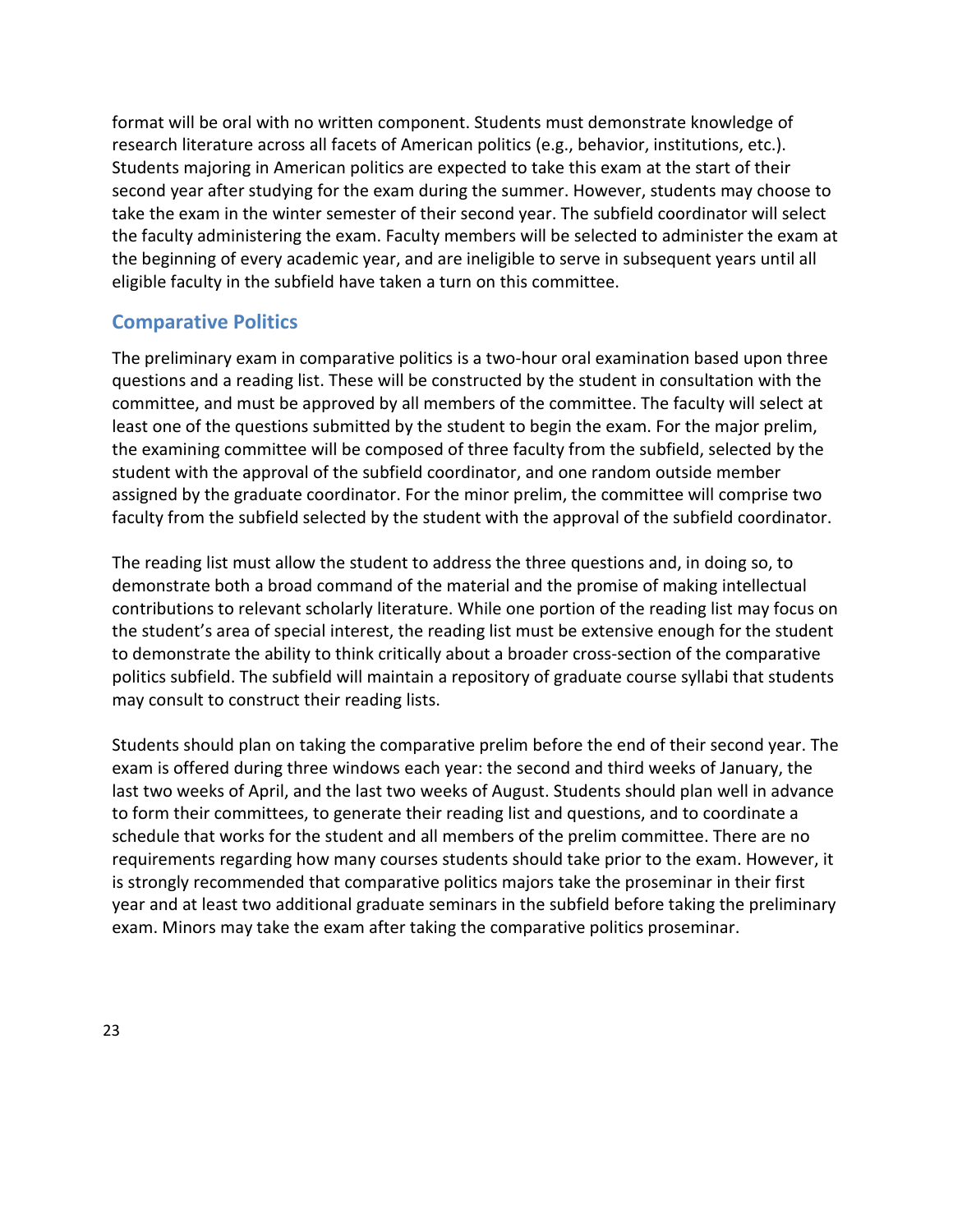format will be oral with no written component. Students must demonstrate knowledge of research literature across all facets of American politics (e.g., behavior, institutions, etc.). Students majoring in American politics are expected to take this exam at the start of their second year after studying for the exam during the summer. However, students may choose to take the exam in the winter semester of their second year. The subfield coordinator will select the faculty administering the exam. Faculty members will be selected to administer the exam at the beginning of every academic year, and are ineligible to serve in subsequent years until all eligible faculty in the subfield have taken a turn on this committee.

# <span id="page-23-0"></span>**Comparative Politics**

The preliminary exam in comparative politics is a two-hour oral examination based upon three questions and a reading list. These will be constructed by the student in consultation with the committee, and must be approved by all members of the committee. The faculty will select at least one of the questions submitted by the student to begin the exam. For the major prelim, the examining committee will be composed of three faculty from the subfield, selected by the student with the approval of the subfield coordinator, and one random outside member assigned by the graduate coordinator. For the minor prelim, the committee will comprise two faculty from the subfield selected by the student with the approval of the subfield coordinator.

The reading list must allow the student to address the three questions and, in doing so, to demonstrate both a broad command of the material and the promise of making intellectual contributions to relevant scholarly literature. While one portion of the reading list may focus on the student's area of special interest, the reading list must be extensive enough for the student to demonstrate the ability to think critically about a broader cross-section of the comparative politics subfield. The subfield will maintain a repository of graduate course syllabi that students may consult to construct their reading lists.

<span id="page-23-1"></span>Students should plan on taking the comparative prelim before the end of their second year. The exam is offered during three windows each year: the second and third weeks of January, the last two weeks of April, and the last two weeks of August. Students should plan well in advance to form their committees, to generate their reading list and questions, and to coordinate a schedule that works for the student and all members of the prelim committee. There are no requirements regarding how many courses students should take prior to the exam. However, it is strongly recommended that comparative politics majors take the proseminar in their first year and at least two additional graduate seminars in the subfield before taking the preliminary exam. Minors may take the exam after taking the comparative politics proseminar.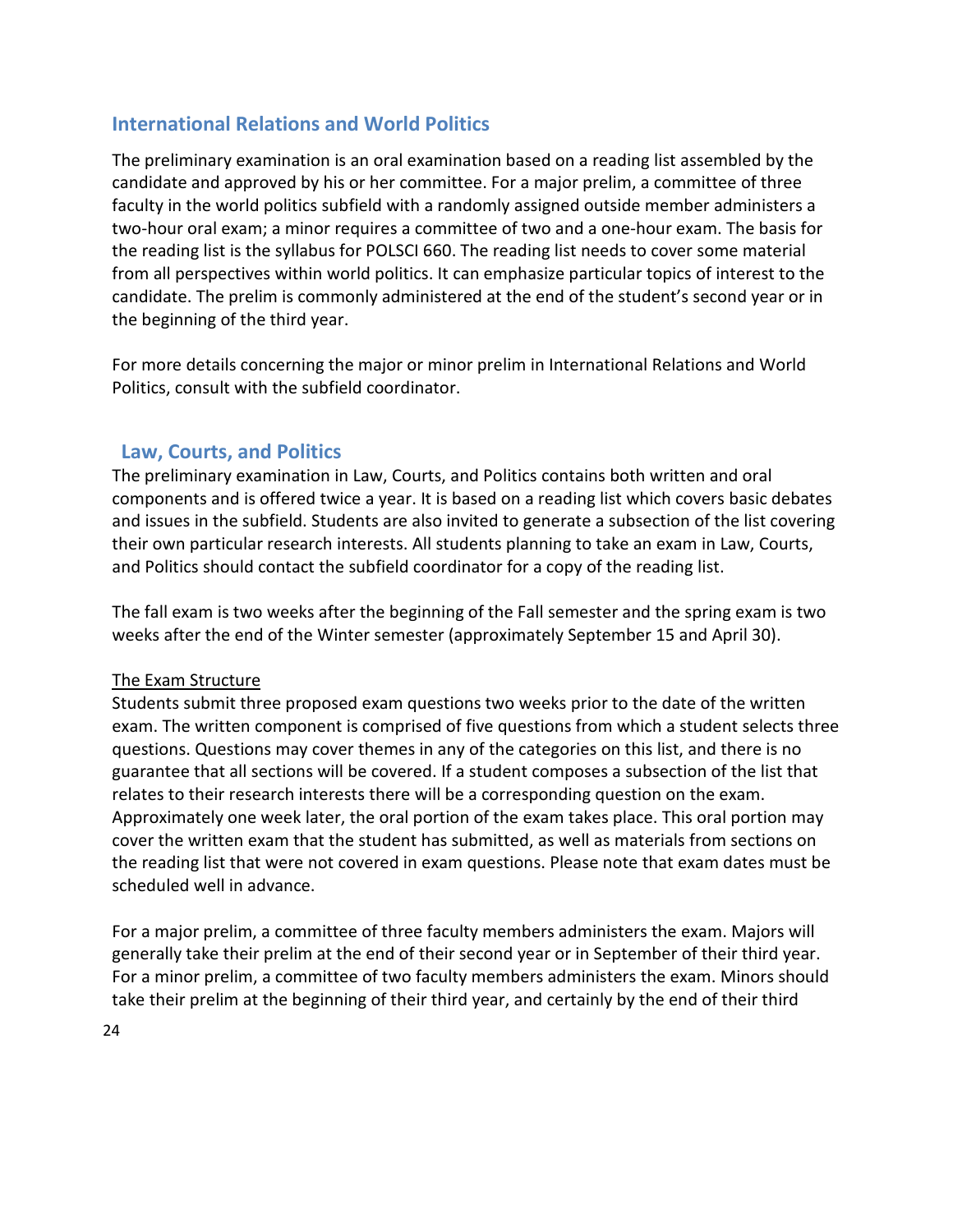# **International Relations and World Politics**

The preliminary examination is an oral examination based on a reading list assembled by the candidate and approved by his or her committee. For a major prelim, a committee of three faculty in the world politics subfield with a randomly assigned outside member administers a two-hour oral exam; a minor requires a committee of two and a one-hour exam. The basis for the reading list is the syllabus for POLSCI 660. The reading list needs to cover some material from all perspectives within world politics. It can emphasize particular topics of interest to the candidate. The prelim is commonly administered at the end of the student's second year or in the beginning of the third year.

For more details concerning the major or minor prelim in International Relations and World Politics, consult with the subfield coordinator.

# <span id="page-24-0"></span>**Law, Courts, and Politics**

The preliminary examination in Law, Courts, and Politics contains both written and oral components and is offered twice a year. It is based on a reading list which covers basic debates and issues in the subfield. Students are also invited to generate a subsection of the list covering their own particular research interests. All students planning to take an exam in Law, Courts, and Politics should contact the subfield coordinator for a copy of the reading list.

The fall exam is two weeks after the beginning of the Fall semester and the spring exam is two weeks after the end of the Winter semester (approximately September 15 and April 30).

#### The Exam Structure

Students submit three proposed exam questions two weeks prior to the date of the written exam. The written component is comprised of five questions from which a student selects three questions. Questions may cover themes in any of the categories on this list, and there is no guarantee that all sections will be covered. If a student composes a subsection of the list that relates to their research interests there will be a corresponding question on the exam. Approximately one week later, the oral portion of the exam takes place. This oral portion may cover the written exam that the student has submitted, as well as materials from sections on the reading list that were not covered in exam questions. Please note that exam dates must be scheduled well in advance.

For a major prelim, a committee of three faculty members administers the exam. Majors will generally take their prelim at the end of their second year or in September of their third year. For a minor prelim, a committee of two faculty members administers the exam. Minors should take their prelim at the beginning of their third year, and certainly by the end of their third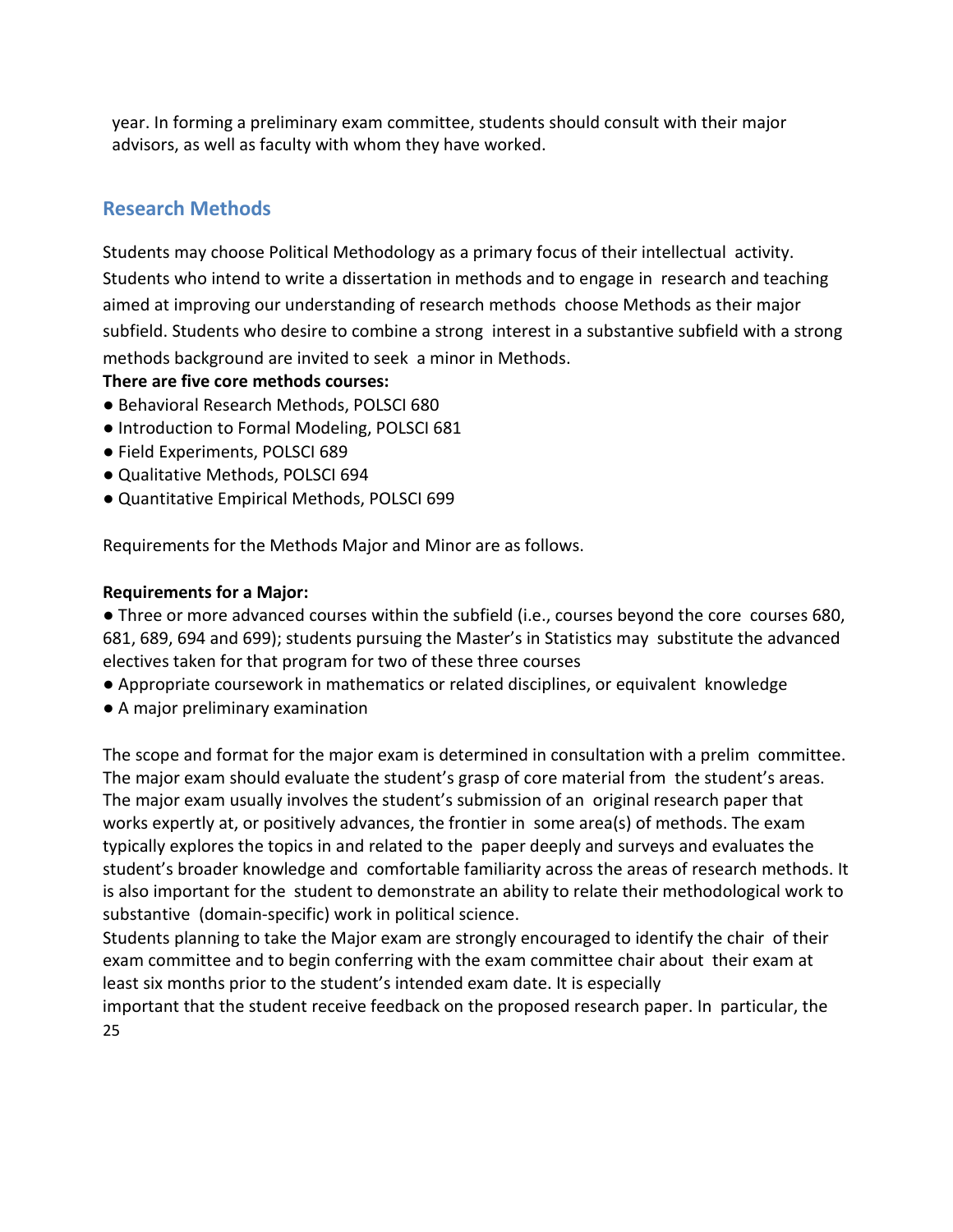year. In forming a preliminary exam committee, students should consult with their major advisors, as well as faculty with whom they have worked.

# **Research Methods**

Students may choose Political Methodology as a primary focus of their intellectual activity. Students who intend to write a dissertation in methods and to engage in research and teaching aimed at improving our understanding of research methods choose Methods as their major subfield. Students who desire to combine a strong interest in a substantive subfield with a strong methods background are invited to seek a minor in Methods.

**There are five core methods courses:** 

- Behavioral Research Methods, POLSCI 680
- Introduction to Formal Modeling, POLSCI 681
- Field Experiments, POLSCI 689
- Qualitative Methods, POLSCI 694
- Quantitative Empirical Methods, POLSCI 699

Requirements for the Methods Major and Minor are as follows.

#### **Requirements for a Major:**

● Three or more advanced courses within the subfield (i.e., courses beyond the core courses 680, 681, 689, 694 and 699); students pursuing the Master's in Statistics may substitute the advanced electives taken for that program for two of these three courses

- Appropriate coursework in mathematics or related disciplines, or equivalent knowledge
- A major preliminary examination

The scope and format for the major exam is determined in consultation with a prelim committee. The major exam should evaluate the student's grasp of core material from the student's areas. The major exam usually involves the student's submission of an original research paper that works expertly at, or positively advances, the frontier in some area(s) of methods. The exam typically explores the topics in and related to the paper deeply and surveys and evaluates the student's broader knowledge and comfortable familiarity across the areas of research methods. It is also important for the student to demonstrate an ability to relate their methodological work to substantive (domain-specific) work in political science.

Students planning to take the Major exam are strongly encouraged to identify the chair of their exam committee and to begin conferring with the exam committee chair about their exam at least six months prior to the student's intended exam date. It is especially

25 important that the student receive feedback on the proposed research paper. In particular, the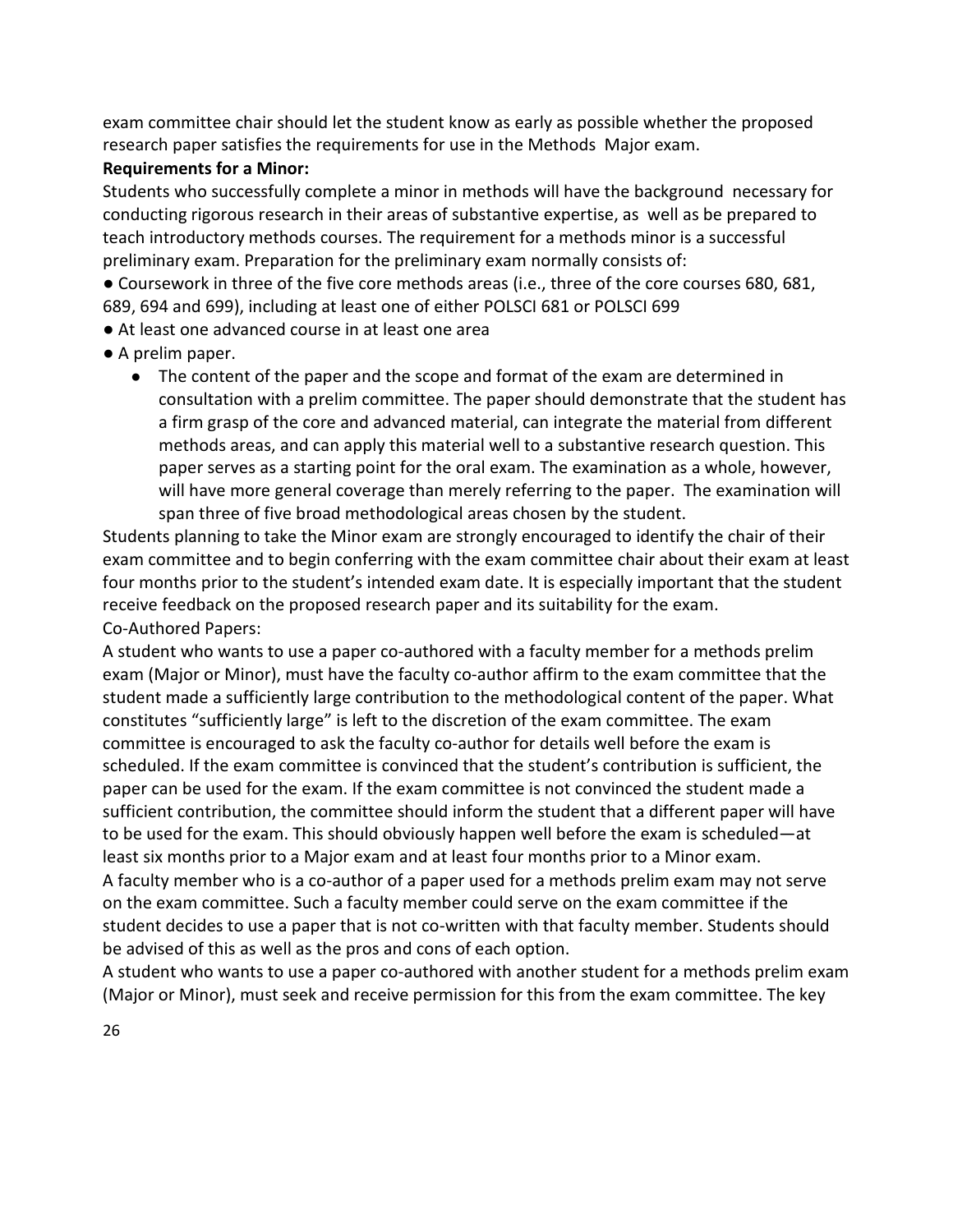exam committee chair should let the student know as early as possible whether the proposed research paper satisfies the requirements for use in the Methods Major exam.

## **Requirements for a Minor:**

Students who successfully complete a minor in methods will have the background necessary for conducting rigorous research in their areas of substantive expertise, as well as be prepared to teach introductory methods courses. The requirement for a methods minor is a successful preliminary exam. Preparation for the preliminary exam normally consists of:

● Coursework in three of the five core methods areas (i.e., three of the core courses 680, 681, 689, 694 and 699), including at least one of either POLSCI 681 or POLSCI 699

- At least one advanced course in at least one area
- A prelim paper.
	- The content of the paper and the scope and format of the exam are determined in consultation with a prelim committee. The paper should demonstrate that the student has a firm grasp of the core and advanced material, can integrate the material from different methods areas, and can apply this material well to a substantive research question. This paper serves as a starting point for the oral exam. The examination as a whole, however, will have more general coverage than merely referring to the paper. The examination will span three of five broad methodological areas chosen by the student.

Students planning to take the Minor exam are strongly encouraged to identify the chair of their exam committee and to begin conferring with the exam committee chair about their exam at least four months prior to the student's intended exam date. It is especially important that the student receive feedback on the proposed research paper and its suitability for the exam. Co-Authored Papers:

A student who wants to use a paper co-authored with a faculty member for a methods prelim exam (Major or Minor), must have the faculty co-author affirm to the exam committee that the student made a sufficiently large contribution to the methodological content of the paper. What constitutes "sufficiently large" is left to the discretion of the exam committee. The exam committee is encouraged to ask the faculty co-author for details well before the exam is scheduled. If the exam committee is convinced that the student's contribution is sufficient, the paper can be used for the exam. If the exam committee is not convinced the student made a sufficient contribution, the committee should inform the student that a different paper will have to be used for the exam. This should obviously happen well before the exam is scheduled—at least six months prior to a Major exam and at least four months prior to a Minor exam. A faculty member who is a co-author of a paper used for a methods prelim exam may not serve on the exam committee. Such a faculty member could serve on the exam committee if the student decides to use a paper that is not co-written with that faculty member. Students should be advised of this as well as the pros and cons of each option.

A student who wants to use a paper co-authored with another student for a methods prelim exam (Major or Minor), must seek and receive permission for this from the exam committee. The key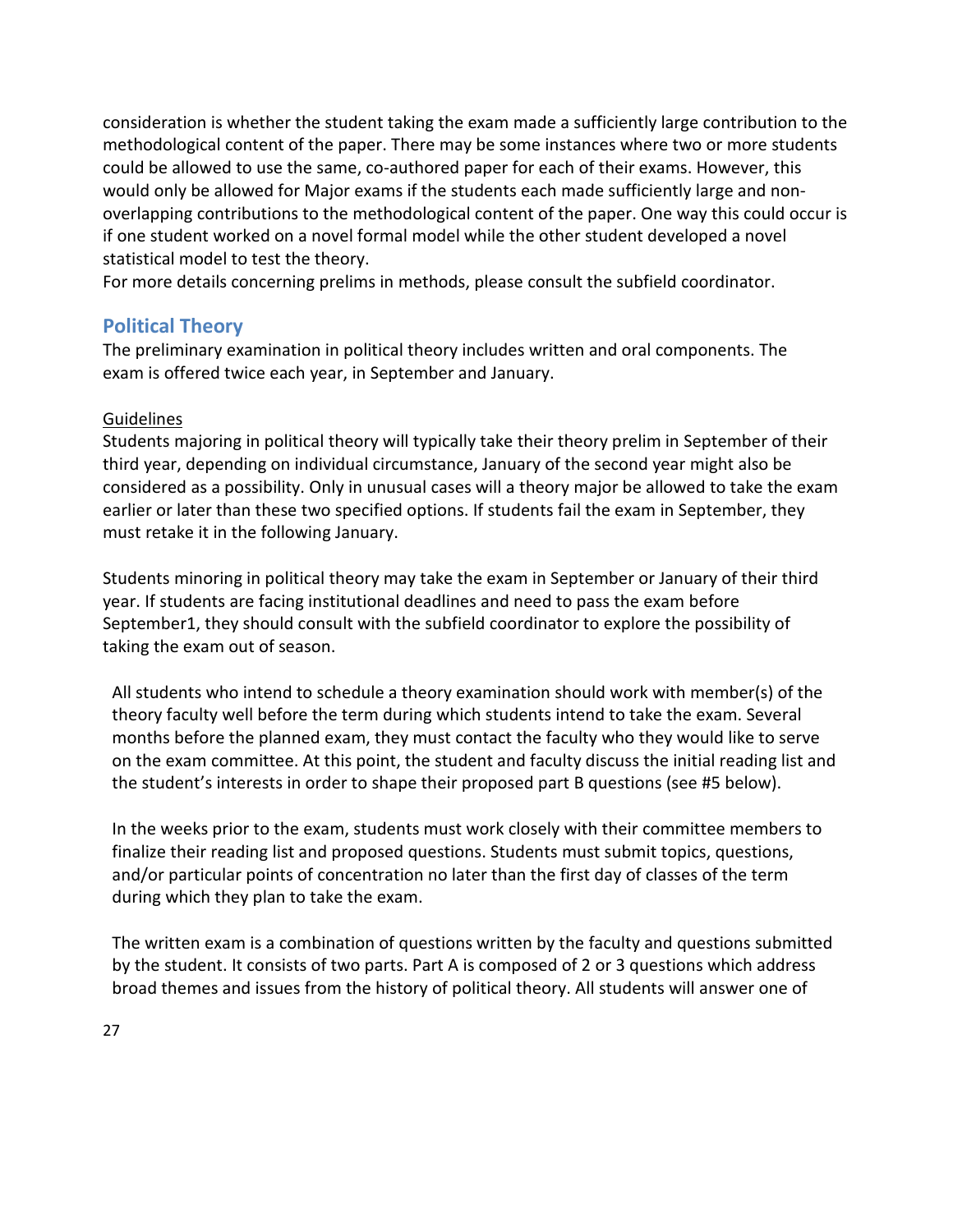consideration is whether the student taking the exam made a sufficiently large contribution to the methodological content of the paper. There may be some instances where two or more students could be allowed to use the same, co-authored paper for each of their exams. However, this would only be allowed for Major exams if the students each made sufficiently large and nonoverlapping contributions to the methodological content of the paper. One way this could occur is if one student worked on a novel formal model while the other student developed a novel statistical model to test the theory.

For more details concerning prelims in methods, please consult the subfield coordinator.

# <span id="page-27-0"></span>**Political Theory**

The preliminary examination in political theory includes written and oral components. The exam is offered twice each year, in September and January.

## **Guidelines**

Students majoring in political theory will typically take their theory prelim in September of their third year, depending on individual circumstance, January of the second year might also be considered as a possibility. Only in unusual cases will a theory major be allowed to take the exam earlier or later than these two specified options. If students fail the exam in September, they must retake it in the following January.

Students minoring in political theory may take the exam in September or January of their third year. If students are facing institutional deadlines and need to pass the exam before September1, they should consult with the subfield coordinator to explore the possibility of taking the exam out of season.

All students who intend to schedule a theory examination should work with member(s) of the theory faculty well before the term during which students intend to take the exam. Several months before the planned exam, they must contact the faculty who they would like to serve on the exam committee. At this point, the student and faculty discuss the initial reading list and the student's interests in order to shape their proposed part B questions (see #5 below).

In the weeks prior to the exam, students must work closely with their committee members to finalize their reading list and proposed questions. Students must submit topics, questions, and/or particular points of concentration no later than the first day of classes of the term during which they plan to take the exam.

The written exam is a combination of questions written by the faculty and questions submitted by the student. It consists of two parts. Part A is composed of 2 or 3 questions which address broad themes and issues from the history of political theory. All students will answer one of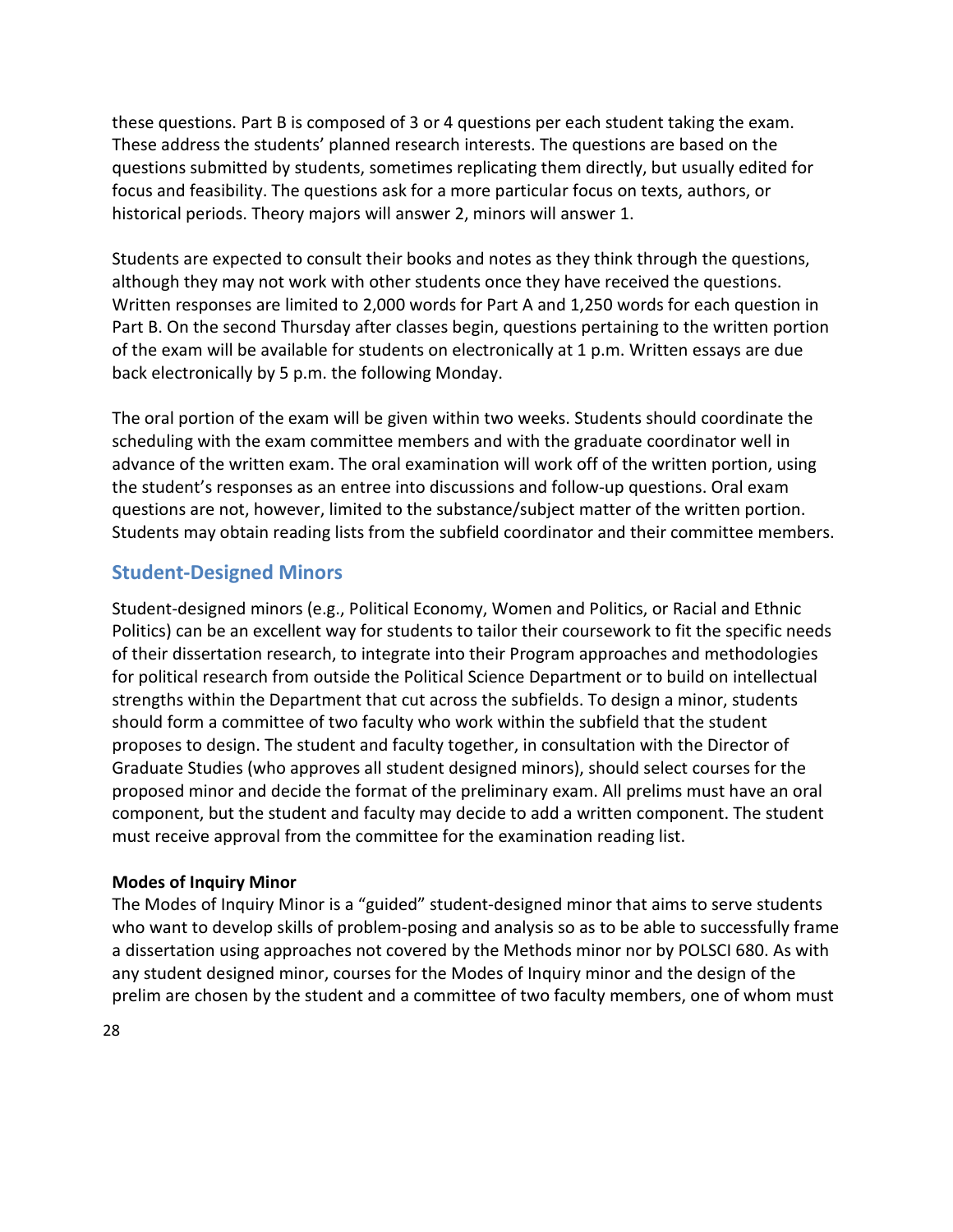these questions. Part B is composed of 3 or 4 questions per each student taking the exam. These address the students' planned research interests. The questions are based on the questions submitted by students, sometimes replicating them directly, but usually edited for focus and feasibility. The questions ask for a more particular focus on texts, authors, or historical periods. Theory majors will answer 2, minors will answer 1.

Students are expected to consult their books and notes as they think through the questions, although they may not work with other students once they have received the questions. Written responses are limited to 2,000 words for Part A and 1,250 words for each question in Part B. On the second Thursday after classes begin, questions pertaining to the written portion of the exam will be available for students on electronically at 1 p.m. Written essays are due back electronically by 5 p.m. the following Monday.

The oral portion of the exam will be given within two weeks. Students should coordinate the scheduling with the exam committee members and with the graduate coordinator well in advance of the written exam. The oral examination will work off of the written portion, using the student's responses as an entree into discussions and follow-up questions. Oral exam questions are not, however, limited to the substance/subject matter of the written portion. Students may obtain reading lists from the subfield coordinator and their committee members.

# <span id="page-28-0"></span>**Student-Designed Minors**

Student-designed minors (e.g., Political Economy, Women and Politics, or Racial and Ethnic Politics) can be an excellent way for students to tailor their coursework to fit the specific needs of their dissertation research, to integrate into their Program approaches and methodologies for political research from outside the Political Science Department or to build on intellectual strengths within the Department that cut across the subfields. To design a minor, students should form a committee of two faculty who work within the subfield that the student proposes to design. The student and faculty together, in consultation with the Director of Graduate Studies (who approves all student designed minors), should select courses for the proposed minor and decide the format of the preliminary exam. All prelims must have an oral component, but the student and faculty may decide to add a written component. The student must receive approval from the committee for the examination reading list.

#### **Modes of Inquiry Minor**

The Modes of Inquiry Minor is a "guided" student-designed minor that aims to serve students who want to develop skills of problem-posing and analysis so as to be able to successfully frame a dissertation using approaches not covered by the Methods minor nor by POLSCI 680. As with any student designed minor, courses for the Modes of Inquiry minor and the design of the prelim are chosen by the student and a committee of two faculty members, one of whom must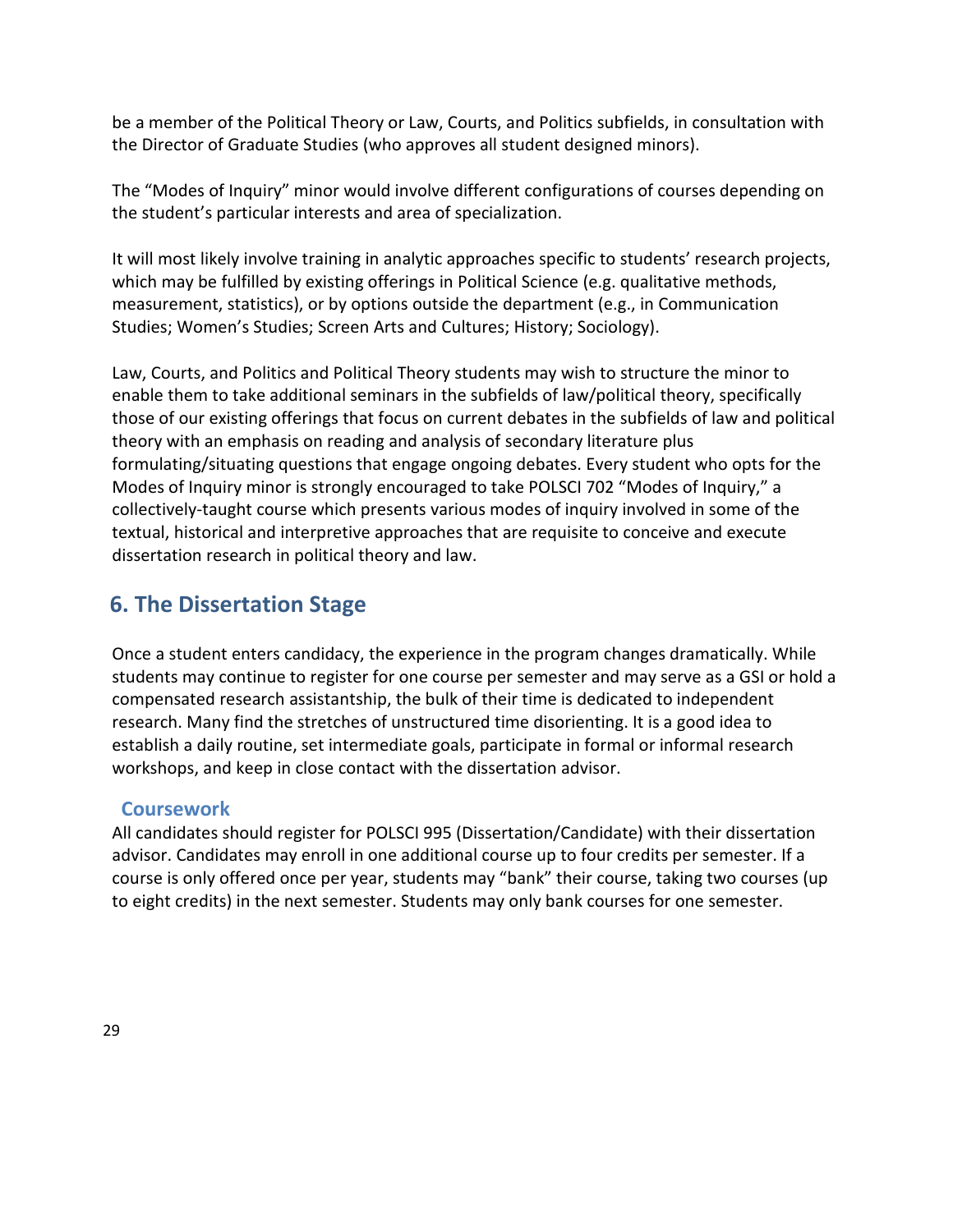be a member of the Political Theory or Law, Courts, and Politics subfields, in consultation with the Director of Graduate Studies (who approves all student designed minors).

The "Modes of Inquiry" minor would involve different configurations of courses depending on the student's particular interests and area of specialization.

It will most likely involve training in analytic approaches specific to students' research projects, which may be fulfilled by existing offerings in Political Science (e.g. qualitative methods, measurement, statistics), or by options outside the department (e.g., in Communication Studies; Women's Studies; Screen Arts and Cultures; History; Sociology).

Law, Courts, and Politics and Political Theory students may wish to structure the minor to enable them to take additional seminars in the subfields of law/political theory, specifically those of our existing offerings that focus on current debates in the subfields of law and political theory with an emphasis on reading and analysis of secondary literature plus formulating/situating questions that engage ongoing debates. Every student who opts for the Modes of Inquiry minor is strongly encouraged to take POLSCI 702 "Modes of Inquiry," a collectively-taught course which presents various modes of inquiry involved in some of the textual, historical and interpretive approaches that are requisite to conceive and execute dissertation research in political theory and law.

# **6. The Dissertation Stage**

Once a student enters candidacy, the experience in the program changes dramatically. While students may continue to register for one course per semester and may serve as a GSI or hold a compensated research assistantship, the bulk of their time is dedicated to independent research. Many find the stretches of unstructured time disorienting. It is a good idea to establish a daily routine, set intermediate goals, participate in formal or informal research workshops, and keep in close contact with the dissertation advisor.

# <span id="page-29-0"></span>**Coursework**

<span id="page-29-1"></span>All candidates should register for POLSCI 995 (Dissertation/Candidate) with their dissertation advisor. Candidates may enroll in one additional course up to four credits per semester. If a course is only offered once per year, students may "bank" their course, taking two courses (up to eight credits) in the next semester. Students may only bank courses for one semester.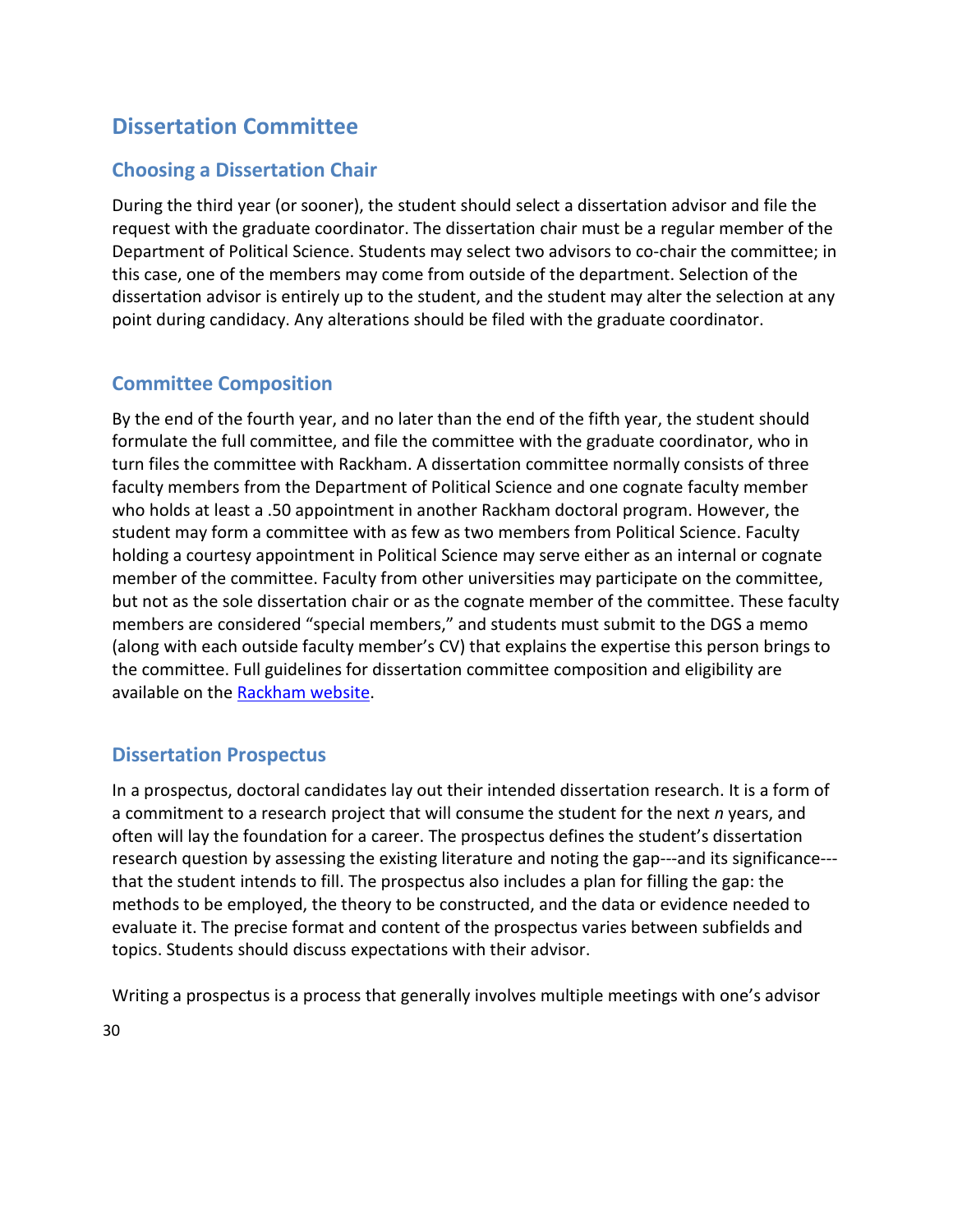# **Dissertation Committee**

# **Choosing a Dissertation Chair**

During the third year (or sooner), the student should select a dissertation advisor and file the request with the graduate coordinator. The dissertation chair must be a regular member of the Department of Political Science. Students may select two advisors to co-chair the committee; in this case, one of the members may come from outside of the department. Selection of the dissertation advisor is entirely up to the student, and the student may alter the selection at any point during candidacy. Any alterations should be filed with the graduate coordinator.

# **Committee Composition**

By the end of the fourth year, and no later than the end of the fifth year, the student should formulate the full committee, and file the committee with the graduate coordinator, who in turn files the committee with Rackham. A dissertation committee normally consists of three faculty members from the Department of Political Science and one cognate faculty member who holds at least a .50 appointment in another Rackham doctoral program. However, the student may form a committee with as few as two members from Political Science. Faculty holding a courtesy appointment in Political Science may serve either as an internal or cognate member of the committee. Faculty from other universities may participate on the committee, but not as the sole dissertation chair or as the cognate member of the committee. These faculty members are considered "special members," and students must submit to the DGS a memo (along with each outside faculty member's CV) that explains the expertise this person brings to the committee. Full guidelines for dissertation committee composition and eligibility are available on the [Rackham website.](http://www.rackham.umich.edu/faculty-staff/information-for-programs/dissertation-committees/guidelines-dissertation-committee-service)

# <span id="page-30-0"></span>**Dissertation Prospectus**

In a prospectus, doctoral candidates lay out their intended dissertation research. It is a form of a commitment to a research project that will consume the student for the next *n* years, and often will lay the foundation for a career. The prospectus defines the student's dissertation research question by assessing the existing literature and noting the gap---and its significance--that the student intends to fill. The prospectus also includes a plan for filling the gap: the methods to be employed, the theory to be constructed, and the data or evidence needed to evaluate it. The precise format and content of the prospectus varies between subfields and topics. Students should discuss expectations with their advisor.

Writing a prospectus is a process that generally involves multiple meetings with one's advisor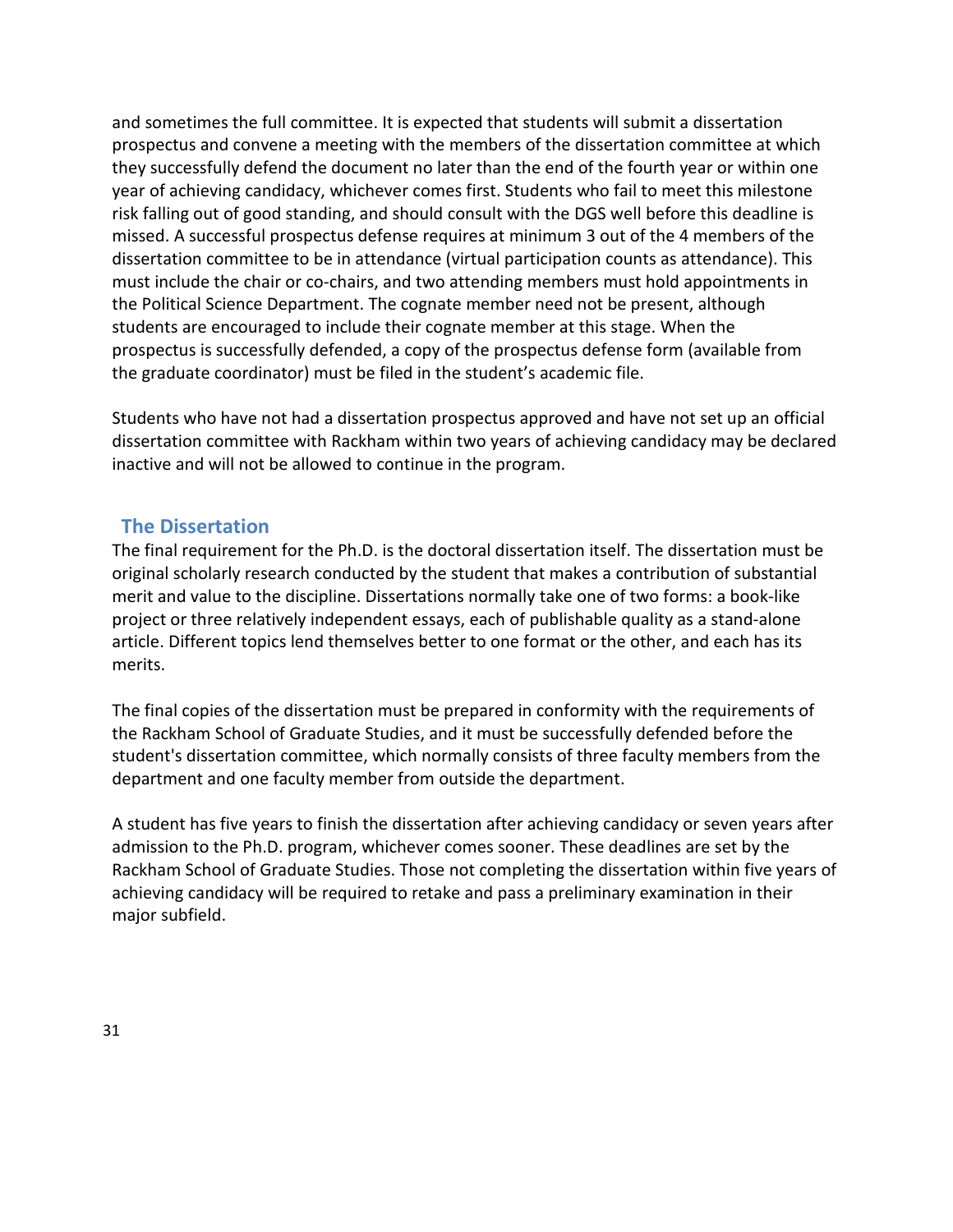and sometimes the full committee. It is expected that students will submit a dissertation prospectus and convene a meeting with the members of the dissertation committee at which they successfully defend the document no later than the end of the fourth year or within one year of achieving candidacy, whichever comes first. Students who fail to meet this milestone risk falling out of good standing, and should consult with the DGS well before this deadline is missed. A successful prospectus defense requires at minimum 3 out of the 4 members of the dissertation committee to be in attendance (virtual participation counts as attendance). This must include the chair or co-chairs, and two attending members must hold appointments in the Political Science Department. The cognate member need not be present, although students are encouraged to include their cognate member at this stage. When the prospectus is successfully defended, a copy of the prospectus defense form (available from the graduate coordinator) must be filed in the student's academic file.

Students who have not had a dissertation prospectus approved and have not set up an official dissertation committee with Rackham within two years of achieving candidacy may be declared inactive and will not be allowed to continue in the program.

## <span id="page-31-0"></span>**The Dissertation**

The final requirement for the Ph.D. is the doctoral dissertation itself. The dissertation must be original scholarly research conducted by the student that makes a contribution of substantial merit and value to the discipline. Dissertations normally take one of two forms: a book-like project or three relatively independent essays, each of publishable quality as a stand-alone article. Different topics lend themselves better to one format or the other, and each has its merits.

The final copies of the dissertation must be prepared in conformity with the requirements of the Rackham School of Graduate Studies, and it must be successfully defended before the student's dissertation committee, which normally consists of three faculty members from the department and one faculty member from outside the department.

A student has five years to finish the dissertation after achieving candidacy or seven years after admission to the Ph.D. program, whichever comes sooner. These deadlines are set by the Rackham School of Graduate Studies. Those not completing the dissertation within five years of achieving candidacy will be required to retake and pass a preliminary examination in their major subfield.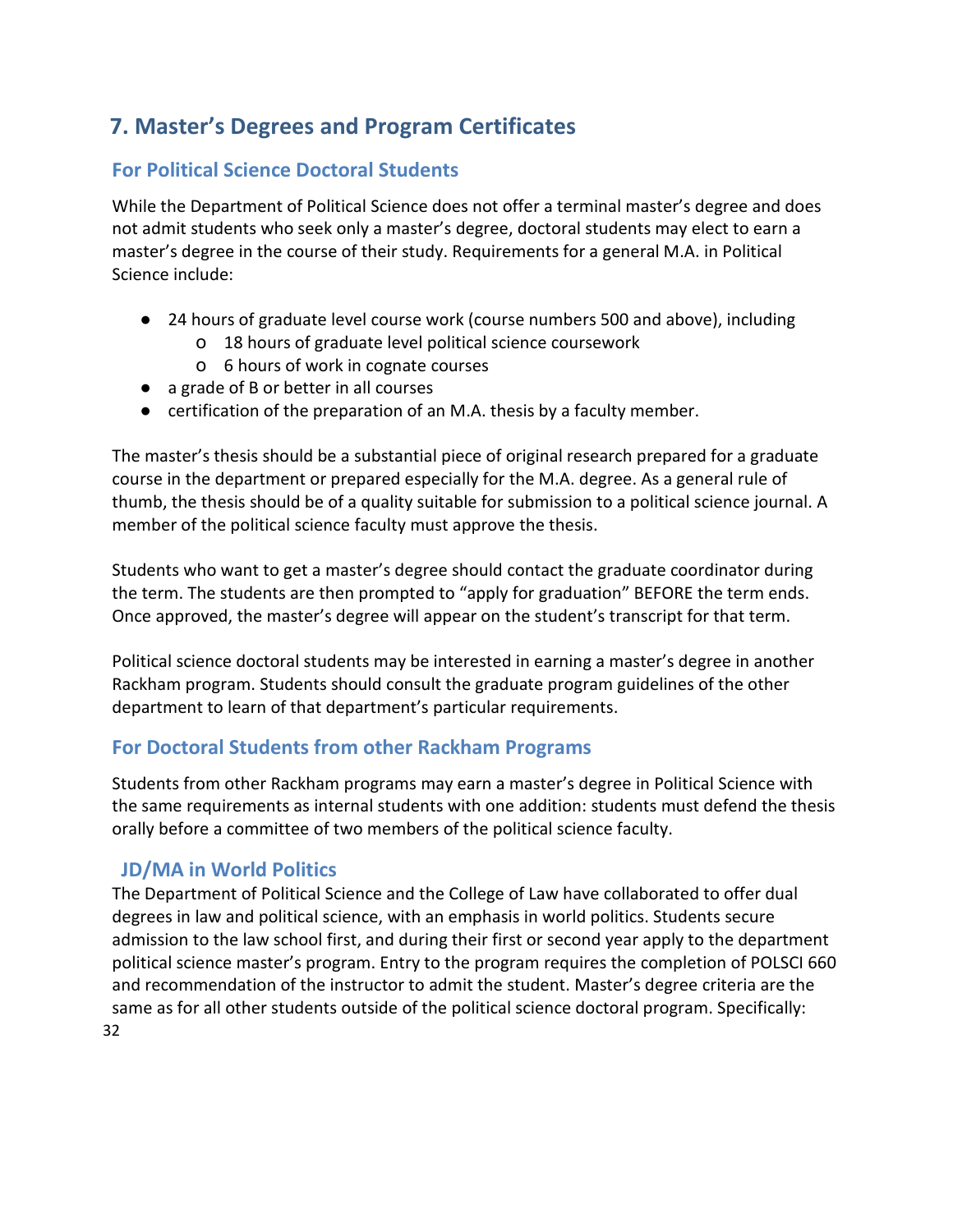# <span id="page-32-0"></span>**7. Master's Degrees and Program Certificates**

# <span id="page-32-1"></span>**For Political Science Doctoral Students**

While the Department of Political Science does not offer a terminal master's degree and does not admit students who seek only a master's degree, doctoral students may elect to earn a master's degree in the course of their study. Requirements for a general M.A. in Political Science include:

- 24 hours of graduate level course work (course numbers 500 and above), including
	- o 18 hours of graduate level political science coursework
	- o 6 hours of work in cognate courses
- a grade of B or better in all courses
- certification of the preparation of an M.A. thesis by a faculty member.

The master's thesis should be a substantial piece of original research prepared for a graduate course in the department or prepared especially for the M.A. degree. As a general rule of thumb, the thesis should be of a quality suitable for submission to a political science journal. A member of the political science faculty must approve the thesis.

Students who want to get a master's degree should contact the graduate coordinator during the term. The students are then prompted to "apply for graduation" BEFORE the term ends. Once approved, the master's degree will appear on the student's transcript for that term.

Political science doctoral students may be interested in earning a master's degree in another Rackham program. Students should consult the graduate program guidelines of the other department to learn of that department's particular requirements.

# <span id="page-32-2"></span>**For Doctoral Students from other Rackham Programs**

Students from other Rackham programs may earn a master's degree in Political Science with the same requirements as internal students with one addition: students must defend the thesis orally before a committee of two members of the political science faculty.

# <span id="page-32-3"></span>**JD/MA in World Politics**

32 The Department of Political Science and the College of Law have collaborated to offer dual degrees in law and political science, with an emphasis in world politics. Students secure admission to the law school first, and during their first or second year apply to the department political science master's program. Entry to the program requires the completion of POLSCI 660 and recommendation of the instructor to admit the student. Master's degree criteria are the same as for all other students outside of the political science doctoral program. Specifically: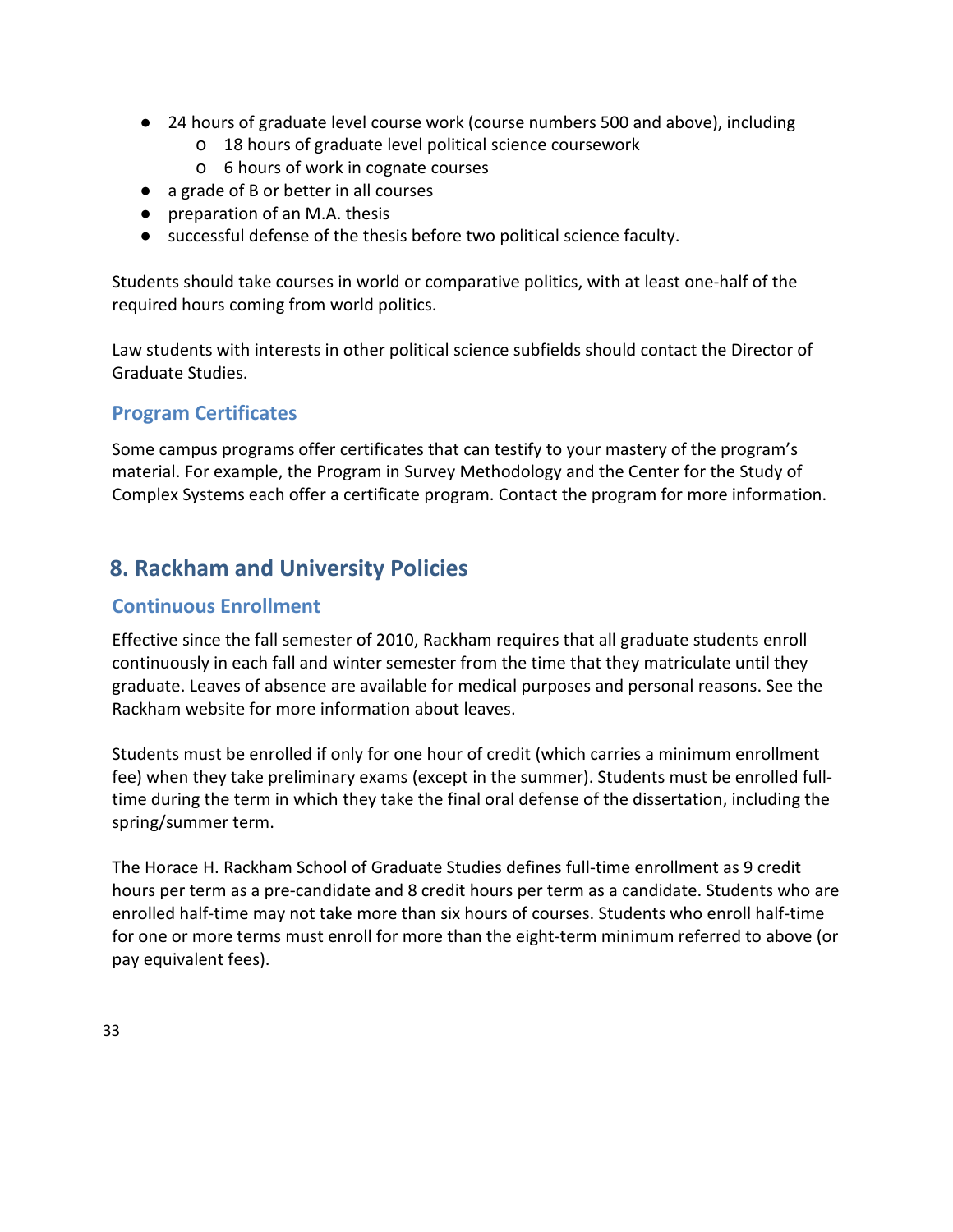- 24 hours of graduate level course work (course numbers 500 and above), including
	- o 18 hours of graduate level political science coursework
	- o 6 hours of work in cognate courses
- a grade of B or better in all courses
- preparation of an M.A. thesis
- successful defense of the thesis before two political science faculty.

Students should take courses in world or comparative politics, with at least one-half of the required hours coming from world politics.

Law students with interests in other political science subfields should contact the Director of Graduate Studies.

# <span id="page-33-0"></span>**Program Certificates**

Some campus programs offer certificates that can testify to your mastery of the program's material. For example, the Program in Survey Methodology and the Center for the Study of Complex Systems each offer a certificate program. Contact the program for more information.

# <span id="page-33-1"></span>**8. Rackham and University Policies**

# <span id="page-33-2"></span>**Continuous Enrollment**

Effective since the fall semester of 2010, Rackham requires that all graduate students enroll continuously in each fall and winter semester from the time that they matriculate until they graduate. Leaves of absence are available for medical purposes and personal reasons. See the Rackham website for more information about leaves.

Students must be enrolled if only for one hour of credit (which carries a minimum enrollment fee) when they take preliminary exams (except in the summer). Students must be enrolled fulltime during the term in which they take the final oral defense of the dissertation, including the spring/summer term.

The Horace H. Rackham School of Graduate Studies defines full-time enrollment as 9 credit hours per term as a pre-candidate and 8 credit hours per term as a candidate. Students who are enrolled half-time may not take more than six hours of courses. Students who enroll half-time for one or more terms must enroll for more than the eight-term minimum referred to above (or pay equivalent fees).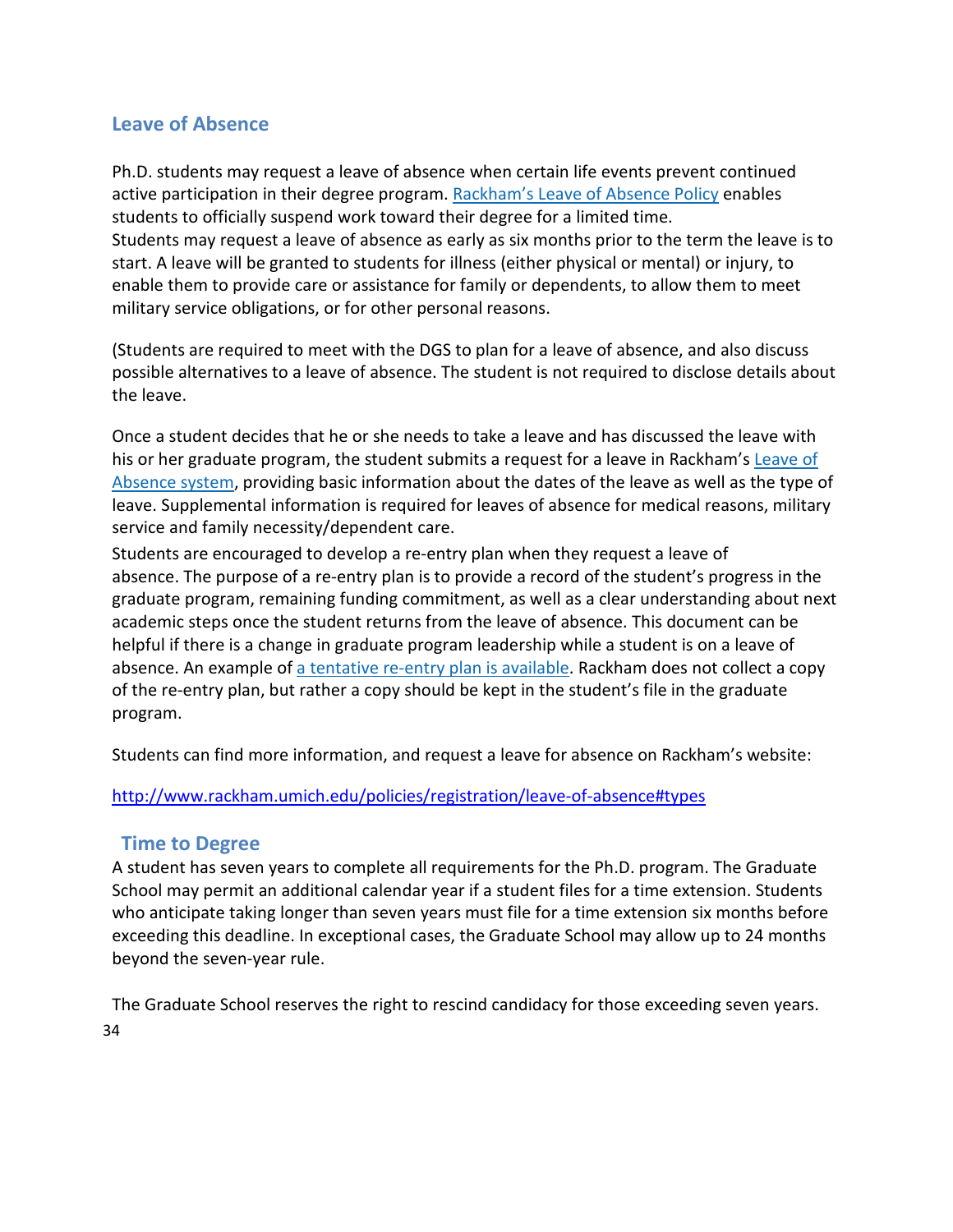# **Leave of Absence**

Ph.D. students may request a leave of absence when certain life events prevent continued active participation in their degree program. [Rackham's Leave of Absence Policy](http://www.rackham.umich.edu/policies/academic-policies/section3#322) [e](http://www.rackham.umich.edu/policies/academic-policies/section3#322)nables students to officially suspend work toward their degree for a limited time. Students may request a leave of absence as early as six months prior to the term the leave is to start. A leave will be granted to students for illness (either physical or mental) or injury, to enable them to provide care or assistance for family or dependents, to allow them to meet military service obligations, or for other personal reasons.

(Students are required to meet with the DGS to plan for a leave of absence, and also discuss possible alternatives to a leave of absence. The student is not required to disclose details about the leave.

Once a student decides that he or she needs to take a leave and has discussed the leave with his or her graduate program, the student submits a request for a leave in Rackham'[s Leave of](https://secure.rackham.umich.edu/leave/) [Absence system,](https://secure.rackham.umich.edu/leave/) providing basic information about the dates of the leave as well as the type of leave. Supplemental information is required for leaves of absence for medical reasons, military service and family necessity/dependent care.

Students are encouraged to develop a re-entry plan when they request a leave of absence. The purpose of a re-entry plan is to provide a record of the student's progress in the graduate program, remaining funding commitment, as well as a clear understanding about next academic steps once the student returns from the leave of absence. This document can be helpful if there is a change in graduate program leadership while a student is on a leave of absence. An example o[f a tentative re-entry plan is available.](http://www.rackham.umich.edu/downloads/Example_Reentry_plan.doc) Rackham does not collect a copy of the re-entry plan, but rather a copy should be kept in the student's file in the graduate program.

Students can find more information, and request a leave for absence on Rackham's website:

#### <http://www.rackham.umich.edu/policies/registration/leave-of-absence#types>

#### <span id="page-34-0"></span>**Time to Degree**

A student has seven years to complete all requirements for the Ph.D. program. The Graduate School may permit an additional calendar year if a student files for a time extension. Students who anticipate taking longer than seven years must file for a time extension six months before exceeding this deadline. In exceptional cases, the Graduate School may allow up to 24 months beyond the seven-year rule.

The Graduate School reserves the right to rescind candidacy for those exceeding seven years.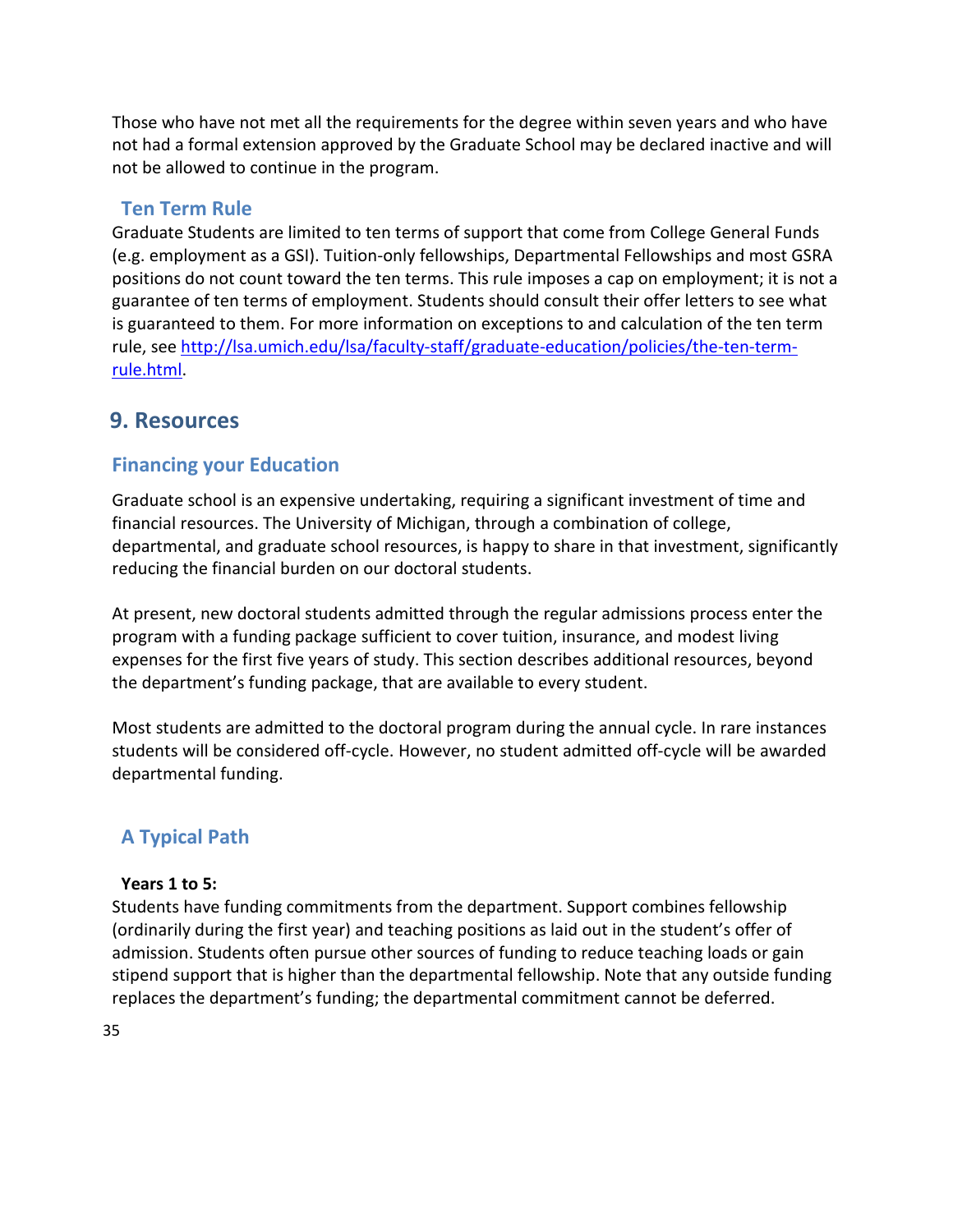Those who have not met all the requirements for the degree within seven years and who have not had a formal extension approved by the Graduate School may be declared inactive and will not be allowed to continue in the program.

# <span id="page-35-0"></span>**Ten Term Rule**

Graduate Students are limited to ten terms of support that come from College General Funds (e.g. employment as a GSI). Tuition-only fellowships, Departmental Fellowships and most GSRA positions do not count toward the ten terms. This rule imposes a cap on employment; it is not a guarantee of ten terms of employment. Students should consult their offer letters to see what is guaranteed to them. For more information on exceptions to and calculation of the ten term rule, see [http://lsa.umich.edu/lsa/faculty-staff/graduate-education/policies/the-ten-term](http://lsa.umich.edu/lsa/faculty-staff/graduate-education/policies/the-ten-term-%20rule.html)[rule.html.](http://lsa.umich.edu/lsa/faculty-staff/graduate-education/policies/the-ten-term-%20rule.html)

# <span id="page-35-1"></span>**9. Resources**

# <span id="page-35-2"></span>**Financing your Education**

Graduate school is an expensive undertaking, requiring a significant investment of time and financial resources. The University of Michigan, through a combination of college, departmental, and graduate school resources, is happy to share in that investment, significantly reducing the financial burden on our doctoral students.

At present, new doctoral students admitted through the regular admissions process enter the program with a funding package sufficient to cover tuition, insurance, and modest living expenses for the first five years of study. This section describes additional resources, beyond the department's funding package, that are available to every student.

Most students are admitted to the doctoral program during the annual cycle. In rare instances students will be considered off-cycle. However, no student admitted off-cycle will be awarded departmental funding.

# <span id="page-35-3"></span>**A Typical Path**

#### **Years 1 to 5:**

Students have funding commitments from the department. Support combines fellowship (ordinarily during the first year) and teaching positions as laid out in the student's offer of admission. Students often pursue other sources of funding to reduce teaching loads or gain stipend support that is higher than the departmental fellowship. Note that any outside funding replaces the department's funding; the departmental commitment cannot be deferred.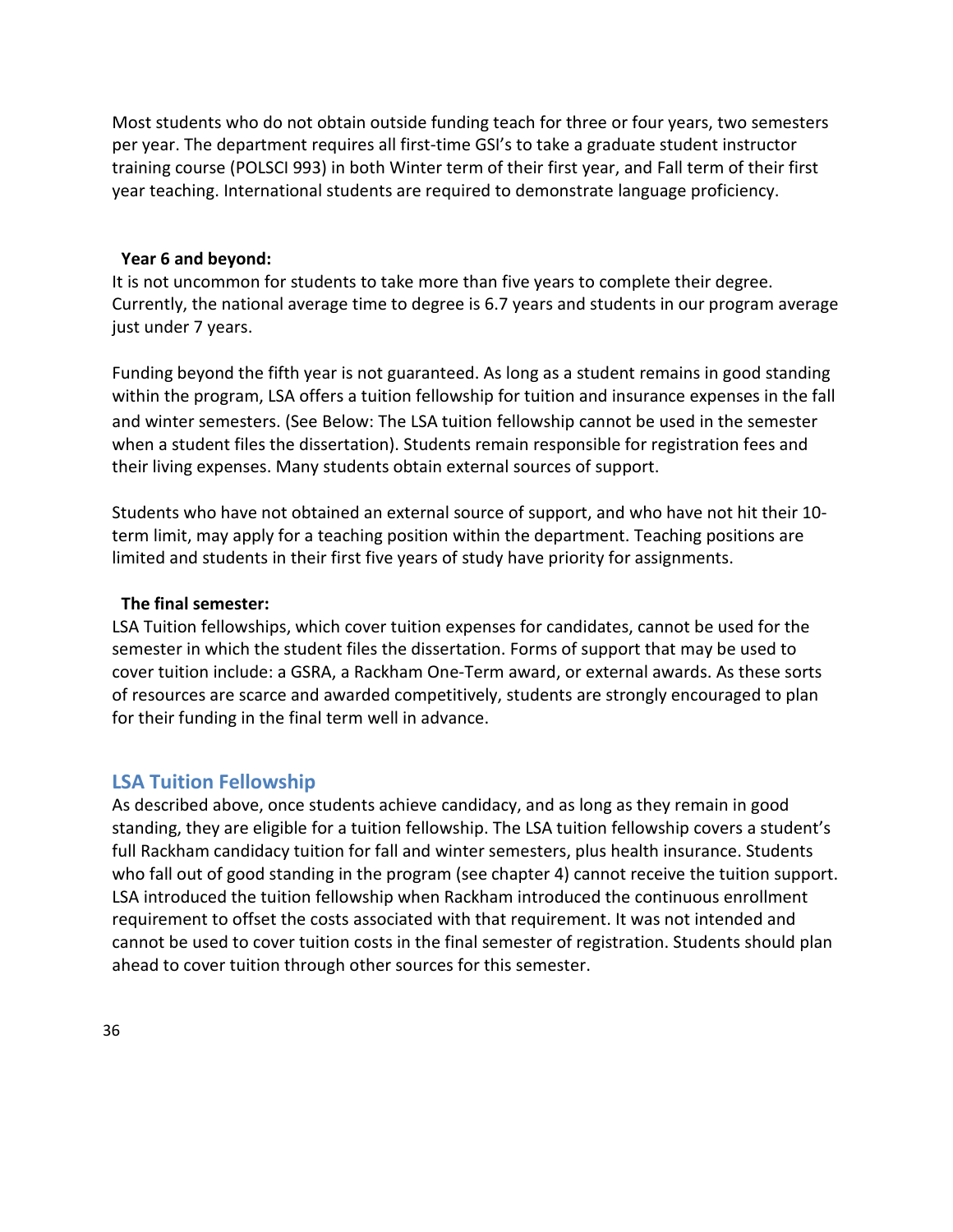Most students who do not obtain outside funding teach for three or four years, two semesters per year. The department requires all first-time GSI's to take a graduate student instructor training course (POLSCI 993) in both Winter term of their first year, and Fall term of their first year teaching. International students are required to demonstrate language proficiency.

#### **Year 6 and beyond:**

It is not uncommon for students to take more than five years to complete their degree. Currently, the national average time to degree is 6.7 years and students in our program average just under 7 years.

Funding beyond the fifth year is not guaranteed. As long as a student remains in good standing within the program, LSA offers a tuition fellowship for tuition and insurance expenses in the fall and winter semesters. (See Below: The LSA tuition fellowship cannot be used in the semester when a student files the dissertation). Students remain responsible for registration fees and their living expenses. Many students obtain external sources of support.

Students who have not obtained an external source of support, and who have not hit their 10 term limit, may apply for a teaching position within the department. Teaching positions are limited and students in their first five years of study have priority for assignments.

#### **The final semester:**

LSA Tuition fellowships, which cover tuition expenses for candidates, cannot be used for the semester in which the student files the dissertation. Forms of support that may be used to cover tuition include: a GSRA, a Rackham One-Term award, or external awards. As these sorts of resources are scarce and awarded competitively, students are strongly encouraged to plan for their funding in the final term well in advance.

#### <span id="page-36-0"></span>**LSA Tuition Fellowship**

<span id="page-36-1"></span>As described above, once students achieve candidacy, and as long as they remain in good standing, they are eligible for a tuition fellowship. The LSA tuition fellowship covers a student's full Rackham candidacy tuition for fall and winter semesters, plus health insurance. Students who fall out of good standing in the program (see chapter 4) cannot receive the tuition support. LSA introduced the tuition fellowship when Rackham introduced the continuous enrollment requirement to offset the costs associated with that requirement. It was not intended and cannot be used to cover tuition costs in the final semester of registration. Students should plan ahead to cover tuition through other sources for this semester.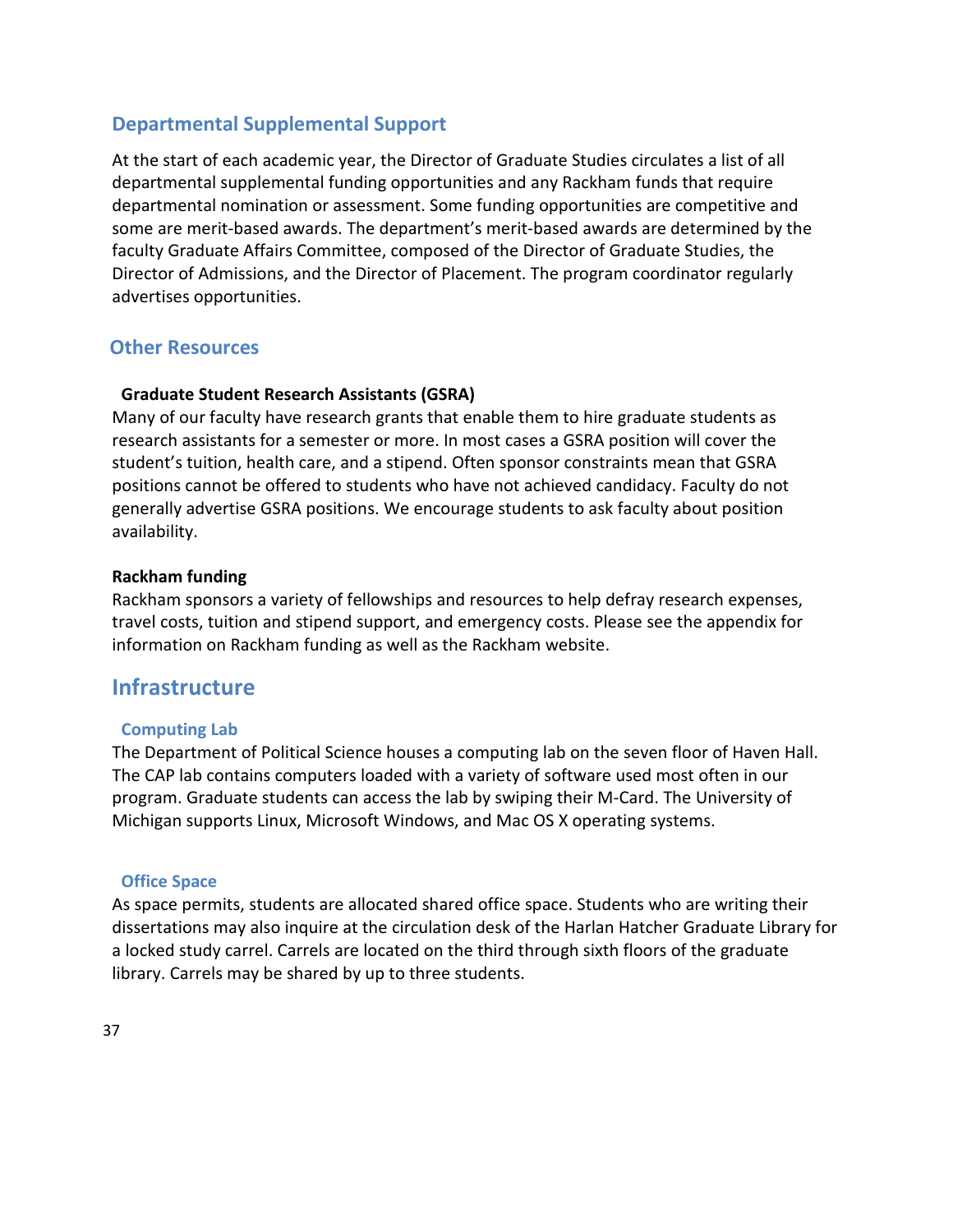# **Departmental Supplemental Support**

At the start of each academic year, the Director of Graduate Studies circulates a list of all departmental supplemental funding opportunities and any Rackham funds that require departmental nomination or assessment. Some funding opportunities are competitive and some are merit-based awards. The department's merit-based awards are determined by the faculty Graduate Affairs Committee, composed of the Director of Graduate Studies, the Director of Admissions, and the Director of Placement. The program coordinator regularly advertises opportunities.

# <span id="page-37-0"></span>**Other Resources**

#### **Graduate Student Research Assistants (GSRA)**

Many of our faculty have research grants that enable them to hire graduate students as research assistants for a semester or more. In most cases a GSRA position will cover the student's tuition, health care, and a stipend. Often sponsor constraints mean that GSRA positions cannot be offered to students who have not achieved candidacy. Faculty do not generally advertise GSRA positions. We encourage students to ask faculty about position availability.

#### **Rackham funding**

Rackham sponsors a variety of fellowships and resources to help defray research expenses, travel costs, tuition and stipend support, and emergency costs. Please see the appendix for information on Rackham funding as well as the Rackham website.

# <span id="page-37-1"></span>**Infrastructure**

#### **Computing Lab**

The Department of Political Science houses a computing lab on the seven floor of Haven Hall. The CAP lab contains computers loaded with a variety of software used most often in our program. Graduate students can access the lab by swiping their M-Card. The University of Michigan supports Linux, Microsoft Windows, and Mac OS X operating systems.

#### **Office Space**

As space permits, students are allocated shared office space. Students who are writing their dissertations may also inquire at the circulation desk of the Harlan Hatcher Graduate Library for a locked study carrel. Carrels are located on the third through sixth floors of the graduate library. Carrels may be shared by up to three students.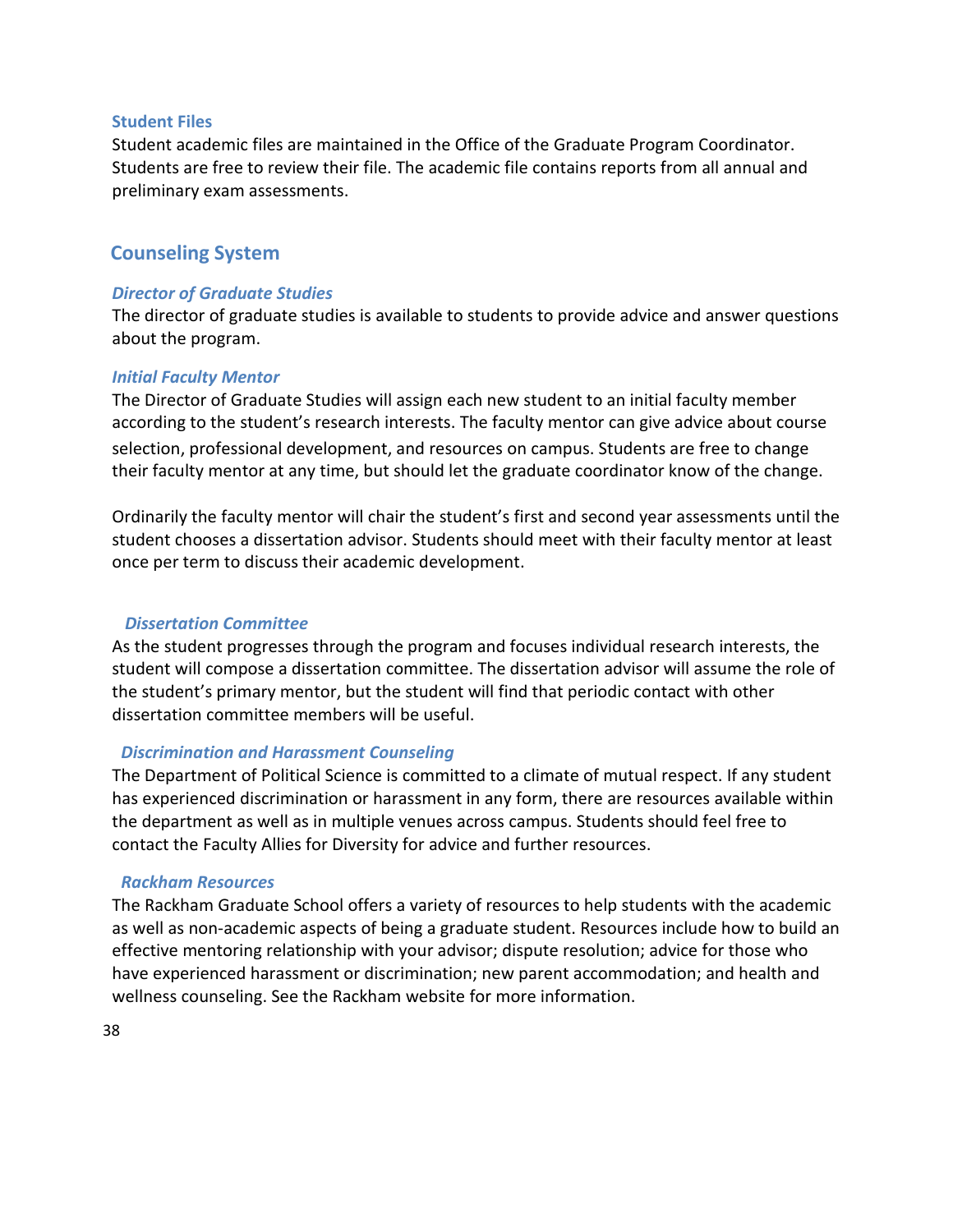#### **Student Files**

Student academic files are maintained in the Office of the Graduate Program Coordinator. Students are free to review their file. The academic file contains reports from all annual and preliminary exam assessments.

#### <span id="page-38-0"></span>**Counseling System**

#### *Director of Graduate Studies*

The director of graduate studies is available to students to provide advice and answer questions about the program.

#### *Initial Faculty Mentor*

The Director of Graduate Studies will assign each new student to an initial faculty member according to the student's research interests. The faculty mentor can give advice about course selection, professional development, and resources on campus. Students are free to change their faculty mentor at any time, but should let the graduate coordinator know of the change.

Ordinarily the faculty mentor will chair the student's first and second year assessments until the student chooses a dissertation advisor. Students should meet with their faculty mentor at least once per term to discuss their academic development.

#### *Dissertation Committee*

As the student progresses through the program and focuses individual research interests, the student will compose a dissertation committee. The dissertation advisor will assume the role of the student's primary mentor, but the student will find that periodic contact with other dissertation committee members will be useful.

#### *Discrimination and Harassment Counseling*

The Department of Political Science is committed to a climate of mutual respect. If any student has experienced discrimination or harassment in any form, there are resources available within the department as well as in multiple venues across campus. Students should feel free to contact the Faculty Allies for Diversity for advice and further resources.

#### *Rackham Resources*

The Rackham Graduate School offers a variety of resources to help students with the academic as well as non-academic aspects of being a graduate student. Resources include how to build an effective mentoring relationship with your advisor; dispute resolution; advice for those who have experienced harassment or discrimination; new parent accommodation; and health and wellness counseling. See the Rackham website for more information.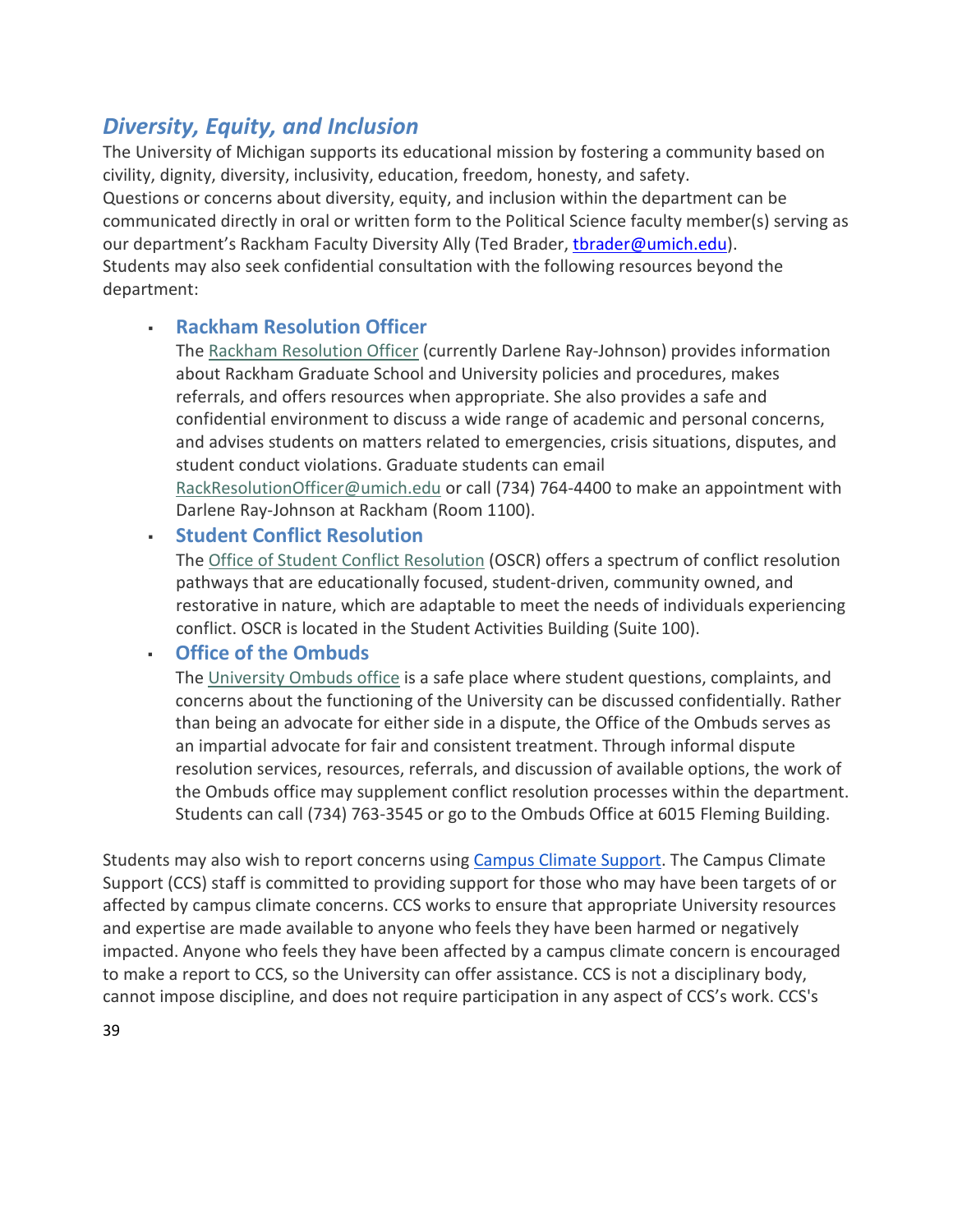# *Diversity, Equity, and Inclusion*

The University of Michigan supports its educational mission by fostering a community based on civility, dignity, diversity, inclusivity, education, freedom, honesty, and safety. Questions or concerns about diversity, equity, and inclusion within the department can be communicated directly in oral or written form to the Political Science faculty member(s) serving as our department's Rackham Faculty Diversity Ally (Ted Brader, thrader@umich.edu). Students may also seek confidential consultation with the following resources beyond the department:

# **Rackham Resolution Officer**

The [Rackham Resolution Officer](http://www.rackham.umich.edu/directory/resolution-officer) (currently Darlene Ray-Johnson) provides information about Rackham Graduate School and University policies and procedures, makes referrals, and offers resources when appropriate. She also provides a safe and confidential environment to discuss a wide range of academic and personal concerns, and advises students on matters related to emergencies, crisis situations, disputes, and student conduct violations. Graduate students can email [RackResolutionOfficer@umich.edu](https://mail.google.com/mail/?view=cm&fs=1&tf=1&to=RackResolutionOfficer@umich.edu) or call (734) 764-4400 to make an appointment with Darlene Ray-Johnson at Rackham (Room 1100).

▪ **Student Conflict Resolution**

The [Office of Student Conflict Resolution](https://oscr.umich.edu/) (OSCR) offers a spectrum of conflict resolution pathways that are educationally focused, student-driven, community owned, and restorative in nature, which are adaptable to meet the needs of individuals experiencing conflict. OSCR is located in the Student Activities Building (Suite 100).

# ▪ **Office of the Ombuds**

Th[e University Ombuds office](https://ombuds.umich.edu/) is a safe place where student questions, complaints, and concerns about the functioning of the University can be discussed confidentially. Rather than being an advocate for either side in a dispute, the Office of the Ombuds serves as an impartial advocate for fair and consistent treatment. Through informal dispute resolution services, resources, referrals, and discussion of available options, the work of the Ombuds office may supplement conflict resolution processes within the department. Students can call (734) 763-3545 or go to the Ombuds Office at 6015 Fleming Building.

Students may also wish to report concerns using [Campus Climate Support.](https://deanofstudents.umich.edu/campus-climate-support) The Campus Climate Support (CCS) staff is committed to providing support for those who may have been targets of or affected by campus climate concerns. CCS works to ensure that appropriate University resources and expertise are made available to anyone who feels they have been harmed or negatively impacted. Anyone who feels they have been affected by a campus climate concern is encouraged to make a report to CCS, so the University can offer assistance. CCS is not a disciplinary body, cannot impose discipline, and does not require participation in any aspect of CCS's work. CCS's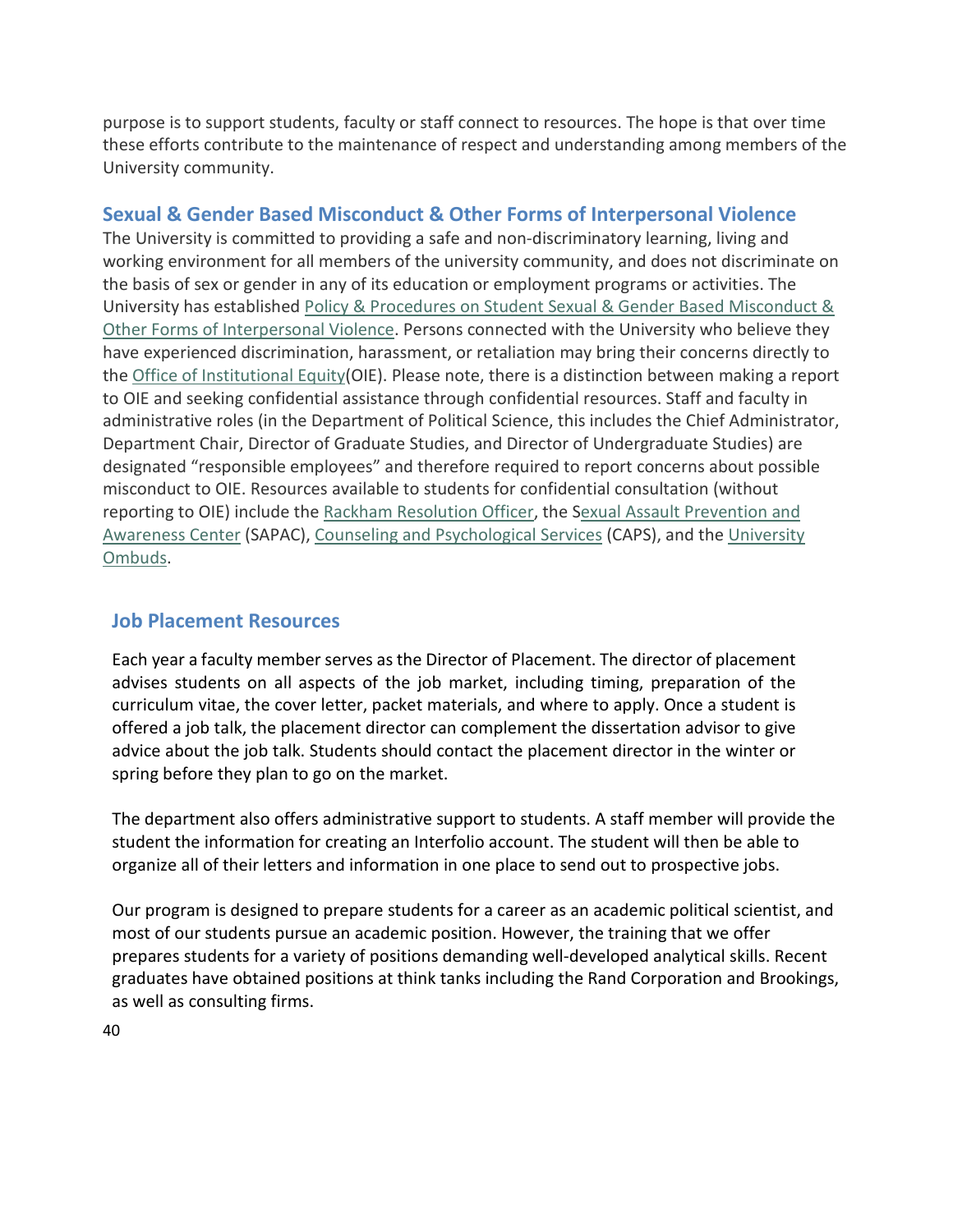purpose is to support students, faculty or staff connect to resources. The hope is that over time these efforts contribute to the maintenance of respect and understanding among members of the University community.

## **Sexual & Gender Based Misconduct & Other Forms of Interpersonal Violence**

The University is committed to providing a safe and non-discriminatory learning, living and working environment for all members of the university community, and does not discriminate on the basis of sex or gender in any of its education or employment programs or activities. The University has established Policy & Procedures on Student Sexual & Gender Based Misconduct & [Other Forms of Interpersonal Violence.](https://studentsexualmisconductpolicy.umich.edu/) Persons connected with the University who believe they have experienced discrimination, harassment, or retaliation may bring their concerns directly to the [Office of Institutional Equity\(](https://hr.umich.edu/working-u-m/workplace-improvement/office-institutional-equity)OIE). Please note, there is a distinction between making a report to OIE and seeking confidential assistance through confidential resources. Staff and faculty in administrative roles (in the Department of Political Science, this includes the Chief Administrator, Department Chair, Director of Graduate Studies, and Director of Undergraduate Studies) are designated "responsible employees" and therefore required to report concerns about possible misconduct to OIE. Resources available to students for confidential consultation (without reporting to OIE) include the [Rackham Resolution Officer,](http://www.rackham.umich.edu/directory/resolution-officer) the [Sexual Assault Prevention and](https://sapac.umich.edu/)  [Awareness Center](https://sapac.umich.edu/) (SAPAC), [Counseling and Psychological Services](https://caps.umich.edu/) (CAPS), and the University [Ombuds.](https://ombuds.umich.edu/)

## <span id="page-40-0"></span>**Job Placement Resources**

Each year a faculty member serves as the Director of Placement. The director of placement advises students on all aspects of the job market, including timing, preparation of the curriculum vitae, the cover letter, packet materials, and where to apply. Once a student is offered a job talk, the placement director can complement the dissertation advisor to give advice about the job talk. Students should contact the placement director in the winter or spring before they plan to go on the market.

The department also offers administrative support to students. A staff member will provide the student the information for creating an Interfolio account. The student will then be able to organize all of their letters and information in one place to send out to prospective jobs.

<span id="page-40-1"></span>Our program is designed to prepare students for a career as an academic political scientist, and most of our students pursue an academic position. However, the training that we offer prepares students for a variety of positions demanding well-developed analytical skills. Recent graduates have obtained positions at think tanks including the Rand Corporation and Brookings, as well as consulting firms.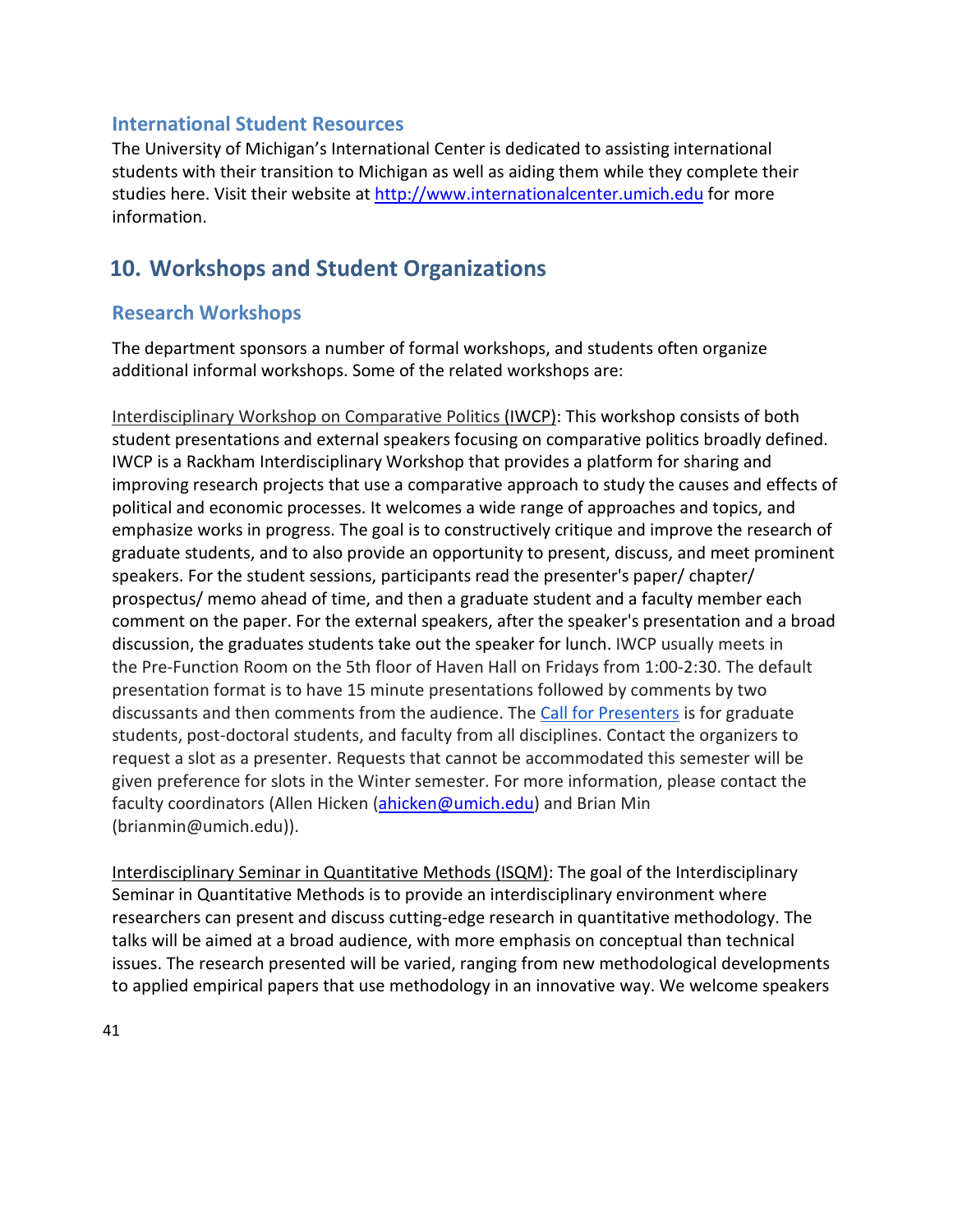## **International Student Resources**

The University of Michigan's International Center is dedicated to assisting international students with their transition to Michigan as well as aiding them while they complete their studies here. Visit their website at [http://www.internationalcenter.umich.edu](http://www.internationalcenter.umich.edu/) for more information.

# <span id="page-41-0"></span>**10. Workshops and Student Organizations**

# <span id="page-41-1"></span>**Research Workshops**

The department sponsors a number of formal workshops, and students often organize additional informal workshops. Some of the related workshops are:

Interdisciplinary Workshop on Comparative Politics (IWCP): This workshop consists of both student presentations and external speakers focusing on comparative politics broadly defined. IWCP is a Rackham Interdisciplinary Workshop that provides a platform for sharing and improving research projects that use a comparative approach to study the causes and effects of political and economic processes. It welcomes a wide range of approaches and topics, and emphasize works in progress. The goal is to constructively critique and improve the research of graduate students, and to also provide an opportunity to present, discuss, and meet prominent speakers. For the student sessions, participants read the presenter's paper/ chapter/ prospectus/ memo ahead of time, and then a graduate student and a faculty member each comment on the paper. For the external speakers, after the speaker's presentation and a broad discussion, the graduates students take out the speaker for lunch. IWCP usually meets in the Pre-Function Room on the 5th floor of Haven Hall on Fridays from 1:00-2:30. The default presentation format is to have 15 minute presentations followed by comments by two discussants and then comments from the audience. The [Call for Presenters](https://docs.google.com/forms/d/e/1FAIpQLSco-abHmqV6TCBoUealeBM4_-ERewAYj0MWgqj3rmVaSYaeww/viewform?usp=sf_link) is for graduate students, post-doctoral students, and faculty from all disciplines. Contact the organizers to request a slot as a presenter. Requests that cannot be accommodated this semester will be given preference for slots in the Winter semester. For more information, please contact the faculty coordinators (Allen Hicken [\(ahicken@umich.edu\)](mailto:ahicken@umich.edu) and Brian Min (brianmin@umich.edu)).

Interdisciplinary Seminar in Quantitative Methods (ISQM): The goal of the Interdisciplinary Seminar in Quantitative Methods is to provide an interdisciplinary environment where researchers can present and discuss cutting-edge research in quantitative methodology. The talks will be aimed at a broad audience, with more emphasis on conceptual than technical issues. The research presented will be varied, ranging from new methodological developments to applied empirical papers that use methodology in an innovative way. We welcome speakers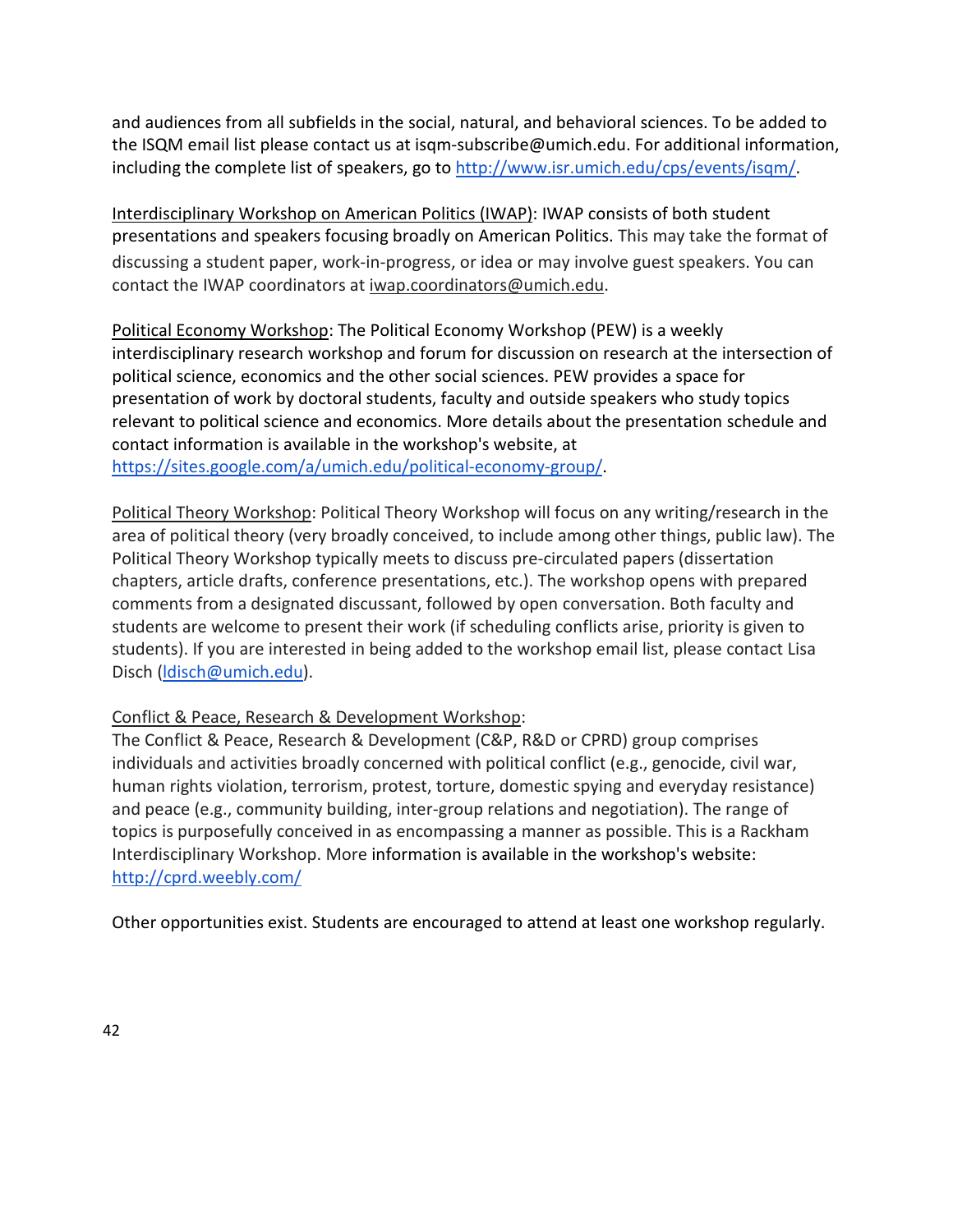and audiences from all subfields in the social, natural, and behavioral sciences. To be added to the ISQM email list please contact us at [isqm-subscribe@umich.edu. F](mailto:isqm-subscribe@umich.edu)or additional information, including the complete list of speakers, go t[o http://www.isr.umich.edu/cps/events/isqm/.](http://www.isr.umich.edu/cps/events/isqm/)

Interdisciplinary Workshop on American Politics (IWAP): IWAP consists of both student presentations and speakers focusing broadly on American Politics. This may take the format of discussing a student paper, work-in-progress, or idea or may involve guest speakers. You can contact the IWAP coordinators at [iwap.coordinators@umich.edu.](mailto:iwap.coordinators@umich.edu)

Political Economy Workshop: The Political Economy Workshop (PEW) is a weekly interdisciplinary research workshop and forum for discussion on research at the intersection of political science, economics and the other social sciences. PEW provides a space for presentation of work by doctoral students, faculty and outside speakers who study topics relevant to political science and economics. More details about the presentation schedule and contact information is available in the workshop's website, at [https://sites.google.com/a/umich.edu/political-economy-group/.](https://sites.google.com/a/umich.edu/political-economy-group/)

Political Theory Workshop: Political Theory Workshop will focus on any writing/research in the area of political theory (very broadly conceived, to include among other things, public law). The Political Theory Workshop typically meets to discuss pre-circulated papers (dissertation chapters, article drafts, conference presentations, etc.). The workshop opens with prepared comments from a designated discussant, followed by open conversation. Both faculty and students are welcome to present their work (if scheduling conflicts arise, priority is given to students). If you are interested in being added to the workshop email list, please contact Lisa Disch [\(ldisch@umich.edu\)](mailto:ldisch@umich.edu).

#### Conflict & Peace, Research & Development Workshop:

The Conflict & Peace, Research & Development (C&P, R&D or CPRD) group comprises individuals and activities broadly concerned with political conflict (e.g., genocide, civil war, human rights violation, terrorism, protest, torture, domestic spying and everyday resistance) and peace (e.g., community building, inter-group relations and negotiation). The range of topics is purposefully conceived in as encompassing a manner as possible. This is a Rackham Interdisciplinary Workshop. More information is available in the workshop's website: <http://cprd.weebly.com/>

<span id="page-42-0"></span>Other opportunities exist. Students are encouraged to attend at least one workshop regularly.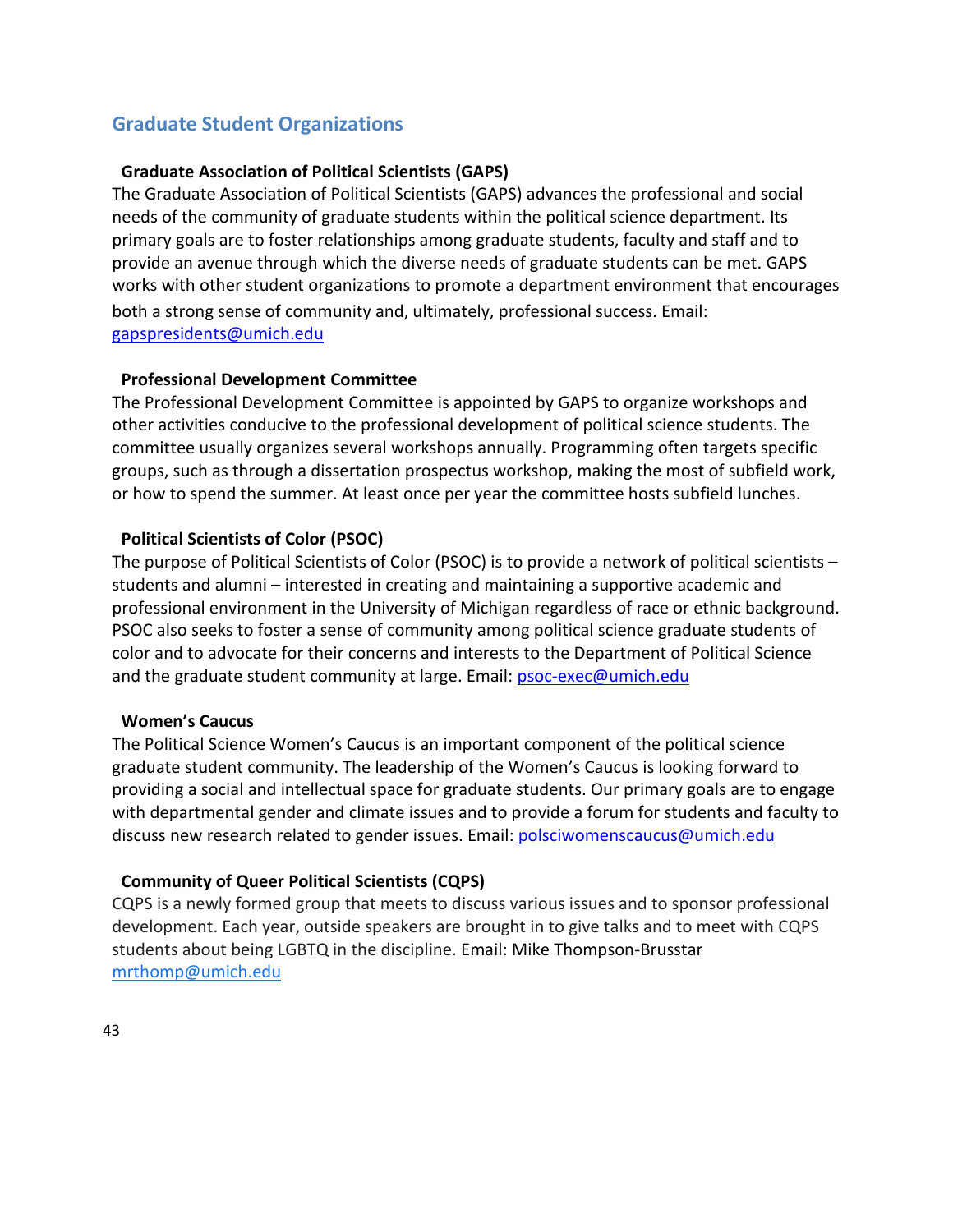# **Graduate Student Organizations**

#### **Graduate Association of Political Scientists (GAPS)**

The Graduate Association of Political Scientists (GAPS) advances the professional and social needs of the community of graduate students within the political science department. Its primary goals are to foster relationships among graduate students, faculty and staff and to provide an avenue through which the diverse needs of graduate students can be met. GAPS works with other student organizations to promote a department environment that encourages both a strong sense of community and, ultimately, professional success. Email: [gapspresidents@umich.edu](mailto:gapspresidents@umich.edu) 

#### **Professional Development Committee**

The Professional Development Committee is appointed by GAPS to organize workshops and other activities conducive to the professional development of political science students. The committee usually organizes several workshops annually. Programming often targets specific groups, such as through a dissertation prospectus workshop, making the most of subfield work, or how to spend the summer. At least once per year the committee hosts subfield lunches.

#### **Political Scientists of Color (PSOC)**

The purpose of Political Scientists of Color (PSOC) is to provide a network of political scientists – students and alumni – interested in creating and maintaining a supportive academic and professional environment in the University of Michigan regardless of race or ethnic background. PSOC also seeks to foster a sense of community among political science graduate students of color and to advocate for their concerns and interests to the Department of Political Science and the graduate student community at large. Email: [psoc-exec@umich.edu](mailto:psoc-exec@umich.edu)

#### **Women's Caucus**

The Political Science Women's Caucus is an important component of the political science graduate student community. The leadership of the Women's Caucus is looking forward to providing a social and intellectual space for graduate students. Our primary goals are to engage with departmental gender and climate issues and to provide a forum for students and faculty to discuss new research related to gender issues. Email: [polsciwomenscaucus@umich.edu](mailto:polsciwomenscaucus@umich.edu)

#### **Community of Queer Political Scientists (CQPS)**

CQPS is a newly formed group that meets to discuss various issues and to sponsor professional development. Each year, outside speakers are brought in to give talks and to meet with CQPS students about being LGBTQ in the discipline. Email: Mike Thompson-Brusstar [mrthomp@umich.edu](mailto:mrthomp@umich.edu)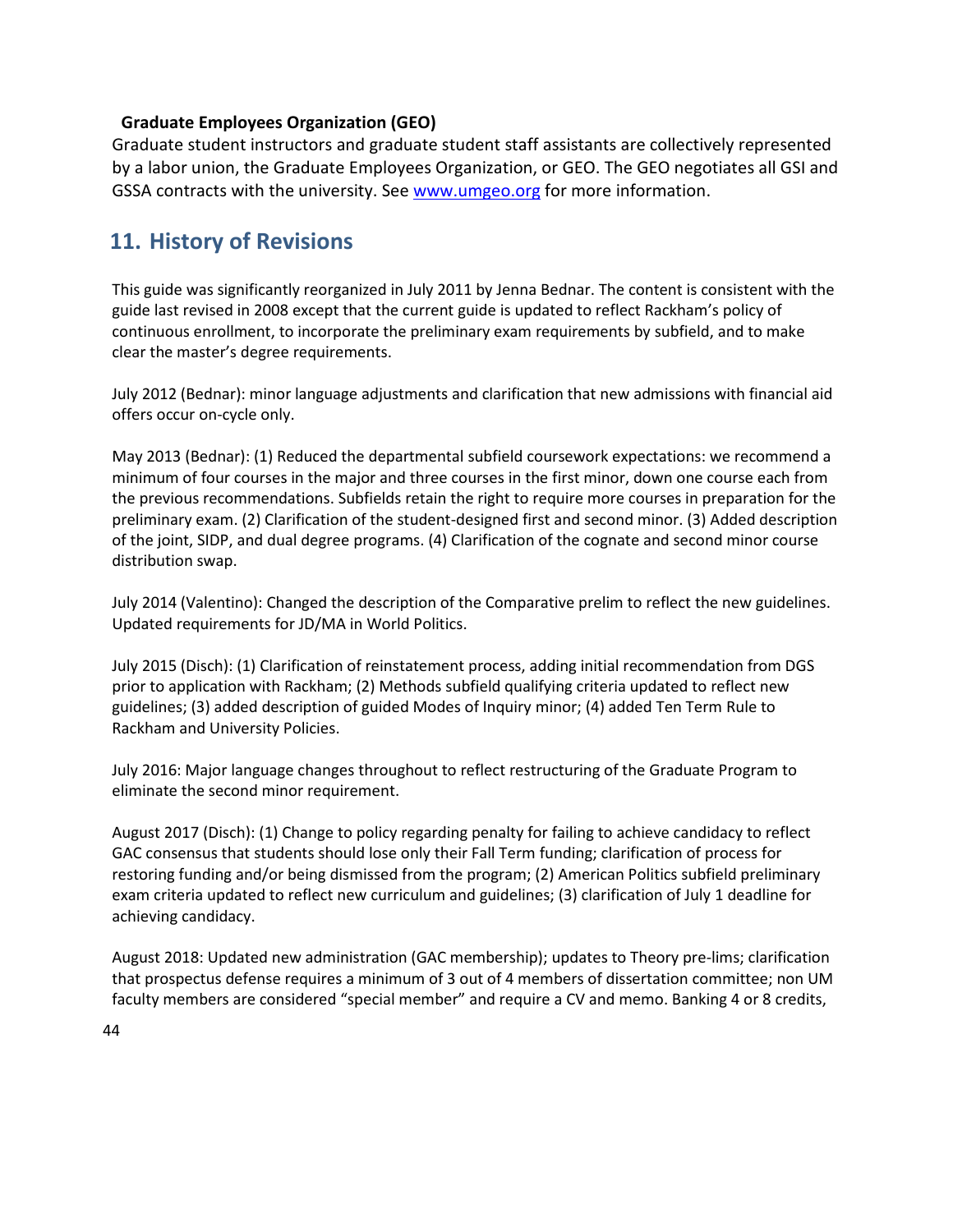#### **Graduate Employees Organization (GEO)**

Graduate student instructors and graduate student staff assistants are collectively represented by a labor union, the Graduate Employees Organization, or GEO. The GEO negotiates all GSI and GSSA contracts with the university. See [www.umgeo.org](http://www.umgeo.org/) for more information.

# <span id="page-44-0"></span>**11. History of Revisions**

This guide was significantly reorganized in July 2011 by Jenna Bednar. The content is consistent with the guide last revised in 2008 except that the current guide is updated to reflect Rackham's policy of continuous enrollment, to incorporate the preliminary exam requirements by subfield, and to make clear the master's degree requirements.

July 2012 (Bednar): minor language adjustments and clarification that new admissions with financial aid offers occur on-cycle only.

May 2013 (Bednar): (1) Reduced the departmental subfield coursework expectations: we recommend a minimum of four courses in the major and three courses in the first minor, down one course each from the previous recommendations. Subfields retain the right to require more courses in preparation for the preliminary exam. (2) Clarification of the student-designed first and second minor. (3) Added description of the joint, SIDP, and dual degree programs. (4) Clarification of the cognate and second minor course distribution swap.

July 2014 (Valentino): Changed the description of the Comparative prelim to reflect the new guidelines. Updated requirements for JD/MA in World Politics.

July 2015 (Disch): (1) Clarification of reinstatement process, adding initial recommendation from DGS prior to application with Rackham; (2) Methods subfield qualifying criteria updated to reflect new guidelines; (3) added description of guided Modes of Inquiry minor; (4) added Ten Term Rule to Rackham and University Policies.

July 2016: Major language changes throughout to reflect restructuring of the Graduate Program to eliminate the second minor requirement.

August 2017 (Disch): (1) Change to policy regarding penalty for failing to achieve candidacy to reflect GAC consensus that students should lose only their Fall Term funding; clarification of process for restoring funding and/or being dismissed from the program; (2) American Politics subfield preliminary exam criteria updated to reflect new curriculum and guidelines; (3) clarification of July 1 deadline for achieving candidacy.

August 2018: Updated new administration (GAC membership); updates to Theory pre-lims; clarification that prospectus defense requires a minimum of 3 out of 4 members of dissertation committee; non UM faculty members are considered "special member" and require a CV and memo. Banking 4 or 8 credits,